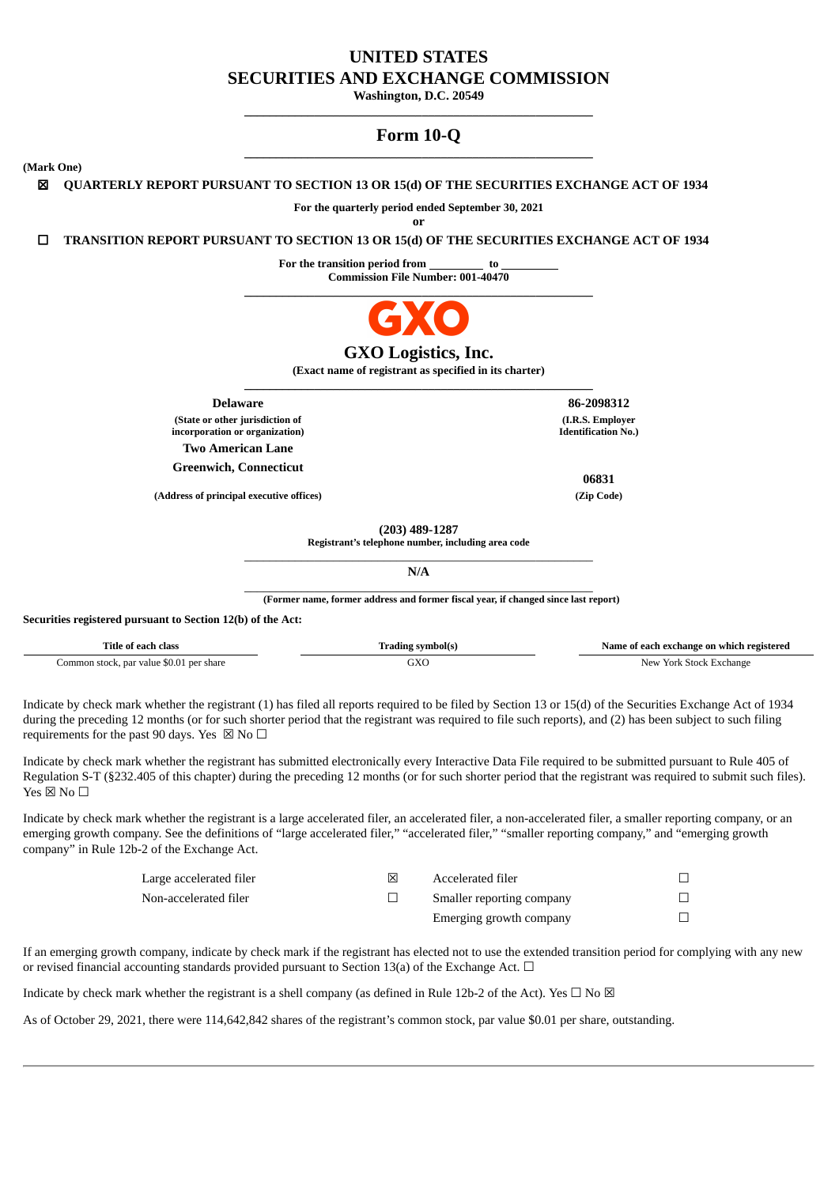# **UNITED STATES SECURITIES AND EXCHANGE COMMISSION**

**Washington, D.C. 20549**

# **\_\_\_\_\_\_\_\_\_\_\_\_\_\_\_\_\_\_\_\_\_\_\_\_\_\_\_\_\_\_\_\_\_\_\_\_\_\_\_\_\_\_\_\_\_\_\_\_\_\_\_\_\_\_\_ Form 10-Q \_\_\_\_\_\_\_\_\_\_\_\_\_\_\_\_\_\_\_\_\_\_\_\_\_\_\_\_\_\_\_\_\_\_\_\_\_\_\_\_\_\_\_\_\_\_\_\_\_\_\_\_\_\_\_**

**(Mark One)**

☒ **QUARTERLY REPORT PURSUANT TO SECTION 13 OR 15(d) OF THE SECURITIES EXCHANGE ACT OF 1934**

**For the quarterly period ended September 30, 2021**

**or**

☐ **TRANSITION REPORT PURSUANT TO SECTION 13 OR 15(d) OF THE SECURITIES EXCHANGE ACT OF 1934**

For the transition period from \_\_\_\_\_\_\_\_\_\_ to **Commission File Number: 001-40470**



# **GXO Logistics, Inc.**

**(Exact name of registrant as specified in its charter) \_\_\_\_\_\_\_\_\_\_\_\_\_\_\_\_\_\_\_\_\_\_\_\_\_\_\_\_\_\_\_\_\_\_\_\_\_\_\_\_\_\_\_\_\_\_\_\_\_\_\_\_\_\_\_**

**Delaware 86-2098312**

**(State or other jurisdiction of incorporation or organization) Two American Lane**

**Greenwich, Connecticut**

**(Address of principal executive offices) (Zip Code)**

**(203) 489-1287**

**Registrant's telephone number, including area code**

\_\_\_\_\_\_\_\_\_\_\_\_\_\_\_\_\_\_\_\_\_\_\_\_\_\_\_\_\_\_\_\_\_\_\_\_\_\_\_\_\_\_\_\_\_\_\_\_\_\_\_\_\_\_\_ **N/A**

\_\_\_\_\_\_\_\_\_\_\_\_\_\_\_\_\_\_\_\_\_\_\_\_\_\_\_\_\_\_\_\_\_\_\_\_\_\_\_\_\_\_\_\_\_\_\_\_\_\_\_\_\_\_\_ **(Former name, former address and former fiscal year, if changed since last report)**

**Securities registered pursuant to Section 12(b) of the Act:**

| Title .<br>clas:<br>ot each                             | symbol(s<br>l'rading :<br>. . | e of each exchange on which registered :<br>Name |
|---------------------------------------------------------|-------------------------------|--------------------------------------------------|
| .SO.O<br>. par value<br>ommon<br>Del<br>share<br>STOCK. | $\sim$<br>いへい                 | New<br>Exchange<br>. Stock.<br>York              |

Indicate by check mark whether the registrant (1) has filed all reports required to be filed by Section 13 or 15(d) of the Securities Exchange Act of 1934 during the preceding 12 months (or for such shorter period that the registrant was required to file such reports), and (2) has been subject to such filing requirements for the past 90 days. Yes  $\boxtimes$  No  $\Box$ 

Indicate by check mark whether the registrant has submitted electronically every Interactive Data File required to be submitted pursuant to Rule 405 of Regulation S-T (§232.405 of this chapter) during the preceding 12 months (or for such shorter period that the registrant was required to submit such files). Yes  $\boxtimes$  No  $\Box$ 

Indicate by check mark whether the registrant is a large accelerated filer, an accelerated filer, a non-accelerated filer, a smaller reporting company, or an emerging growth company. See the definitions of "large accelerated filer," "accelerated filer," "smaller reporting company," and "emerging growth company" in Rule 12b-2 of the Exchange Act.

| Large accelerated filer | ⊠ | Accelerated filer         |  |
|-------------------------|---|---------------------------|--|
| Non-accelerated filer   |   | Smaller reporting company |  |
|                         |   | Emerging growth company   |  |

If an emerging growth company, indicate by check mark if the registrant has elected not to use the extended transition period for complying with any new or revised financial accounting standards provided pursuant to Section 13(a) of the Exchange Act.  $\Box$ 

Indicate by check mark whether the registrant is a shell company (as defined in Rule 12b-2 of the Act). Yes  $\Box$  No  $\boxtimes$ 

As of October 29, 2021, there were 114,642,842 shares of the registrant's common stock, par value \$0.01 per share, outstanding.

**06831**

**(I.R.S. Employer Identification No.)**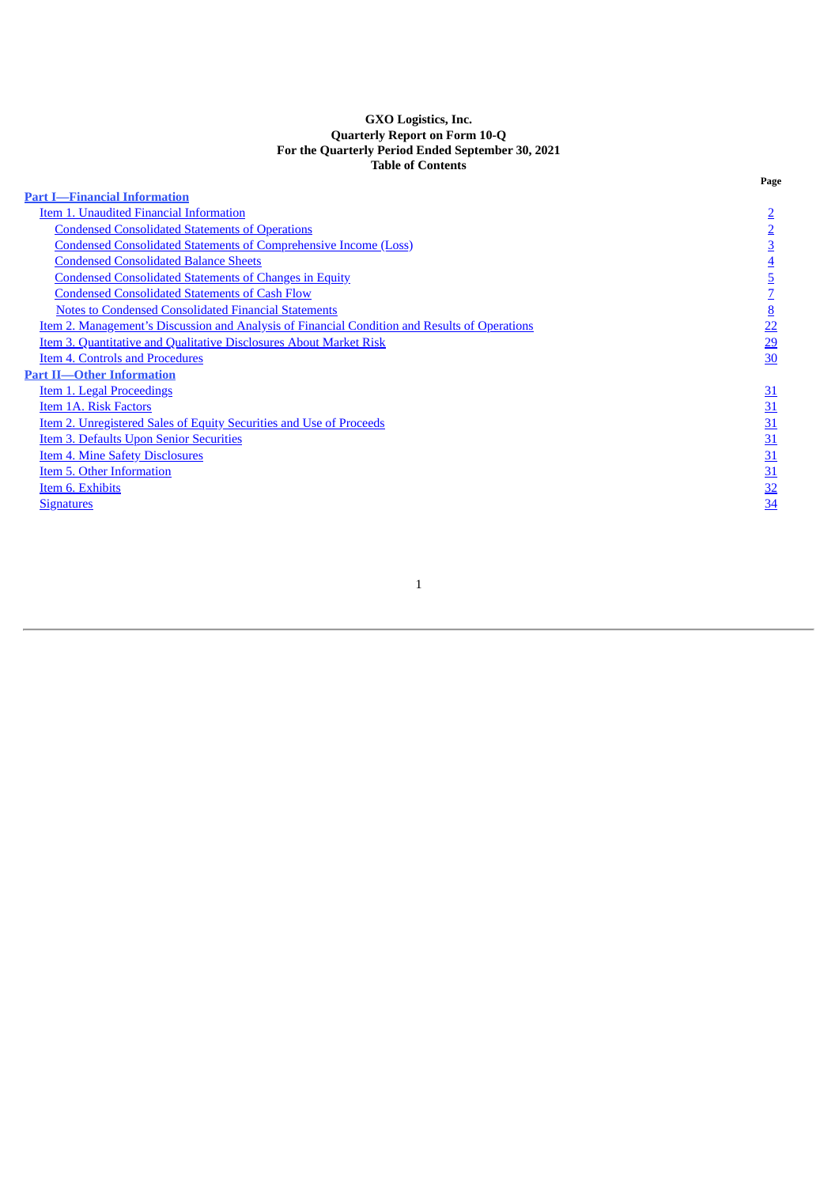### **GXO Logistics, Inc. Quarterly Report on Form 10-Q For the Quarterly Period Ended September 30, 2021 Table of Contents**

**Page**

<span id="page-1-0"></span>

| <b>Part I-Financial Information</b>                                                                  |                 |
|------------------------------------------------------------------------------------------------------|-----------------|
| Item 1. Unaudited Financial Information                                                              | <u>2</u>        |
| <b>Condensed Consolidated Statements of Operations</b>                                               | $\overline{2}$  |
| <b>Condensed Consolidated Statements of Comprehensive Income (Loss)</b>                              | $\overline{3}$  |
| <b>Condensed Consolidated Balance Sheets</b>                                                         | $\overline{4}$  |
| <b>Condensed Consolidated Statements of Changes in Equity</b>                                        | 5               |
| <b>Condensed Consolidated Statements of Cash Flow</b>                                                |                 |
| <b>Notes to Condensed Consolidated Financial Statements</b>                                          | $\underline{8}$ |
| <u>Item 2. Management's Discussion and Analysis of Financial Condition and Results of Operations</u> | $\overline{22}$ |
| <b>Item 3. Quantitative and Qualitative Disclosures About Market Risk</b>                            | 29              |
| Item 4. Controls and Procedures                                                                      | 30              |
| <b>Part II-Other Information</b>                                                                     |                 |
| Item 1. Legal Proceedings                                                                            | 31              |
| Item 1A. Risk Factors                                                                                | 31              |
| <b>Item 2. Unregistered Sales of Equity Securities and Use of Proceeds</b>                           | 31              |
| <b>Item 3. Defaults Upon Senior Securities</b>                                                       | 31              |
| <b>Item 4. Mine Safety Disclosures</b>                                                               | 31              |
| Item 5. Other Information                                                                            | 31              |
| Item 6. Exhibits                                                                                     | 32              |
| <b>Signatures</b>                                                                                    | 34              |
|                                                                                                      |                 |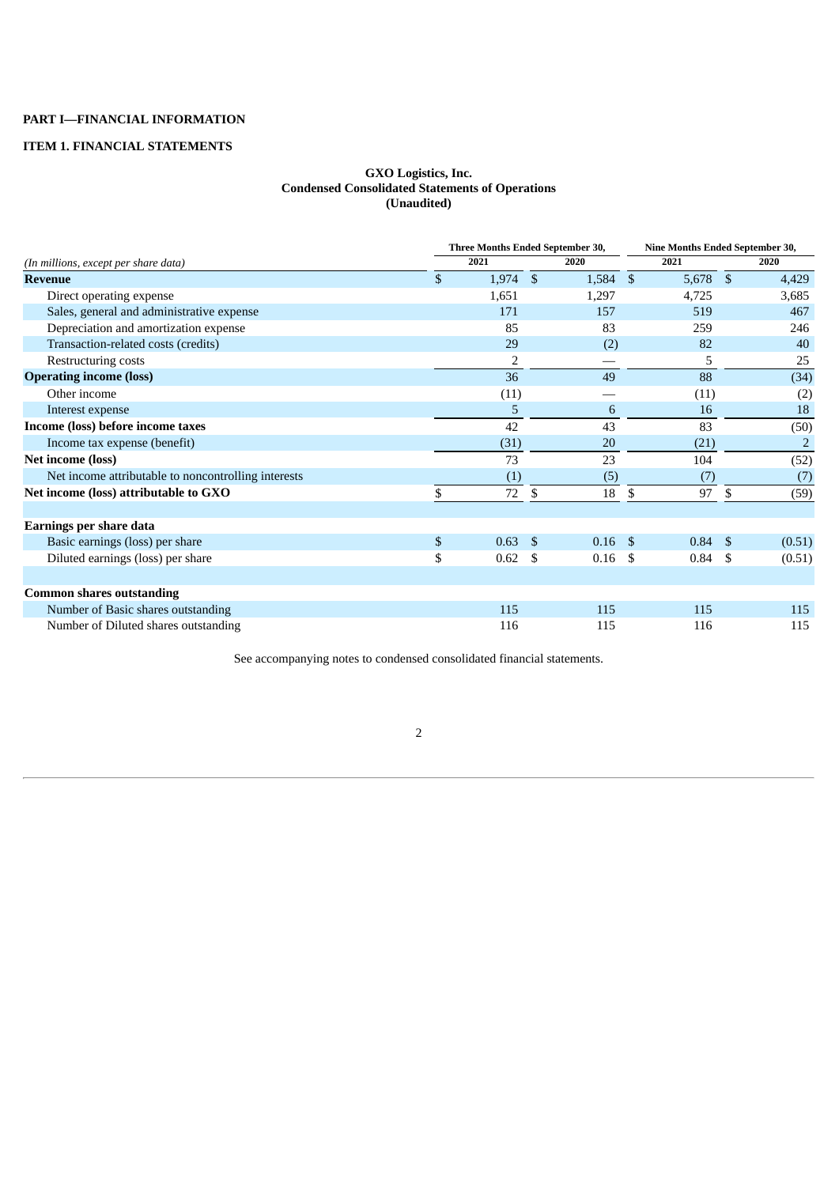# **PART I—FINANCIAL INFORMATION**

# <span id="page-2-1"></span><span id="page-2-0"></span>**ITEM 1. FINANCIAL STATEMENTS**

### **GXO Logistics, Inc. Condensed Consolidated Statements of Operations (Unaudited)**

|                                                     |                           | Three Months Ended September 30, |                    |       | Nine Months Ended September 30, |           |    |                |  |  |  |
|-----------------------------------------------------|---------------------------|----------------------------------|--------------------|-------|---------------------------------|-----------|----|----------------|--|--|--|
| (In millions, except per share data)                |                           | 2021                             |                    | 2020  |                                 | 2021      |    | 2020           |  |  |  |
| <b>Revenue</b>                                      | $\boldsymbol{\mathsf{S}}$ | 1,974                            | $\mathbf{\hat{S}}$ | 1,584 | $\mathfrak{S}$                  | 5,678     | \$ | 4,429          |  |  |  |
| Direct operating expense                            |                           | 1,651                            |                    | 1,297 |                                 | 4,725     |    | 3,685          |  |  |  |
| Sales, general and administrative expense           |                           | 171                              |                    | 157   |                                 | 519       |    | 467            |  |  |  |
| Depreciation and amortization expense               |                           | 85                               |                    | 83    |                                 | 259       |    | 246            |  |  |  |
| Transaction-related costs (credits)                 |                           | 29                               |                    | (2)   |                                 | 82        |    | 40             |  |  |  |
| Restructuring costs                                 |                           | $\overline{2}$                   |                    |       |                                 | 5         |    | 25             |  |  |  |
| <b>Operating income (loss)</b>                      |                           | 36                               |                    | 49    |                                 | 88        |    | (34)           |  |  |  |
| Other income                                        |                           | (11)                             |                    |       |                                 | (11)      |    | (2)            |  |  |  |
| Interest expense                                    |                           | 5                                |                    | 6     |                                 | 16        |    | 18             |  |  |  |
| Income (loss) before income taxes                   |                           | 42                               |                    | 43    |                                 | 83        |    | (50)           |  |  |  |
| Income tax expense (benefit)                        |                           | (31)                             |                    | 20    |                                 | (21)      |    | $\overline{2}$ |  |  |  |
| Net income (loss)                                   |                           | 73                               |                    | 23    |                                 | 104       |    | (52)           |  |  |  |
| Net income attributable to noncontrolling interests |                           | (1)                              |                    | (5)   |                                 | (7)       |    | (7)            |  |  |  |
| Net income (loss) attributable to GXO               | \$                        | 72                               | \$                 | 18    | \$                              | 97        | \$ | (59)           |  |  |  |
|                                                     |                           |                                  |                    |       |                                 |           |    |                |  |  |  |
| Earnings per share data                             |                           |                                  |                    |       |                                 |           |    |                |  |  |  |
| Basic earnings (loss) per share                     | \$                        | 0.63                             | -\$                | 0.16  | -\$                             | $0.84$ \$ |    | (0.51)         |  |  |  |
| Diluted earnings (loss) per share                   | \$                        | 0.62                             | \$                 | 0.16  | \$                              | 0.84      | \$ | (0.51)         |  |  |  |
|                                                     |                           |                                  |                    |       |                                 |           |    |                |  |  |  |
| <b>Common shares outstanding</b>                    |                           |                                  |                    |       |                                 |           |    |                |  |  |  |
| Number of Basic shares outstanding                  |                           | 115                              |                    | 115   |                                 | 115       |    | 115            |  |  |  |
| Number of Diluted shares outstanding                |                           | 116                              |                    | 115   |                                 | 116       |    | 115            |  |  |  |

<span id="page-2-2"></span>See accompanying notes to condensed consolidated financial statements.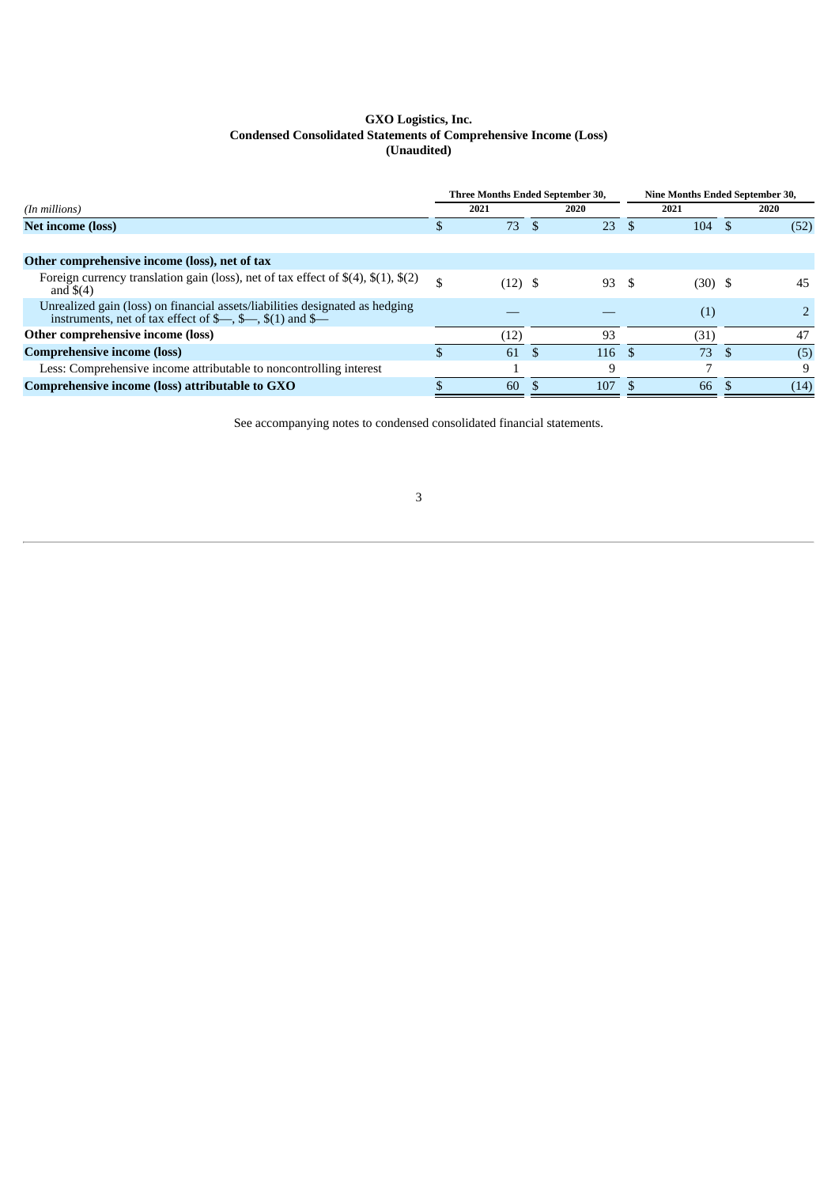### **GXO Logistics, Inc. Condensed Consolidated Statements of Comprehensive Income (Loss) (Unaudited)**

|                                                                                                                                                                                   | <b>Three Months Ended September 30,</b> |      |      | Nine Months Ended September 30, |           |  |      |  |  |
|-----------------------------------------------------------------------------------------------------------------------------------------------------------------------------------|-----------------------------------------|------|------|---------------------------------|-----------|--|------|--|--|
| (In millions)                                                                                                                                                                     | 2021                                    |      | 2020 |                                 | 2021      |  | 2020 |  |  |
| <b>Net income (loss)</b>                                                                                                                                                          | 73                                      |      | 23   |                                 | 104       |  | (52) |  |  |
|                                                                                                                                                                                   |                                         |      |      |                                 |           |  |      |  |  |
| Other comprehensive income (loss), net of tax                                                                                                                                     |                                         |      |      |                                 |           |  |      |  |  |
| Foreign currency translation gain (loss), net of tax effect of $\$(4)$ , $\$(1)$ , $\$(2)$<br>and $\mathfrak{S}(4)$                                                               | \$<br>(12)                              | - \$ | 93   | - \$                            | $(30)$ \$ |  | 45   |  |  |
| Unrealized gain (loss) on financial assets/liabilities designated as hedging<br>instruments, net of tax effect of $\frac{1}{2}$ , $\frac{1}{2}$ , $\frac{1}{2}$ and $\frac{1}{2}$ |                                         |      |      |                                 | (1)       |  |      |  |  |
| Other comprehensive income (loss)                                                                                                                                                 | $12^{\circ}$                            |      | 93   |                                 | (31       |  | 47   |  |  |
| <b>Comprehensive income (loss)</b>                                                                                                                                                | 61                                      |      | 116  | -S                              | 73        |  | (5)  |  |  |
| Less: Comprehensive income attributable to noncontrolling interest                                                                                                                |                                         |      | 9    |                                 |           |  | 9    |  |  |
| Comprehensive income (loss) attributable to GXO                                                                                                                                   | 60                                      |      | 107  |                                 | 66        |  | (14) |  |  |

<span id="page-3-0"></span>See accompanying notes to condensed consolidated financial statements.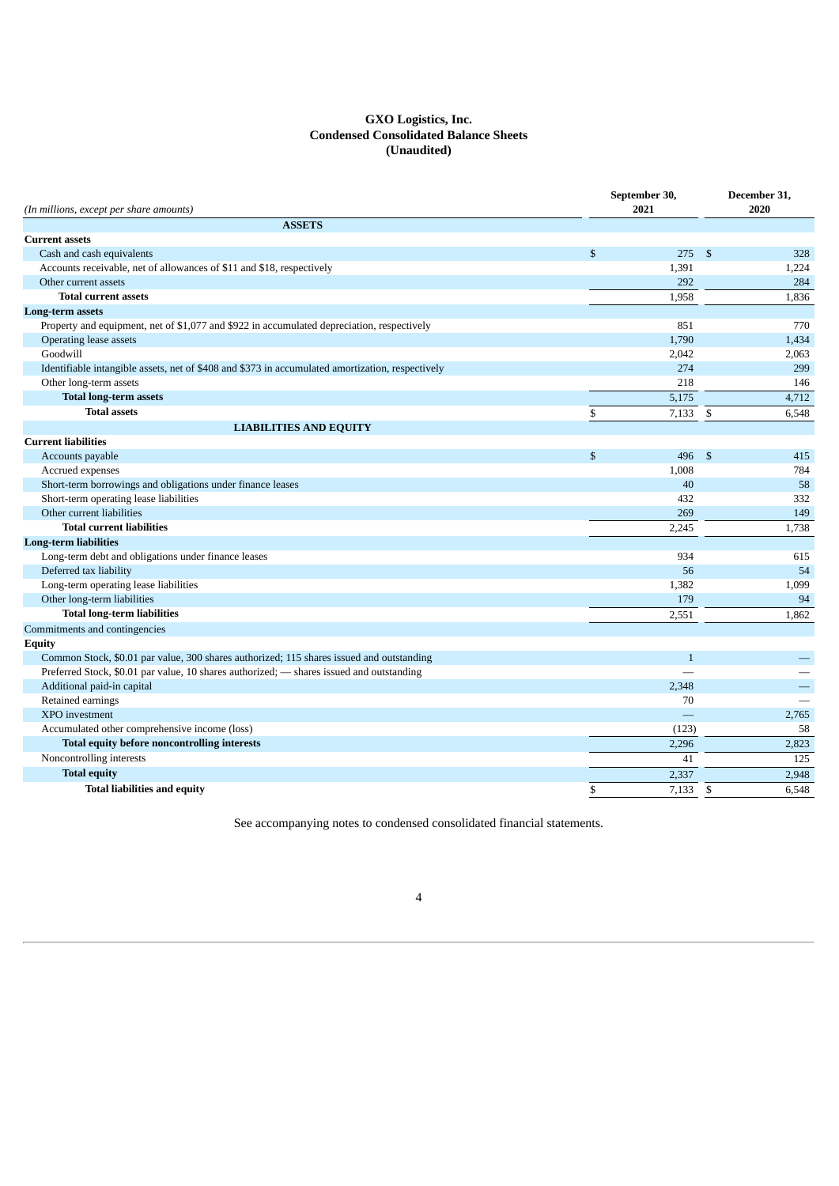#### **GXO Logistics, Inc. Condensed Consolidated Balance Sheets (Unaudited)**

| (In millions, except per share amounts)                                                          | September 30,<br>2021 |                | December 31,<br>2020 |
|--------------------------------------------------------------------------------------------------|-----------------------|----------------|----------------------|
| <b>ASSETS</b>                                                                                    |                       |                |                      |
| <b>Current assets</b>                                                                            |                       |                |                      |
| Cash and cash equivalents                                                                        | \$<br>275             | -\$            | 328                  |
| Accounts receivable, net of allowances of \$11 and \$18, respectively                            | 1,391                 |                | 1,224                |
| Other current assets                                                                             | 292                   |                | 284                  |
| <b>Total current assets</b>                                                                      | 1,958                 |                | 1,836                |
| <b>Long-term assets</b>                                                                          |                       |                |                      |
| Property and equipment, net of \$1,077 and \$922 in accumulated depreciation, respectively       | 851                   |                | 770                  |
| <b>Operating lease assets</b>                                                                    | 1,790                 |                | 1,434                |
| Goodwill                                                                                         | 2,042                 |                | 2,063                |
| Identifiable intangible assets, net of \$408 and \$373 in accumulated amortization, respectively | 274                   |                | 299                  |
| Other long-term assets                                                                           | 218                   |                | 146                  |
| <b>Total long-term assets</b>                                                                    | 5,175                 |                | 4,712                |
| <b>Total assets</b>                                                                              | \$<br>7,133           | $\mathfrak{S}$ | 6,548                |
| <b>LIABILITIES AND EQUITY</b>                                                                    |                       |                |                      |
| <b>Current liabilities</b>                                                                       |                       |                |                      |
| Accounts payable                                                                                 | \$<br>496             | $\mathbf{s}$   | 415                  |
| Accrued expenses                                                                                 | 1,008                 |                | 784                  |
| Short-term borrowings and obligations under finance leases                                       | 40                    |                | 58                   |
| Short-term operating lease liabilities                                                           | 432                   |                | 332                  |
| Other current liabilities                                                                        | 269                   |                | 149                  |
| <b>Total current liabilities</b>                                                                 | 2,245                 |                | 1,738                |
| <b>Long-term liabilities</b>                                                                     |                       |                |                      |
| Long-term debt and obligations under finance leases                                              | 934                   |                | 615                  |
| Deferred tax liability                                                                           | 56                    |                | 54                   |
| Long-term operating lease liabilities                                                            | 1,382                 |                | 1,099                |
| Other long-term liabilities                                                                      | 179                   |                | 94                   |
| <b>Total long-term liabilities</b>                                                               | 2,551                 |                | 1,862                |
| Commitments and contingencies                                                                    |                       |                |                      |
| <b>Equity</b>                                                                                    |                       |                |                      |
| Common Stock, \$0.01 par value, 300 shares authorized; 115 shares issued and outstanding         | $\mathbf{1}$          |                |                      |
| Preferred Stock, \$0.01 par value, 10 shares authorized; — shares issued and outstanding         |                       |                |                      |
| Additional paid-in capital                                                                       | 2.348                 |                |                      |
| Retained earnings                                                                                | 70                    |                |                      |
| XPO investment                                                                                   | <u>—</u>              |                | 2,765                |
| Accumulated other comprehensive income (loss)                                                    | (123)                 |                | 58                   |
| Total equity before noncontrolling interests                                                     | 2,296                 |                | 2,823                |
| Noncontrolling interests                                                                         | 41                    |                | 125                  |
| <b>Total equity</b>                                                                              | 2,337                 |                | 2,948                |
| <b>Total liabilities and equity</b>                                                              | \$<br>7,133           | \$             | 6,548                |

<span id="page-4-0"></span>See accompanying notes to condensed consolidated financial statements.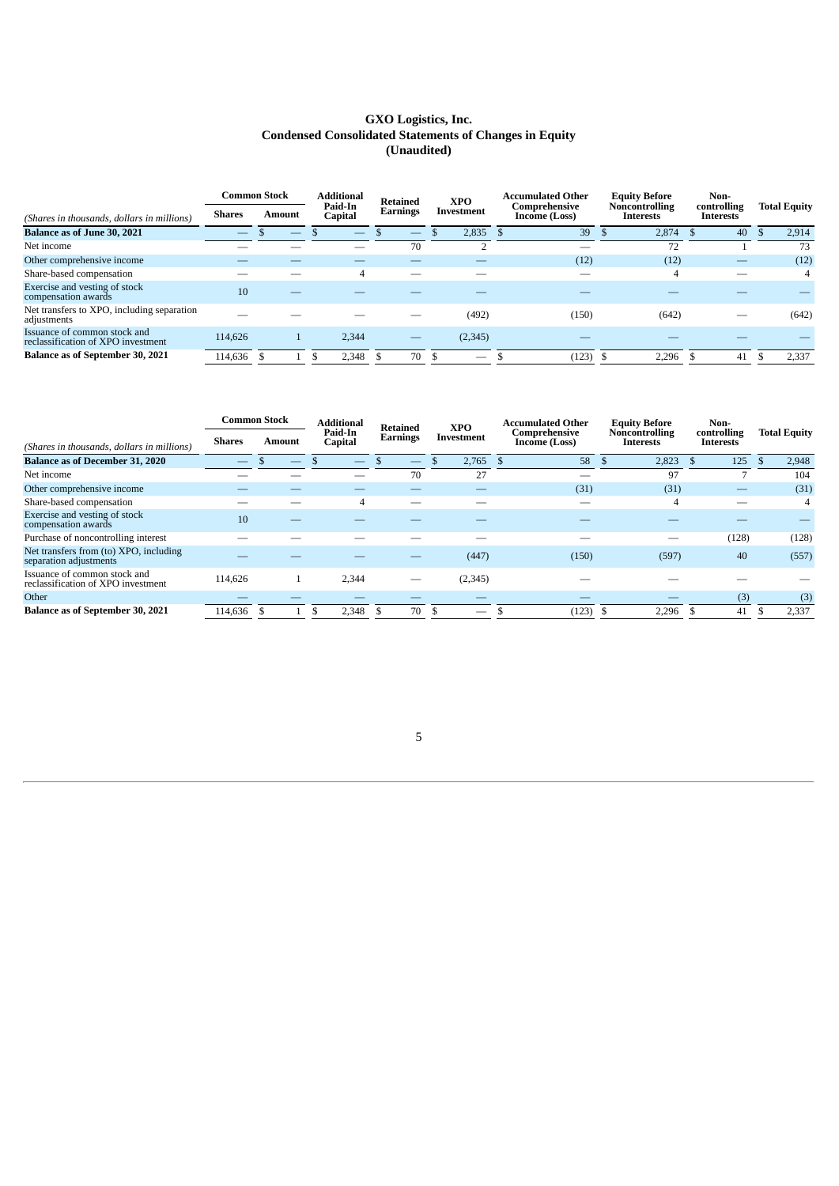### **GXO Logistics, Inc. Condensed Consolidated Statements of Changes in Equity (Unaudited)**

|                                                                    |               | <b>Common Stock</b> | <b>Additional</b><br>Paid-In | <b>Retained</b> | <b>Accumulated Other</b><br>XPO<br>Comprehensive |            | <b>Equity Before</b><br>Noncontrolling | Non-<br>controlling | <b>Total Equity</b> |           |       |
|--------------------------------------------------------------------|---------------|---------------------|------------------------------|-----------------|--------------------------------------------------|------------|----------------------------------------|---------------------|---------------------|-----------|-------|
| (Shares in thousands, dollars in millions)                         | <b>Shares</b> | Amount              | Capital                      | Earnings        |                                                  | Investment |                                        | Income (Loss)       | <b>Interests</b>    | Interests |       |
| <b>Balance as of June 30, 2021</b>                                 | $-$           | __                  |                              |                 |                                                  | 2,835      |                                        | 39                  | 2,874               | 40        | 2,914 |
| Net income                                                         |               |                     |                              | 70              |                                                  |            |                                        |                     | 72                  |           | 73    |
| Other comprehensive income                                         |               |                     |                              |                 |                                                  |            |                                        | (12)                | (12)                |           | (12)  |
| Share-based compensation                                           |               |                     |                              |                 |                                                  |            |                                        |                     | 4                   |           | 4     |
| Exercise and vesting of stock<br>compensation awards               | 10            |                     |                              |                 |                                                  |            |                                        |                     |                     |           |       |
| Net transfers to XPO, including separation<br>adjustments          |               |                     |                              |                 |                                                  | (492)      |                                        | (150)               | (642)               |           | (642) |
| Issuance of common stock and<br>reclassification of XPO investment | 114.626       |                     | 2,344                        |                 |                                                  | (2, 345)   |                                        |                     |                     |           |       |
| <b>Balance as of September 30, 2021</b>                            | 114,636       |                     | 2.348                        | 70              |                                                  |            |                                        | (123)               | 2,296               | 41        | 2.337 |

|                                                                    |               | <b>Common Stock</b> | <b>Additional</b>  | <b>Retained</b> | <b>XPO</b> | <b>Accumulated Other</b>       | <b>Equity Before</b>        | Non-                            |                     |  |
|--------------------------------------------------------------------|---------------|---------------------|--------------------|-----------------|------------|--------------------------------|-----------------------------|---------------------------------|---------------------|--|
| (Shares in thousands, dollars in millions)                         | <b>Shares</b> | Amount              | Paid-In<br>Capital | <b>Earnings</b> | Investment | Comprehensive<br>Income (Loss) | Noncontrolling<br>Interests | controlling<br><b>Interests</b> | <b>Total Equity</b> |  |
| <b>Balance as of December 31, 2020</b>                             |               |                     |                    |                 | 2,765      | 58                             | 2,823                       | 125                             | 2,948               |  |
| Net income                                                         |               |                     |                    | 70              | 27         |                                | 97                          |                                 | 104                 |  |
| Other comprehensive income                                         |               |                     |                    |                 |            | (31)                           | (31)                        |                                 | (31)                |  |
| Share-based compensation                                           |               |                     |                    |                 |            |                                |                             |                                 | 4                   |  |
| Exercise and vesting of stock<br>compensation awards               | 10            |                     |                    |                 |            |                                |                             |                                 |                     |  |
| Purchase of noncontrolling interest                                |               |                     |                    |                 |            |                                | --                          | (128)                           | (128)               |  |
| Net transfers from (to) XPO, including<br>separation adjustments   |               |                     |                    |                 | (447)      | (150)                          | (597)                       | 40                              | (557)               |  |
| Issuance of common stock and<br>reclassification of XPO investment | 114.626       |                     | 2.344              |                 | (2,345)    |                                |                             |                                 |                     |  |
| Other                                                              |               |                     |                    |                 |            |                                |                             | (3)                             | (3)                 |  |
| <b>Balance as of September 30, 2021</b>                            | 114,636       |                     | 2,348              | 70              |            | (123)                          | 2,296                       | 41                              | 2,337               |  |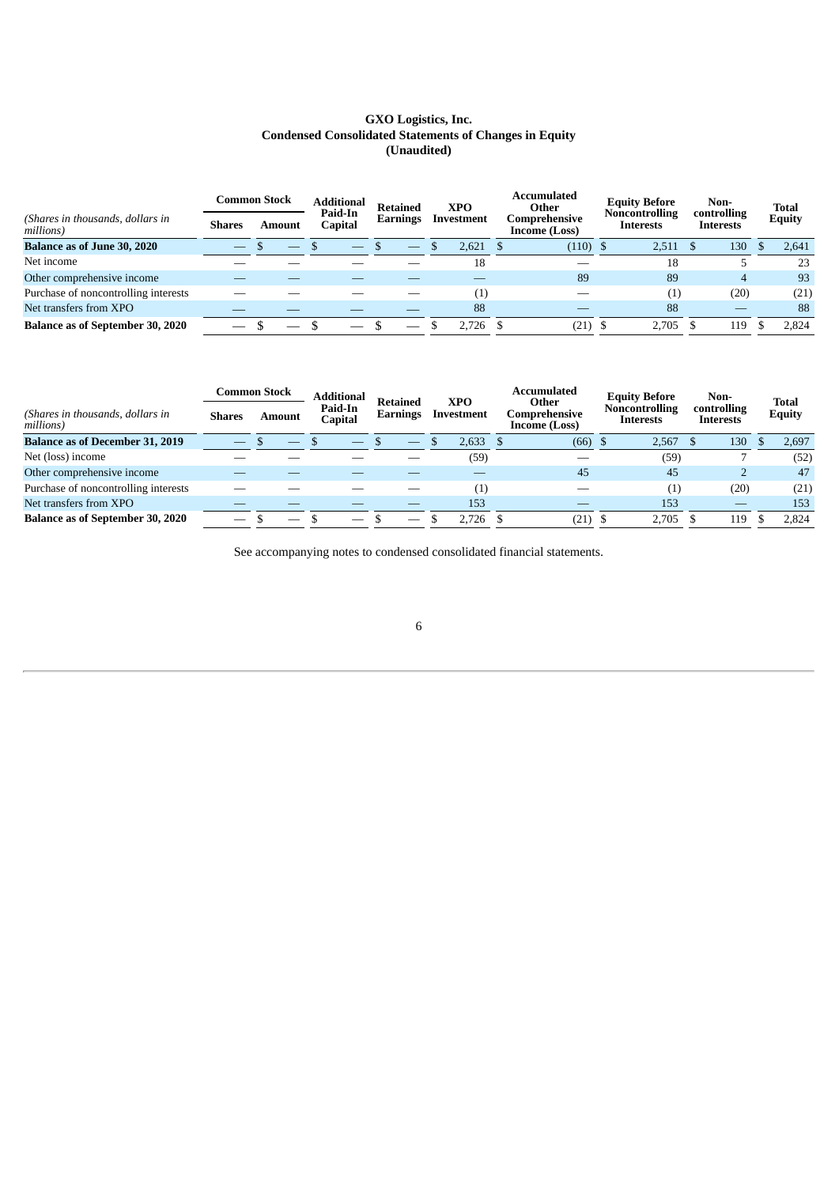### **GXO Logistics, Inc. Condensed Consolidated Statements of Changes in Equity (Unaudited)**

|                                               | Common Stock  |        | <b>Additional</b>  | <b>Retained</b> |                 | <b>XPO</b> |            |  | Accumulated<br>Other           | <b>Equity Before</b> |                                    |  | Non-                            |               | <b>Total</b> |
|-----------------------------------------------|---------------|--------|--------------------|-----------------|-----------------|------------|------------|--|--------------------------------|----------------------|------------------------------------|--|---------------------------------|---------------|--------------|
| (Shares in thousands, dollars in<br>millions) | <b>Shares</b> | Amount | Paid-In<br>Capital |                 | <b>Earnings</b> |            | Investment |  | Comprehensive<br>Income (Loss) |                      | Noncontrolling<br><b>Interests</b> |  | controlling<br><b>Interests</b> | <b>Equity</b> |              |
| <b>Balance as of June 30, 2020</b>            |               |        |                    |                 |                 |            | 2.621      |  | $(110)$ \$                     |                      | 2,511                              |  | 130                             |               | 2.641        |
| Net income                                    |               |        |                    |                 |                 |            | 18         |  |                                |                      | 18                                 |  |                                 |               | 23           |
| Other comprehensive income                    |               |        |                    |                 |                 |            |            |  | 89                             |                      | 89                                 |  | 4                               |               | 93           |
| Purchase of noncontrolling interests          |               |        |                    |                 |                 |            | (1)        |  |                                |                      | (1)                                |  | (20)                            |               | (21)         |
| Net transfers from XPO                        |               |        |                    |                 |                 |            | 88         |  |                                |                      | 88                                 |  |                                 |               | 88           |
| <b>Balance as of September 30, 2020</b>       |               |        |                    |                 |                 |            | 2.726      |  | $(21)$ \$                      |                      | 2.705                              |  | 119                             |               | 2.824        |

|                                               | C <b>ommon Stock</b>     |        |  | Additional               |                                    | <b>XPO</b> |            | Accumulated<br>Other |  | <b>Equity Before</b>           |  | Non-                                      |                                 |      |  |                        |
|-----------------------------------------------|--------------------------|--------|--|--------------------------|------------------------------------|------------|------------|----------------------|--|--------------------------------|--|-------------------------------------------|---------------------------------|------|--|------------------------|
| (Shares in thousands, dollars in<br>millions) | <b>Shares</b>            | Amount |  | Paid-In<br>Capital       | <b>Retained</b><br><b>Earnings</b> |            | Investment |                      |  | Comprehensive<br>Income (Loss) |  | <b>Noncontrolling</b><br><b>Interests</b> | controlling<br><b>Interests</b> |      |  | Total<br><b>Equity</b> |
| <b>Balance as of December 31, 2019</b>        |                          |        |  |                          |                                    |            |            | 2.633                |  | $(66)$ \$                      |  | 2.567                                     |                                 | 130  |  | 2.697                  |
| Net (loss) income                             |                          |        |  |                          |                                    |            |            | (59                  |  |                                |  | (59)                                      |                                 |      |  | (52)                   |
| Other comprehensive income                    |                          |        |  |                          |                                    |            |            |                      |  | 45                             |  | 45                                        |                                 |      |  | 47                     |
| Purchase of noncontrolling interests          |                          |        |  |                          |                                    |            |            | (1)                  |  |                                |  | (1)                                       |                                 | (20) |  | (21)                   |
| Net transfers from XPO                        |                          |        |  |                          |                                    |            |            | 153                  |  |                                |  | 153                                       |                                 |      |  | 153                    |
| <b>Balance as of September 30, 2020</b>       | $\overline{\phantom{0}}$ |        |  | $\overline{\phantom{0}}$ |                                    |            |            | 2.726                |  | (21)                           |  | 2.705                                     |                                 | 119  |  | 2.824                  |

<span id="page-6-0"></span>See accompanying notes to condensed consolidated financial statements.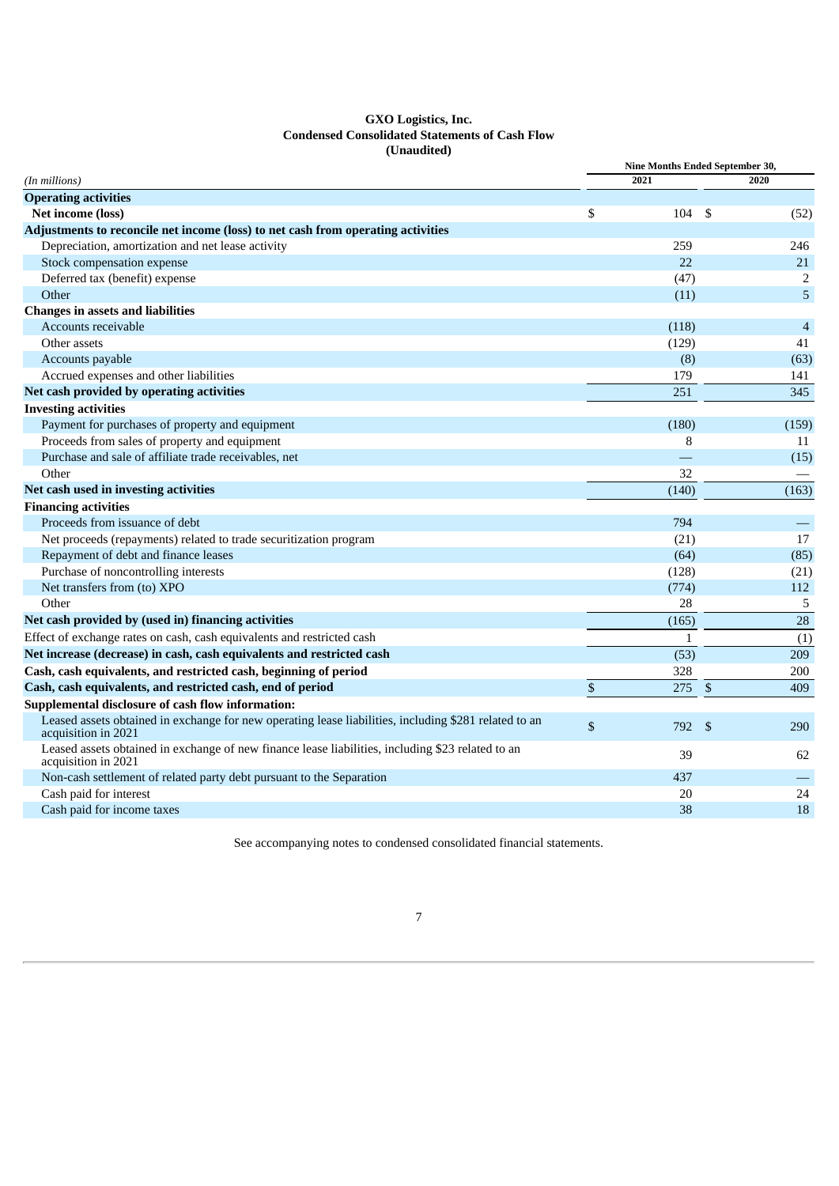### **GXO Logistics, Inc. Condensed Consolidated Statements of Cash Flow (Unaudited)**

|                                                                                                                              | <b>Nine Months Ended September 30,</b> |                           |                |
|------------------------------------------------------------------------------------------------------------------------------|----------------------------------------|---------------------------|----------------|
| (In millions)                                                                                                                | 2021                                   |                           | 2020           |
| <b>Operating activities</b>                                                                                                  |                                        |                           |                |
| Net income (loss)                                                                                                            | \$<br>104                              | \$                        | (52)           |
| Adjustments to reconcile net income (loss) to net cash from operating activities                                             |                                        |                           |                |
| Depreciation, amortization and net lease activity                                                                            | 259                                    |                           | 246            |
| Stock compensation expense                                                                                                   | 22                                     |                           | 21             |
| Deferred tax (benefit) expense                                                                                               | (47)                                   |                           | 2              |
| Other                                                                                                                        | (11)                                   |                           | 5              |
| <b>Changes in assets and liabilities</b>                                                                                     |                                        |                           |                |
| Accounts receivable                                                                                                          | (118)                                  |                           | $\overline{4}$ |
| Other assets                                                                                                                 | (129)                                  |                           | 41             |
| Accounts payable                                                                                                             | (8)                                    |                           | (63)           |
| Accrued expenses and other liabilities                                                                                       | 179                                    |                           | 141            |
| Net cash provided by operating activities                                                                                    | 251                                    |                           | 345            |
| <b>Investing activities</b>                                                                                                  |                                        |                           |                |
| Payment for purchases of property and equipment                                                                              | (180)                                  |                           | (159)          |
| Proceeds from sales of property and equipment                                                                                | 8                                      |                           | 11             |
| Purchase and sale of affiliate trade receivables, net                                                                        |                                        |                           | (15)           |
| Other                                                                                                                        | 32                                     |                           |                |
| Net cash used in investing activities                                                                                        | (140)                                  |                           | (163)          |
| <b>Financing activities</b>                                                                                                  |                                        |                           |                |
| Proceeds from issuance of debt                                                                                               | 794                                    |                           |                |
| Net proceeds (repayments) related to trade securitization program                                                            | (21)                                   |                           | 17             |
| Repayment of debt and finance leases                                                                                         | (64)                                   |                           | (85)           |
| Purchase of noncontrolling interests                                                                                         | (128)                                  |                           | (21)           |
| Net transfers from (to) XPO                                                                                                  | (774)                                  |                           | 112            |
| Other                                                                                                                        | 28                                     |                           | 5              |
| Net cash provided by (used in) financing activities                                                                          | (165)                                  |                           | 28             |
| Effect of exchange rates on cash, cash equivalents and restricted cash                                                       | 1                                      |                           | (1)            |
| Net increase (decrease) in cash, cash equivalents and restricted cash                                                        | (53)                                   |                           | 209            |
| Cash, cash equivalents, and restricted cash, beginning of period                                                             | 328                                    |                           | 200            |
| Cash, cash equivalents, and restricted cash, end of period                                                                   | \$<br>275                              | $\boldsymbol{\mathsf{S}}$ | 409            |
| Supplemental disclosure of cash flow information:                                                                            |                                        |                           |                |
| Leased assets obtained in exchange for new operating lease liabilities, including \$281 related to an<br>acquisition in 2021 | \$<br>792                              | $\mathbb{S}$              | 290            |
| Leased assets obtained in exchange of new finance lease liabilities, including \$23 related to an<br>acquisition in 2021     | 39                                     |                           | 62             |
| Non-cash settlement of related party debt pursuant to the Separation                                                         | 437                                    |                           |                |
| Cash paid for interest                                                                                                       | 20                                     |                           | 24             |
| Cash paid for income taxes                                                                                                   | 38                                     |                           | 18             |

<span id="page-7-0"></span>See accompanying notes to condensed consolidated financial statements.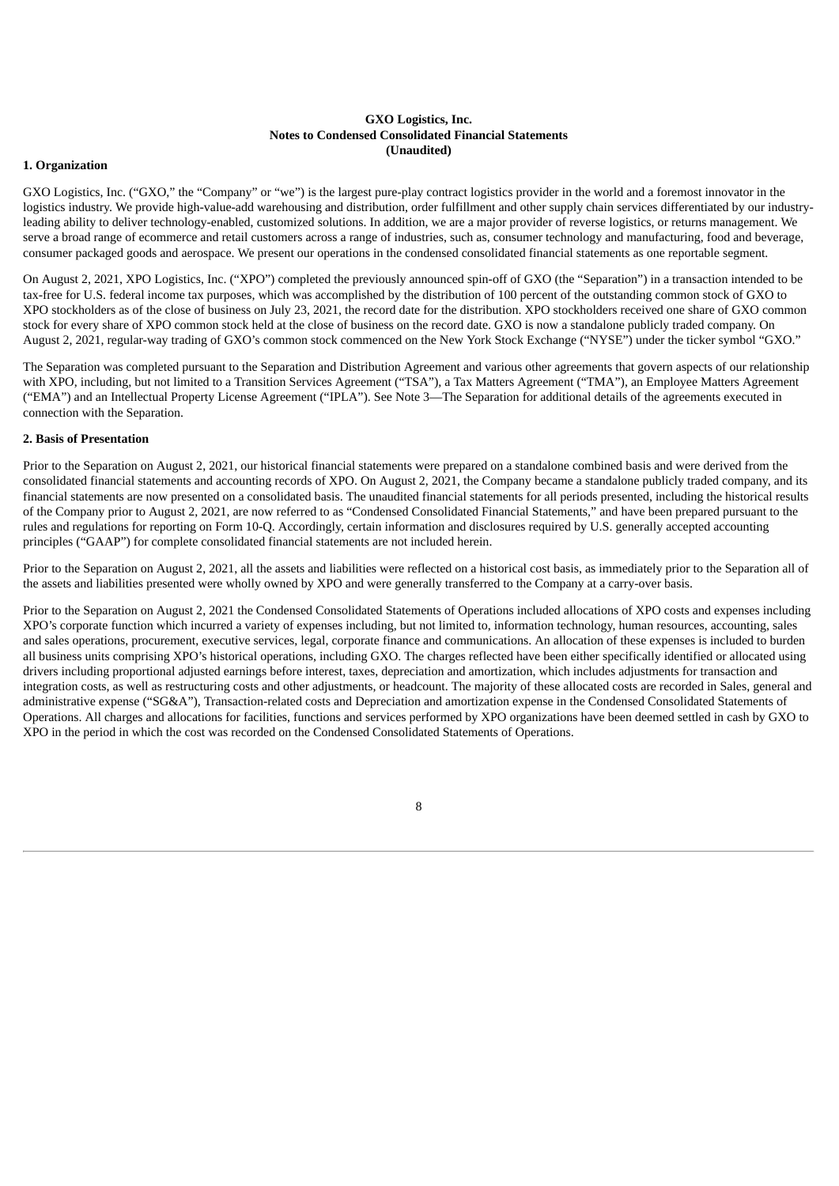### **GXO Logistics, Inc. Notes to Condensed Consolidated Financial Statements (Unaudited)**

### **1. Organization**

GXO Logistics, Inc. ("GXO," the "Company" or "we") is the largest pure-play contract logistics provider in the world and a foremost innovator in the logistics industry. We provide high-value-add warehousing and distribution, order fulfillment and other supply chain services differentiated by our industryleading ability to deliver technology-enabled, customized solutions. In addition, we are a major provider of reverse logistics, or returns management. We serve a broad range of ecommerce and retail customers across a range of industries, such as, consumer technology and manufacturing, food and beverage, consumer packaged goods and aerospace. We present our operations in the condensed consolidated financial statements as one reportable segment.

On August 2, 2021, XPO Logistics, Inc. ("XPO") completed the previously announced spin-off of GXO (the "Separation") in a transaction intended to be tax-free for U.S. federal income tax purposes, which was accomplished by the distribution of 100 percent of the outstanding common stock of GXO to XPO stockholders as of the close of business on July 23, 2021, the record date for the distribution. XPO stockholders received one share of GXO common stock for every share of XPO common stock held at the close of business on the record date. GXO is now a standalone publicly traded company. On August 2, 2021, regular-way trading of GXO's common stock commenced on the New York Stock Exchange ("NYSE") under the ticker symbol "GXO."

The Separation was completed pursuant to the Separation and Distribution Agreement and various other agreements that govern aspects of our relationship with XPO, including, but not limited to a Transition Services Agreement ("TSA"), a Tax Matters Agreement ("TMA"), an Employee Matters Agreement ("EMA") and an Intellectual Property License Agreement ("IPLA"). See Note 3—The Separation for additional details of the agreements executed in connection with the Separation.

#### **2. Basis of Presentation**

Prior to the Separation on August 2, 2021, our historical financial statements were prepared on a standalone combined basis and were derived from the consolidated financial statements and accounting records of XPO. On August 2, 2021, the Company became a standalone publicly traded company, and its financial statements are now presented on a consolidated basis. The unaudited financial statements for all periods presented, including the historical results of the Company prior to August 2, 2021, are now referred to as "Condensed Consolidated Financial Statements," and have been prepared pursuant to the rules and regulations for reporting on Form 10-Q. Accordingly, certain information and disclosures required by U.S. generally accepted accounting principles ("GAAP") for complete consolidated financial statements are not included herein.

Prior to the Separation on August 2, 2021, all the assets and liabilities were reflected on a historical cost basis, as immediately prior to the Separation all of the assets and liabilities presented were wholly owned by XPO and were generally transferred to the Company at a carry-over basis.

Prior to the Separation on August 2, 2021 the Condensed Consolidated Statements of Operations included allocations of XPO costs and expenses including XPO's corporate function which incurred a variety of expenses including, but not limited to, information technology, human resources, accounting, sales and sales operations, procurement, executive services, legal, corporate finance and communications. An allocation of these expenses is included to burden all business units comprising XPO's historical operations, including GXO. The charges reflected have been either specifically identified or allocated using drivers including proportional adjusted earnings before interest, taxes, depreciation and amortization, which includes adjustments for transaction and integration costs, as well as restructuring costs and other adjustments, or headcount. The majority of these allocated costs are recorded in Sales, general and administrative expense ("SG&A"), Transaction-related costs and Depreciation and amortization expense in the Condensed Consolidated Statements of Operations. All charges and allocations for facilities, functions and services performed by XPO organizations have been deemed settled in cash by GXO to XPO in the period in which the cost was recorded on the Condensed Consolidated Statements of Operations.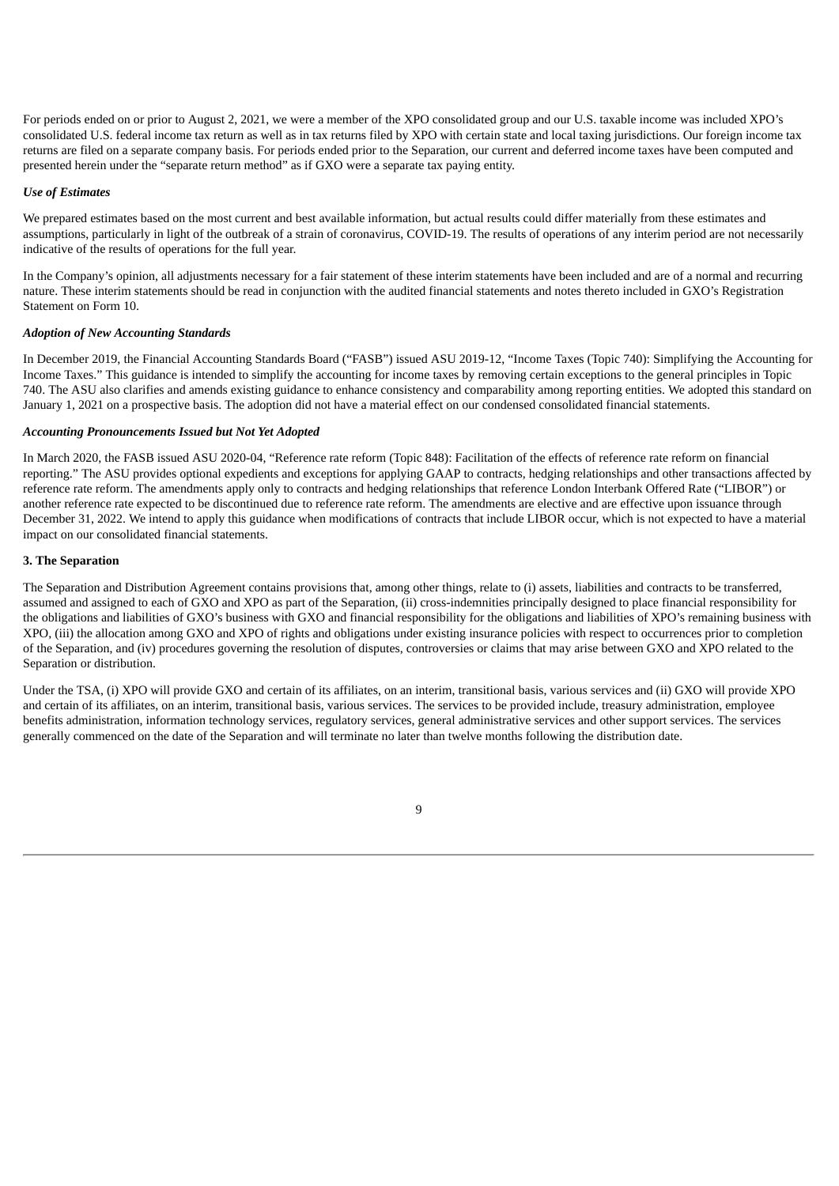For periods ended on or prior to August 2, 2021, we were a member of the XPO consolidated group and our U.S. taxable income was included XPO's consolidated U.S. federal income tax return as well as in tax returns filed by XPO with certain state and local taxing jurisdictions. Our foreign income tax returns are filed on a separate company basis. For periods ended prior to the Separation, our current and deferred income taxes have been computed and presented herein under the "separate return method" as if GXO were a separate tax paying entity.

#### *Use of Estimates*

We prepared estimates based on the most current and best available information, but actual results could differ materially from these estimates and assumptions, particularly in light of the outbreak of a strain of coronavirus, COVID-19. The results of operations of any interim period are not necessarily indicative of the results of operations for the full year.

In the Company's opinion, all adjustments necessary for a fair statement of these interim statements have been included and are of a normal and recurring nature. These interim statements should be read in conjunction with the audited financial statements and notes thereto included in GXO's Registration Statement on Form 10.

#### *Adoption of New Accounting Standards*

In December 2019, the Financial Accounting Standards Board ("FASB") issued ASU 2019-12, "Income Taxes (Topic 740): Simplifying the Accounting for Income Taxes." This guidance is intended to simplify the accounting for income taxes by removing certain exceptions to the general principles in Topic 740. The ASU also clarifies and amends existing guidance to enhance consistency and comparability among reporting entities. We adopted this standard on January 1, 2021 on a prospective basis. The adoption did not have a material effect on our condensed consolidated financial statements.

#### *Accounting Pronouncements Issued but Not Yet Adopted*

In March 2020, the FASB issued ASU 2020-04, "Reference rate reform (Topic 848): Facilitation of the effects of reference rate reform on financial reporting." The ASU provides optional expedients and exceptions for applying GAAP to contracts, hedging relationships and other transactions affected by reference rate reform. The amendments apply only to contracts and hedging relationships that reference London Interbank Offered Rate ("LIBOR") or another reference rate expected to be discontinued due to reference rate reform. The amendments are elective and are effective upon issuance through December 31, 2022. We intend to apply this guidance when modifications of contracts that include LIBOR occur, which is not expected to have a material impact on our consolidated financial statements.

#### **3. The Separation**

The Separation and Distribution Agreement contains provisions that, among other things, relate to (i) assets, liabilities and contracts to be transferred, assumed and assigned to each of GXO and XPO as part of the Separation, (ii) cross-indemnities principally designed to place financial responsibility for the obligations and liabilities of GXO's business with GXO and financial responsibility for the obligations and liabilities of XPO's remaining business with XPO, (iii) the allocation among GXO and XPO of rights and obligations under existing insurance policies with respect to occurrences prior to completion of the Separation, and (iv) procedures governing the resolution of disputes, controversies or claims that may arise between GXO and XPO related to the Separation or distribution.

Under the TSA, (i) XPO will provide GXO and certain of its affiliates, on an interim, transitional basis, various services and (ii) GXO will provide XPO and certain of its affiliates, on an interim, transitional basis, various services. The services to be provided include, treasury administration, employee benefits administration, information technology services, regulatory services, general administrative services and other support services. The services generally commenced on the date of the Separation and will terminate no later than twelve months following the distribution date.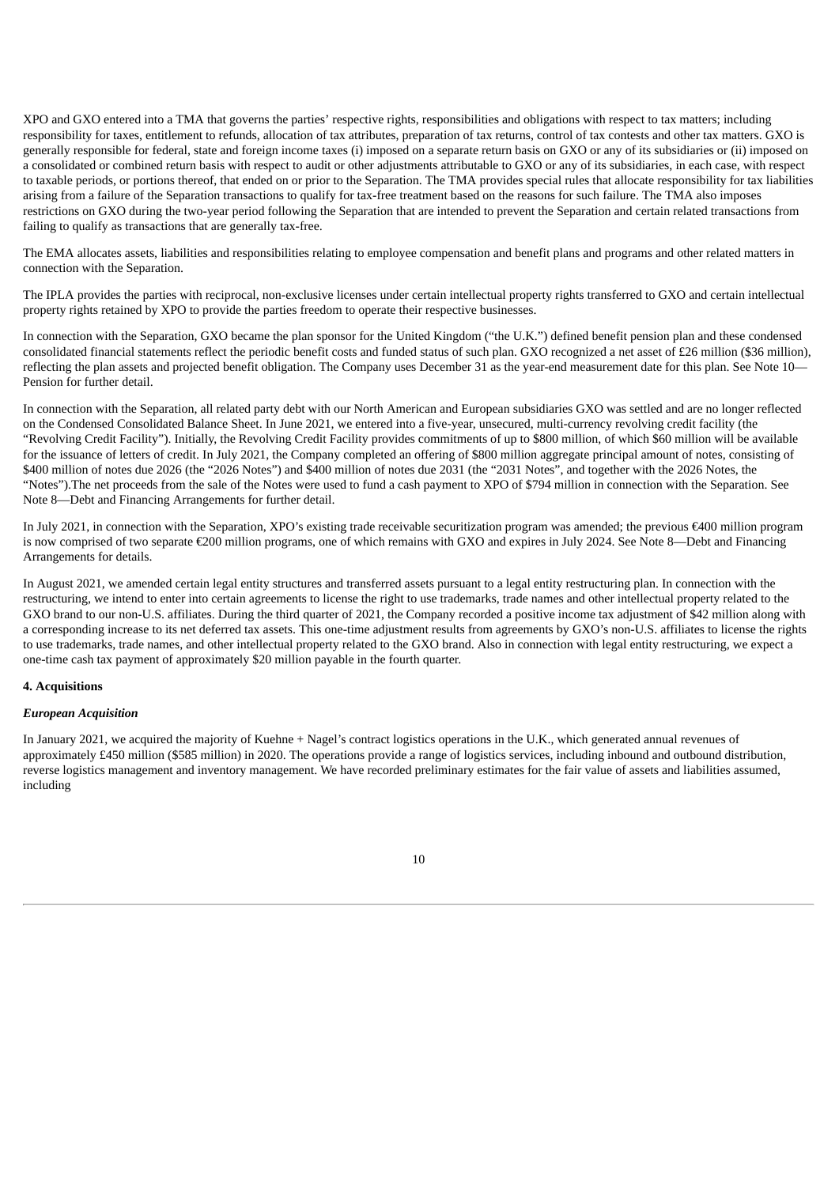XPO and GXO entered into a TMA that governs the parties' respective rights, responsibilities and obligations with respect to tax matters; including responsibility for taxes, entitlement to refunds, allocation of tax attributes, preparation of tax returns, control of tax contests and other tax matters. GXO is generally responsible for federal, state and foreign income taxes (i) imposed on a separate return basis on GXO or any of its subsidiaries or (ii) imposed on a consolidated or combined return basis with respect to audit or other adjustments attributable to GXO or any of its subsidiaries, in each case, with respect to taxable periods, or portions thereof, that ended on or prior to the Separation. The TMA provides special rules that allocate responsibility for tax liabilities arising from a failure of the Separation transactions to qualify for tax-free treatment based on the reasons for such failure. The TMA also imposes restrictions on GXO during the two-year period following the Separation that are intended to prevent the Separation and certain related transactions from failing to qualify as transactions that are generally tax-free.

The EMA allocates assets, liabilities and responsibilities relating to employee compensation and benefit plans and programs and other related matters in connection with the Separation.

The IPLA provides the parties with reciprocal, non-exclusive licenses under certain intellectual property rights transferred to GXO and certain intellectual property rights retained by XPO to provide the parties freedom to operate their respective businesses.

In connection with the Separation, GXO became the plan sponsor for the United Kingdom ("the U.K.") defined benefit pension plan and these condensed consolidated financial statements reflect the periodic benefit costs and funded status of such plan. GXO recognized a net asset of £26 million (\$36 million), reflecting the plan assets and projected benefit obligation. The Company uses December 31 as the year-end measurement date for this plan. See Note 10— Pension for further detail.

In connection with the Separation, all related party debt with our North American and European subsidiaries GXO was settled and are no longer reflected on the Condensed Consolidated Balance Sheet. In June 2021, we entered into a five-year, unsecured, multi-currency revolving credit facility (the "Revolving Credit Facility"). Initially, the Revolving Credit Facility provides commitments of up to \$800 million, of which \$60 million will be available for the issuance of letters of credit. In July 2021, the Company completed an offering of \$800 million aggregate principal amount of notes, consisting of \$400 million of notes due 2026 (the "2026 Notes") and \$400 million of notes due 2031 (the "2031 Notes", and together with the 2026 Notes, the "Notes").The net proceeds from the sale of the Notes were used to fund a cash payment to XPO of \$794 million in connection with the Separation. See Note 8—Debt and Financing Arrangements for further detail.

In July 2021, in connection with the Separation, XPO's existing trade receivable securitization program was amended; the previous €400 million program is now comprised of two separate €200 million programs, one of which remains with GXO and expires in July 2024. See Note 8—Debt and Financing Arrangements for details.

In August 2021, we amended certain legal entity structures and transferred assets pursuant to a legal entity restructuring plan. In connection with the restructuring, we intend to enter into certain agreements to license the right to use trademarks, trade names and other intellectual property related to the GXO brand to our non-U.S. affiliates. During the third quarter of 2021, the Company recorded a positive income tax adjustment of \$42 million along with a corresponding increase to its net deferred tax assets. This one-time adjustment results from agreements by GXO's non-U.S. affiliates to license the rights to use trademarks, trade names, and other intellectual property related to the GXO brand. Also in connection with legal entity restructuring, we expect a one-time cash tax payment of approximately \$20 million payable in the fourth quarter.

#### **4. Acquisitions**

#### *European Acquisition*

In January 2021, we acquired the majority of Kuehne + Nagel's contract logistics operations in the U.K., which generated annual revenues of approximately £450 million (\$585 million) in 2020. The operations provide a range of logistics services, including inbound and outbound distribution, reverse logistics management and inventory management. We have recorded preliminary estimates for the fair value of assets and liabilities assumed, including

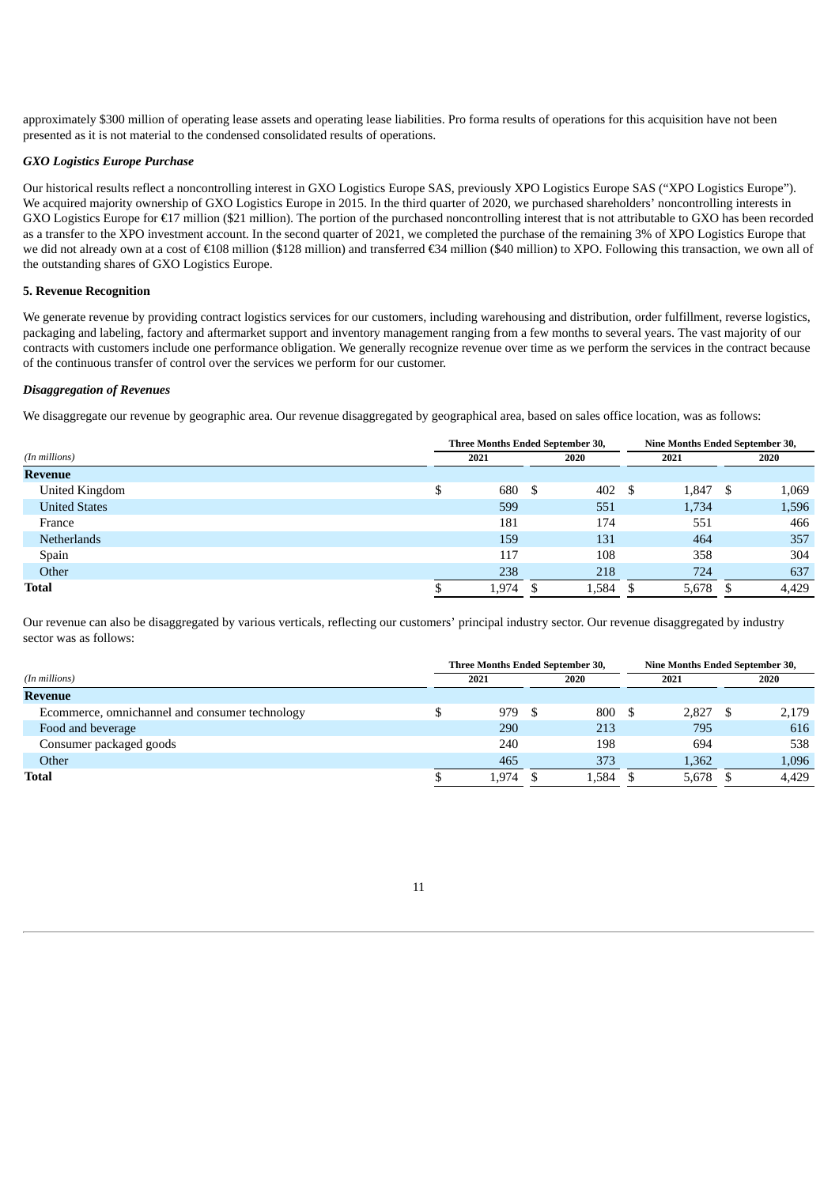approximately \$300 million of operating lease assets and operating lease liabilities. Pro forma results of operations for this acquisition have not been presented as it is not material to the condensed consolidated results of operations.

#### *GXO Logistics Europe Purchase*

Our historical results reflect a noncontrolling interest in GXO Logistics Europe SAS, previously XPO Logistics Europe SAS ("XPO Logistics Europe"). We acquired majority ownership of GXO Logistics Europe in 2015. In the third quarter of 2020, we purchased shareholders' noncontrolling interests in GXO Logistics Europe for €17 million (\$21 million). The portion of the purchased noncontrolling interest that is not attributable to GXO has been recorded as a transfer to the XPO investment account. In the second quarter of 2021, we completed the purchase of the remaining 3% of XPO Logistics Europe that we did not already own at a cost of €108 million (\$128 million) and transferred €34 million (\$40 million) to XPO. Following this transaction, we own all of the outstanding shares of GXO Logistics Europe.

### **5. Revenue Recognition**

We generate revenue by providing contract logistics services for our customers, including warehousing and distribution, order fulfillment, reverse logistics, packaging and labeling, factory and aftermarket support and inventory management ranging from a few months to several years. The vast majority of our contracts with customers include one performance obligation. We generally recognize revenue over time as we perform the services in the contract because of the continuous transfer of control over the services we perform for our customer.

#### *Disaggregation of Revenues*

We disaggregate our revenue by geographic area. Our revenue disaggregated by geographical area, based on sales office location, was as follows:

|                       |                      |       |    | Three Months Ended September 30, | Nine Months Ended September 30, |       |     |       |  |  |
|-----------------------|----------------------|-------|----|----------------------------------|---------------------------------|-------|-----|-------|--|--|
| (In millions)         | 2021<br>2020<br>2021 |       |    |                                  | 2020                            |       |     |       |  |  |
| <b>Revenue</b>        |                      |       |    |                                  |                                 |       |     |       |  |  |
| <b>United Kingdom</b> | \$                   | 680   | -S | 402                              | - \$                            | 1,847 | - S | 1,069 |  |  |
| <b>United States</b>  |                      | 599   |    | 551                              |                                 | 1,734 |     | 1,596 |  |  |
| France                |                      | 181   |    | 174                              |                                 | 551   |     | 466   |  |  |
| <b>Netherlands</b>    |                      | 159   |    | 131                              |                                 | 464   |     | 357   |  |  |
| Spain                 |                      | 117   |    | 108                              |                                 | 358   |     | 304   |  |  |
| Other                 |                      | 238   |    | 218                              |                                 | 724   |     | 637   |  |  |
| <b>Total</b>          |                      | 1,974 |    | 1,584                            |                                 | 5,678 |     | 4,429 |  |  |

Our revenue can also be disaggregated by various verticals, reflecting our customers' principal industry sector. Our revenue disaggregated by industry sector was as follows:

|                                                |              |  | Nine Months Ended September 30, |                                  |        |      |       |
|------------------------------------------------|--------------|--|---------------------------------|----------------------------------|--------|------|-------|
| (In millions)                                  | 2021<br>2020 |  |                                 |                                  | 2021   | 2020 |       |
| <b>Revenue</b>                                 |              |  |                                 |                                  |        |      |       |
| Ecommerce, omnichannel and consumer technology | 979          |  |                                 |                                  |        |      | 2,179 |
| Food and beverage                              | 290          |  | 213                             |                                  | 795    |      | 616   |
| Consumer packaged goods                        | 240          |  | 198                             |                                  | 694    |      | 538   |
| Other                                          | 465          |  | 373                             |                                  | 1,362  |      | 1,096 |
| <b>Total</b>                                   | 1,974        |  | 1,584                           |                                  | 5,678  |      | 4,429 |
|                                                |              |  |                                 | Three Months Ended September 30, | 800 \$ |      | 2.827 |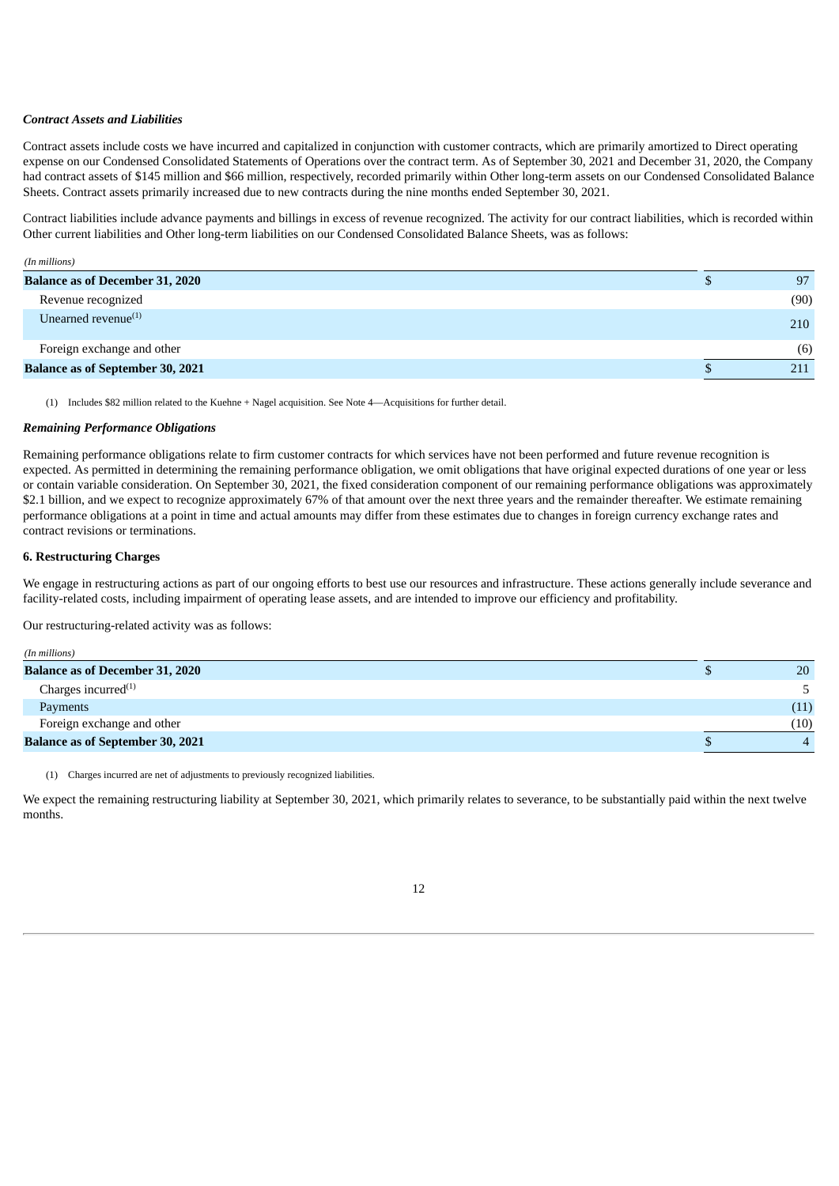#### *Contract Assets and Liabilities*

Contract assets include costs we have incurred and capitalized in conjunction with customer contracts, which are primarily amortized to Direct operating expense on our Condensed Consolidated Statements of Operations over the contract term. As of September 30, 2021 and December 31, 2020, the Company had contract assets of \$145 million and \$66 million, respectively, recorded primarily within Other long-term assets on our Condensed Consolidated Balance Sheets. Contract assets primarily increased due to new contracts during the nine months ended September 30, 2021.

Contract liabilities include advance payments and billings in excess of revenue recognized. The activity for our contract liabilities, which is recorded within Other current liabilities and Other long-term liabilities on our Condensed Consolidated Balance Sheets, was as follows:

| (In millions)                           |      |
|-----------------------------------------|------|
| <b>Balance as of December 31, 2020</b>  | 97   |
| Revenue recognized                      | (90) |
| Unearned revenue $^{(1)}$               | 210  |
| Foreign exchange and other              | (6)  |
| <b>Balance as of September 30, 2021</b> | 211  |

(1) Includes \$82 million related to the Kuehne + Nagel acquisition. See Note 4—Acquisitions for further detail.

#### *Remaining Performance Obligations*

Remaining performance obligations relate to firm customer contracts for which services have not been performed and future revenue recognition is expected. As permitted in determining the remaining performance obligation, we omit obligations that have original expected durations of one year or less or contain variable consideration. On September 30, 2021, the fixed consideration component of our remaining performance obligations was approximately \$2.1 billion, and we expect to recognize approximately 67% of that amount over the next three years and the remainder thereafter. We estimate remaining performance obligations at a point in time and actual amounts may differ from these estimates due to changes in foreign currency exchange rates and contract revisions or terminations.

#### **6. Restructuring Charges**

*(In millions)*

We engage in restructuring actions as part of our ongoing efforts to best use our resources and infrastructure. These actions generally include severance and facility-related costs, including impairment of operating lease assets, and are intended to improve our efficiency and profitability.

Our restructuring-related activity was as follows:

| $\mu$ $\mu$ $\mu$ $\mu$ $\mu$ $\mu$ $\mu$ $\mu$ |      |
|-------------------------------------------------|------|
| <b>Balance as of December 31, 2020</b>          | 20   |
| Charges incurred $(1)$                          |      |
| <b>Payments</b>                                 | (11) |
| Foreign exchange and other                      | (10) |
| <b>Balance as of September 30, 2021</b>         |      |

(1) Charges incurred are net of adjustments to previously recognized liabilities.

We expect the remaining restructuring liability at September 30, 2021, which primarily relates to severance, to be substantially paid within the next twelve months.

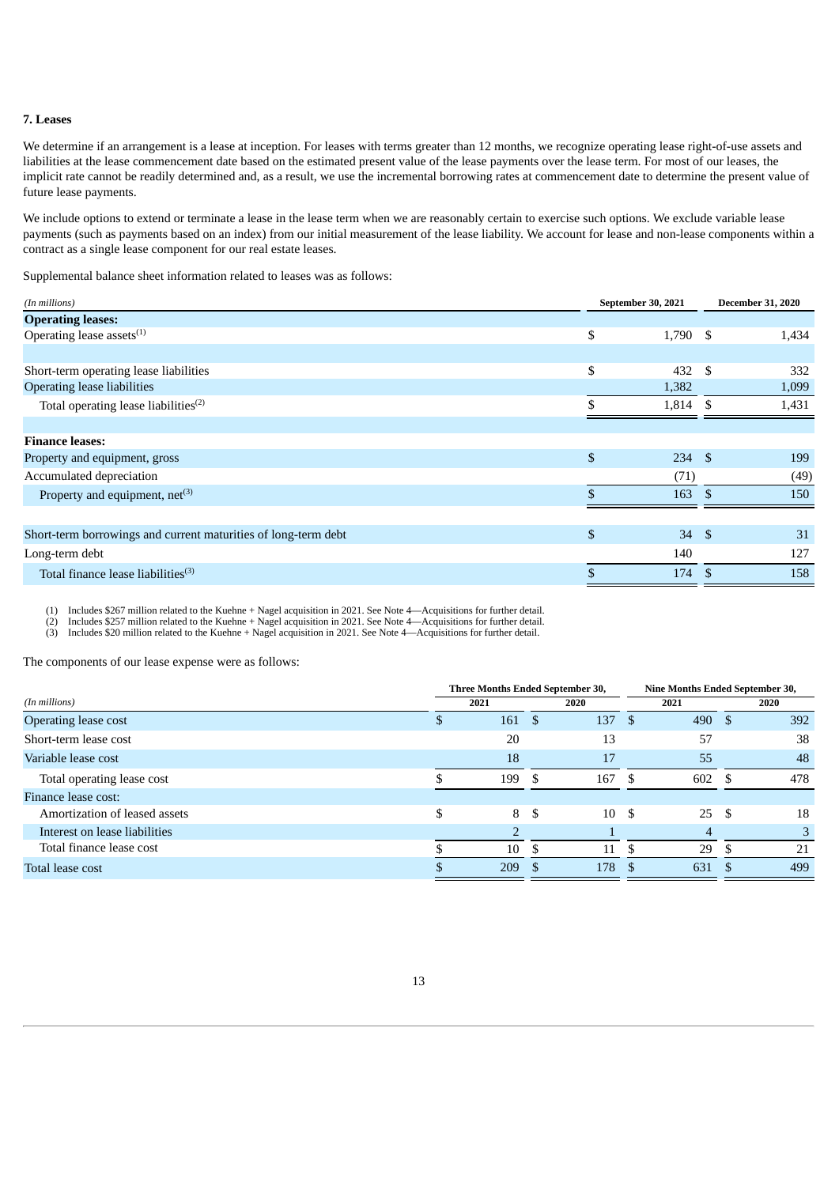### **7. Leases**

We determine if an arrangement is a lease at inception. For leases with terms greater than 12 months, we recognize operating lease right-of-use assets and liabilities at the lease commencement date based on the estimated present value of the lease payments over the lease term. For most of our leases, the implicit rate cannot be readily determined and, as a result, we use the incremental borrowing rates at commencement date to determine the present value of future lease payments.

We include options to extend or terminate a lease in the lease term when we are reasonably certain to exercise such options. We exclude variable lease payments (such as payments based on an index) from our initial measurement of the lease liability. We account for lease and non-lease components within a contract as a single lease component for our real estate leases.

Supplemental balance sheet information related to leases was as follows:

| (In millions)                                                  |                | September 30, 2021 |               | <b>December 31, 2020</b> |
|----------------------------------------------------------------|----------------|--------------------|---------------|--------------------------|
| <b>Operating leases:</b>                                       |                |                    |               |                          |
| Operating lease assets $^{(1)}$                                | \$             | 1,790 \$           |               | 1,434                    |
|                                                                |                |                    |               |                          |
| Short-term operating lease liabilities                         | \$             | 432                | - \$          | 332                      |
| <b>Operating lease liabilities</b>                             |                | 1,382              |               | 1,099                    |
| Total operating lease liabilities $(2)$                        |                | 1,814              | -\$           | 1,431                    |
|                                                                |                |                    |               |                          |
| <b>Finance leases:</b>                                         |                |                    |               |                          |
| Property and equipment, gross                                  | $\mathbb{S}$   | $234 \text{ } $s$  |               | 199                      |
| Accumulated depreciation                                       |                | (71)               |               | (49)                     |
| Property and equipment, $net^{(3)}$                            |                | 163                | $\mathcal{S}$ | 150                      |
|                                                                |                |                    |               |                          |
| Short-term borrowings and current maturities of long-term debt | $\mathbb{S}$   | 34S                |               | 31                       |
| Long-term debt                                                 |                | 140                |               | 127                      |
| Total finance lease liabilities <sup>(3)</sup>                 | $\mathfrak{L}$ | 174                | \$            | 158                      |

(1) Includes \$267 million related to the Kuehne + Nagel acquisition in 2021. See Note 4—Acquisitions for further detail.

(2) Includes \$257 million related to the Kuehne + Nagel acquisition in 2021. See Note 4—Acquisitions for further detail.<br>(3) Includes \$20 million related to the Kuehne + Nagel acquisition in 2021. See Note 4—Acquisitions f

(3) Includes \$20 million related to the Kuehne + Nagel acquisition in 2021. See Note 4—Acquisitions for further detail.

The components of our lease expense were as follows:

| <b>Three Months Ended September 30,</b> |      |     |      |               | <b>Nine Months Ended September 30,</b> |  |                              |  |
|-----------------------------------------|------|-----|------|---------------|----------------------------------------|--|------------------------------|--|
|                                         | 2021 |     | 2020 |               | 2021                                   |  | 2020                         |  |
|                                         | 161  | -S  | 137  | -S            | 490                                    |  | 392                          |  |
|                                         | 20   |     | 13   |               | 57                                     |  | 38                           |  |
|                                         | 18   |     | 17   |               | 55                                     |  | 48                           |  |
|                                         | 199  | .S  | 167  | -S            | 602                                    |  | 478                          |  |
|                                         |      |     |      |               |                                        |  |                              |  |
| \$                                      | 8    | -\$ | 10   | - \$          | 25                                     |  | 18                           |  |
|                                         |      |     |      |               | 4                                      |  | 3.                           |  |
|                                         | 10   |     | 11   |               | 29                                     |  | 21                           |  |
|                                         | 209  |     | 178  | <sup>\$</sup> | 631                                    |  | 499                          |  |
|                                         |      |     |      |               |                                        |  | $\mathbb{S}$<br>- \$<br>- \$ |  |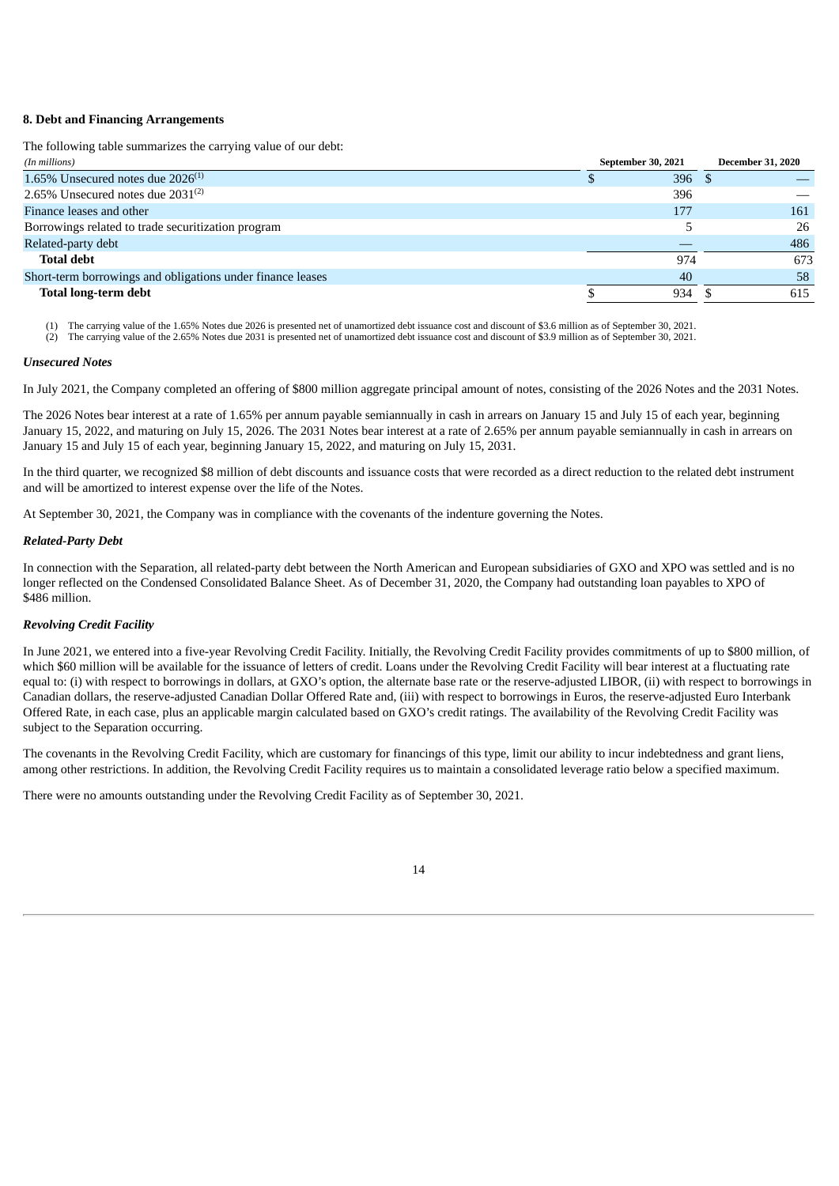#### **8. Debt and Financing Arrangements**

The following table summarizes the carrying value of our debt:

| (In millions)                                              | <b>September 30, 2021</b> | <b>December 31, 2020</b> |
|------------------------------------------------------------|---------------------------|--------------------------|
| 1.65% Unsecured notes due $2026^{(1)}$                     | 396                       |                          |
| 2.65% Unsecured notes due $2031^{(2)}$                     | 396                       |                          |
| Finance leases and other                                   | 177                       | 161                      |
| Borrowings related to trade securitization program         |                           | 26                       |
| Related-party debt                                         |                           | 486                      |
| <b>Total debt</b>                                          | 974                       | 673                      |
| Short-term borrowings and obligations under finance leases | 40                        | 58                       |
| <b>Total long-term debt</b>                                | 934                       | 615                      |

(1) The carrying value of the 1.65% Notes due 2026 is presented net of unamortized debt issuance cost and discount of \$3.6 million as of September 30, 2021.

(2) The carrying value of the 2.65% Notes due 2031 is presented net of unamortized debt issuance cost and discount of \$3.9 million as of September 30, 2021.

#### *Unsecured Notes*

In July 2021, the Company completed an offering of \$800 million aggregate principal amount of notes, consisting of the 2026 Notes and the 2031 Notes.

The 2026 Notes bear interest at a rate of 1.65% per annum payable semiannually in cash in arrears on January 15 and July 15 of each year, beginning January 15, 2022, and maturing on July 15, 2026. The 2031 Notes bear interest at a rate of 2.65% per annum payable semiannually in cash in arrears on January 15 and July 15 of each year, beginning January 15, 2022, and maturing on July 15, 2031.

In the third quarter, we recognized \$8 million of debt discounts and issuance costs that were recorded as a direct reduction to the related debt instrument and will be amortized to interest expense over the life of the Notes.

At September 30, 2021, the Company was in compliance with the covenants of the indenture governing the Notes.

#### *Related-Party Debt*

In connection with the Separation, all related-party debt between the North American and European subsidiaries of GXO and XPO was settled and is no longer reflected on the Condensed Consolidated Balance Sheet. As of December 31, 2020, the Company had outstanding loan payables to XPO of \$486 million.

### *Revolving Credit Facility*

In June 2021, we entered into a five-year Revolving Credit Facility. Initially, the Revolving Credit Facility provides commitments of up to \$800 million, of which \$60 million will be available for the issuance of letters of credit. Loans under the Revolving Credit Facility will bear interest at a fluctuating rate equal to: (i) with respect to borrowings in dollars, at GXO's option, the alternate base rate or the reserve-adjusted LIBOR, (ii) with respect to borrowings in Canadian dollars, the reserve-adjusted Canadian Dollar Offered Rate and, (iii) with respect to borrowings in Euros, the reserve-adjusted Euro Interbank Offered Rate, in each case, plus an applicable margin calculated based on GXO's credit ratings. The availability of the Revolving Credit Facility was subject to the Separation occurring.

The covenants in the Revolving Credit Facility, which are customary for financings of this type, limit our ability to incur indebtedness and grant liens, among other restrictions. In addition, the Revolving Credit Facility requires us to maintain a consolidated leverage ratio below a specified maximum.

There were no amounts outstanding under the Revolving Credit Facility as of September 30, 2021.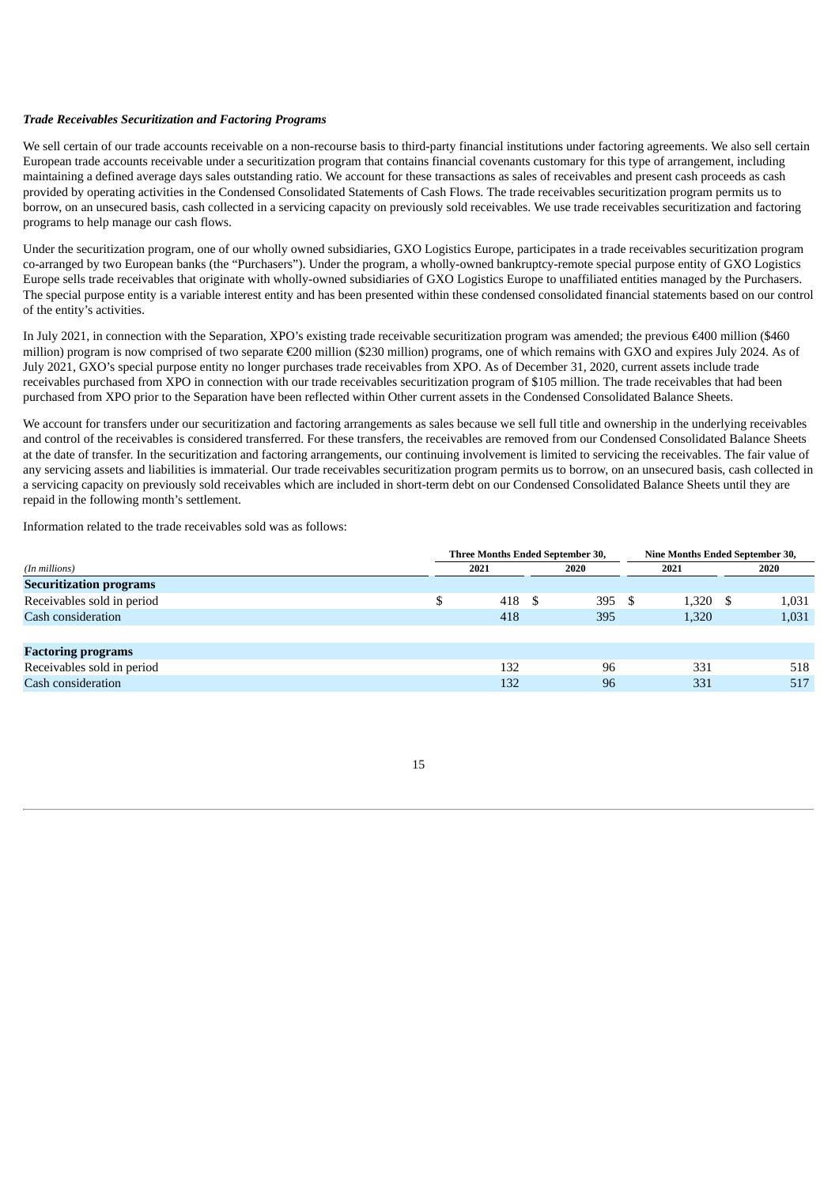#### *Trade Receivables Securitization and Factoring Programs*

We sell certain of our trade accounts receivable on a non-recourse basis to third-party financial institutions under factoring agreements. We also sell certain European trade accounts receivable under a securitization program that contains financial covenants customary for this type of arrangement, including maintaining a defined average days sales outstanding ratio. We account for these transactions as sales of receivables and present cash proceeds as cash provided by operating activities in the Condensed Consolidated Statements of Cash Flows. The trade receivables securitization program permits us to borrow, on an unsecured basis, cash collected in a servicing capacity on previously sold receivables. We use trade receivables securitization and factoring programs to help manage our cash flows.

Under the securitization program, one of our wholly owned subsidiaries, GXO Logistics Europe, participates in a trade receivables securitization program co-arranged by two European banks (the "Purchasers"). Under the program, a wholly-owned bankruptcy-remote special purpose entity of GXO Logistics Europe sells trade receivables that originate with wholly-owned subsidiaries of GXO Logistics Europe to unaffiliated entities managed by the Purchasers. The special purpose entity is a variable interest entity and has been presented within these condensed consolidated financial statements based on our control of the entity's activities.

In July 2021, in connection with the Separation, XPO's existing trade receivable securitization program was amended; the previous €400 million (\$460 million) program is now comprised of two separate €200 million (\$230 million) programs, one of which remains with GXO and expires July 2024. As of July 2021, GXO's special purpose entity no longer purchases trade receivables from XPO. As of December 31, 2020, current assets include trade receivables purchased from XPO in connection with our trade receivables securitization program of \$105 million. The trade receivables that had been purchased from XPO prior to the Separation have been reflected within Other current assets in the Condensed Consolidated Balance Sheets.

We account for transfers under our securitization and factoring arrangements as sales because we sell full title and ownership in the underlying receivables and control of the receivables is considered transferred. For these transfers, the receivables are removed from our Condensed Consolidated Balance Sheets at the date of transfer. In the securitization and factoring arrangements, our continuing involvement is limited to servicing the receivables. The fair value of any servicing assets and liabilities is immaterial. Our trade receivables securitization program permits us to borrow, on an unsecured basis, cash collected in a servicing capacity on previously sold receivables which are included in short-term debt on our Condensed Consolidated Balance Sheets until they are repaid in the following month's settlement.

Information related to the trade receivables sold was as follows:

|                                |  | <b>Three Months Ended September 30,</b> |  | Nine Months Ended September 30, |  |            |  |       |
|--------------------------------|--|-----------------------------------------|--|---------------------------------|--|------------|--|-------|
| (In millions)                  |  | 2021                                    |  | 2020                            |  | 2021       |  | 2020  |
| <b>Securitization programs</b> |  |                                         |  |                                 |  |            |  |       |
| Receivables sold in period     |  | 418 \$                                  |  | 395S                            |  | $1,320$ \$ |  | 1,031 |
| Cash consideration             |  | 418                                     |  | 395                             |  | 1,320      |  | 1,031 |
|                                |  |                                         |  |                                 |  |            |  |       |
| <b>Factoring programs</b>      |  |                                         |  |                                 |  |            |  |       |
| Receivables sold in period     |  | 132                                     |  | 96                              |  | 331        |  | 518   |
| Cash consideration             |  | 132                                     |  | 96                              |  | 331        |  | 517   |
|                                |  |                                         |  |                                 |  |            |  |       |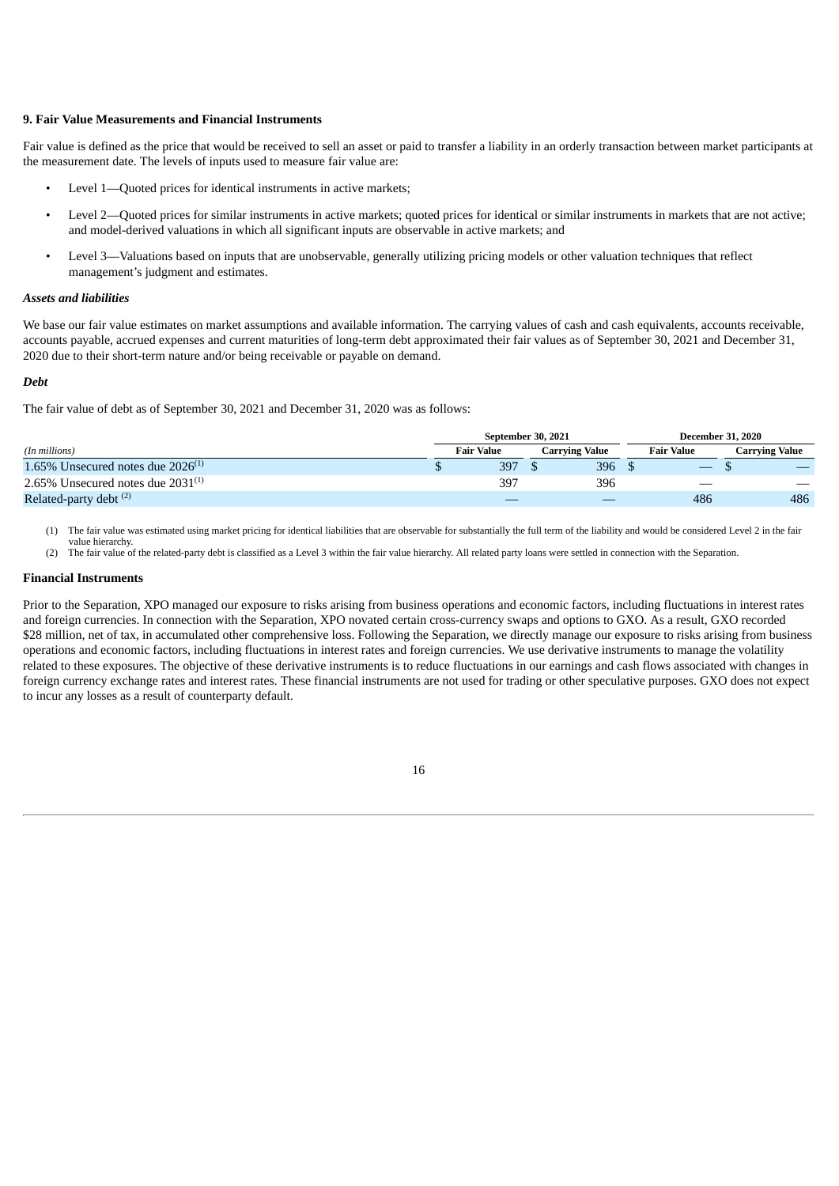#### **9. Fair Value Measurements and Financial Instruments**

Fair value is defined as the price that would be received to sell an asset or paid to transfer a liability in an orderly transaction between market participants at the measurement date. The levels of inputs used to measure fair value are:

- Level 1—Quoted prices for identical instruments in active markets;
- Level 2—Quoted prices for similar instruments in active markets; quoted prices for identical or similar instruments in markets that are not active; and model-derived valuations in which all significant inputs are observable in active markets; and
- Level 3—Valuations based on inputs that are unobservable, generally utilizing pricing models or other valuation techniques that reflect management's judgment and estimates.

#### *Assets and liabilities*

We base our fair value estimates on market assumptions and available information. The carrying values of cash and cash equivalents, accounts receivable, accounts payable, accrued expenses and current maturities of long-term debt approximated their fair values as of September 30, 2021 and December 31, 2020 due to their short-term nature and/or being receivable or payable on demand.

#### *Debt*

The fair value of debt as of September 30, 2021 and December 31, 2020 was as follows:

|                                        | September 30, 2021 |     |  |                       | <b>December 31, 2020</b> |                   |                |     |  |
|----------------------------------------|--------------------|-----|--|-----------------------|--------------------------|-------------------|----------------|-----|--|
| (In millions)                          | <b>Fair Value</b>  |     |  | <b>Carrying Value</b> |                          | <b>Fair Value</b> | Carrving Value |     |  |
| 1.65% Unsecured notes due $2026^{(1)}$ |                    | 397 |  | 396                   |                          |                   |                |     |  |
| 2.65% Unsecured notes due $2031^{(1)}$ |                    | 397 |  | 396                   |                          | __                |                |     |  |
| Related-party debt $(2)$               |                    |     |  |                       |                          | 486               |                | 486 |  |

(1) The fair value was estimated using market pricing for identical liabilities that are observable for substantially the full term of the liability and would be considered Level 2 in the fair value hierarchy.

(2) The fair value of the related-party debt is classified as a Level 3 within the fair value hierarchy. All related party loans were settled in connection with the Separation.

### **Financial Instruments**

Prior to the Separation, XPO managed our exposure to risks arising from business operations and economic factors, including fluctuations in interest rates and foreign currencies. In connection with the Separation, XPO novated certain cross-currency swaps and options to GXO. As a result, GXO recorded \$28 million, net of tax, in accumulated other comprehensive loss. Following the Separation, we directly manage our exposure to risks arising from business operations and economic factors, including fluctuations in interest rates and foreign currencies. We use derivative instruments to manage the volatility related to these exposures. The objective of these derivative instruments is to reduce fluctuations in our earnings and cash flows associated with changes in foreign currency exchange rates and interest rates. These financial instruments are not used for trading or other speculative purposes. GXO does not expect to incur any losses as a result of counterparty default.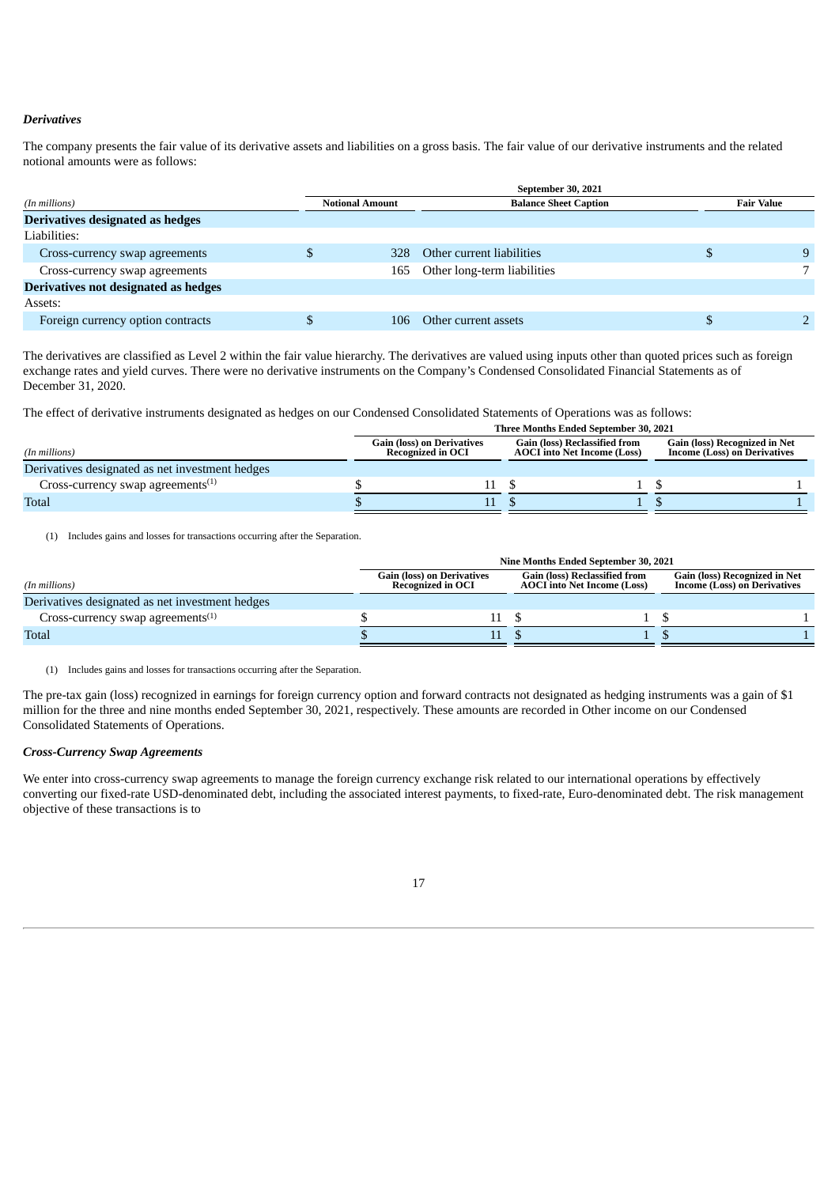### *Derivatives*

The company presents the fair value of its derivative assets and liabilities on a gross basis. The fair value of our derivative instruments and the related notional amounts were as follows:

| (In millions)                        | <b>Notional Amount</b> |            | <b>Balance Sheet Caption</b>    | <b>Fair Value</b> |
|--------------------------------------|------------------------|------------|---------------------------------|-------------------|
| Derivatives designated as hedges     |                        |            |                                 |                   |
| Liabilities:                         |                        |            |                                 |                   |
| Cross-currency swap agreements       |                        | <b>328</b> | Other current liabilities       | 9                 |
| Cross-currency swap agreements       |                        |            | 165 Other long-term liabilities |                   |
| Derivatives not designated as hedges |                        |            |                                 |                   |
| Assets:                              |                        |            |                                 |                   |
| Foreign currency option contracts    |                        | 106.       | Other current assets            |                   |

The derivatives are classified as Level 2 within the fair value hierarchy. The derivatives are valued using inputs other than quoted prices such as foreign exchange rates and yield curves. There were no derivative instruments on the Company's Condensed Consolidated Financial Statements as of December 31, 2020.

The effect of derivative instruments designated as hedges on our Condensed Consolidated Statements of Operations was as follows:

|                                                 |                                                                                                                                                                                                                     | Three Months Ended September 30, 2021 |  |  |  |  |  |  |  |  |  |
|-------------------------------------------------|---------------------------------------------------------------------------------------------------------------------------------------------------------------------------------------------------------------------|---------------------------------------|--|--|--|--|--|--|--|--|--|
| (In millions)                                   | <b>Gain (loss) Reclassified from</b><br>Gain (loss) Recognized in Net<br><b>Gain (loss) on Derivatives</b><br><b>Recognized in OCI</b><br><b>AOCI</b> into Net Income (Loss)<br><b>Income (Loss) on Derivatives</b> |                                       |  |  |  |  |  |  |  |  |  |
| Derivatives designated as net investment hedges |                                                                                                                                                                                                                     |                                       |  |  |  |  |  |  |  |  |  |
| $Cross-currency$ swap agreements <sup>(1)</sup> |                                                                                                                                                                                                                     | 11                                    |  |  |  |  |  |  |  |  |  |
| Total                                           |                                                                                                                                                                                                                     | 11                                    |  |  |  |  |  |  |  |  |  |

(1) Includes gains and losses for transactions occurring after the Separation.

|                                                 | Nine Months Ended September 30, 2021                                                                                                                                                                                       |  |  |  |  |  |  |  |  |
|-------------------------------------------------|----------------------------------------------------------------------------------------------------------------------------------------------------------------------------------------------------------------------------|--|--|--|--|--|--|--|--|
| (In millions)                                   | <b>Gain (loss) Reclassified from</b><br><b>Gain (loss) on Derivatives</b><br><b>Gain (loss) Recognized in Net</b><br><b>Recognized in OCI</b><br><b>AOCI</b> into Net Income (Loss)<br><b>Income (Loss) on Derivatives</b> |  |  |  |  |  |  |  |  |
| Derivatives designated as net investment hedges |                                                                                                                                                                                                                            |  |  |  |  |  |  |  |  |
| $Cross-currency$ swap agreements <sup>(1)</sup> |                                                                                                                                                                                                                            |  |  |  |  |  |  |  |  |
| Total                                           |                                                                                                                                                                                                                            |  |  |  |  |  |  |  |  |

(1) Includes gains and losses for transactions occurring after the Separation.

The pre-tax gain (loss) recognized in earnings for foreign currency option and forward contracts not designated as hedging instruments was a gain of \$1 million for the three and nine months ended September 30, 2021, respectively. These amounts are recorded in Other income on our Condensed Consolidated Statements of Operations.

#### *Cross-Currency Swap Agreements*

We enter into cross-currency swap agreements to manage the foreign currency exchange risk related to our international operations by effectively converting our fixed-rate USD-denominated debt, including the associated interest payments, to fixed-rate, Euro-denominated debt. The risk management objective of these transactions is to

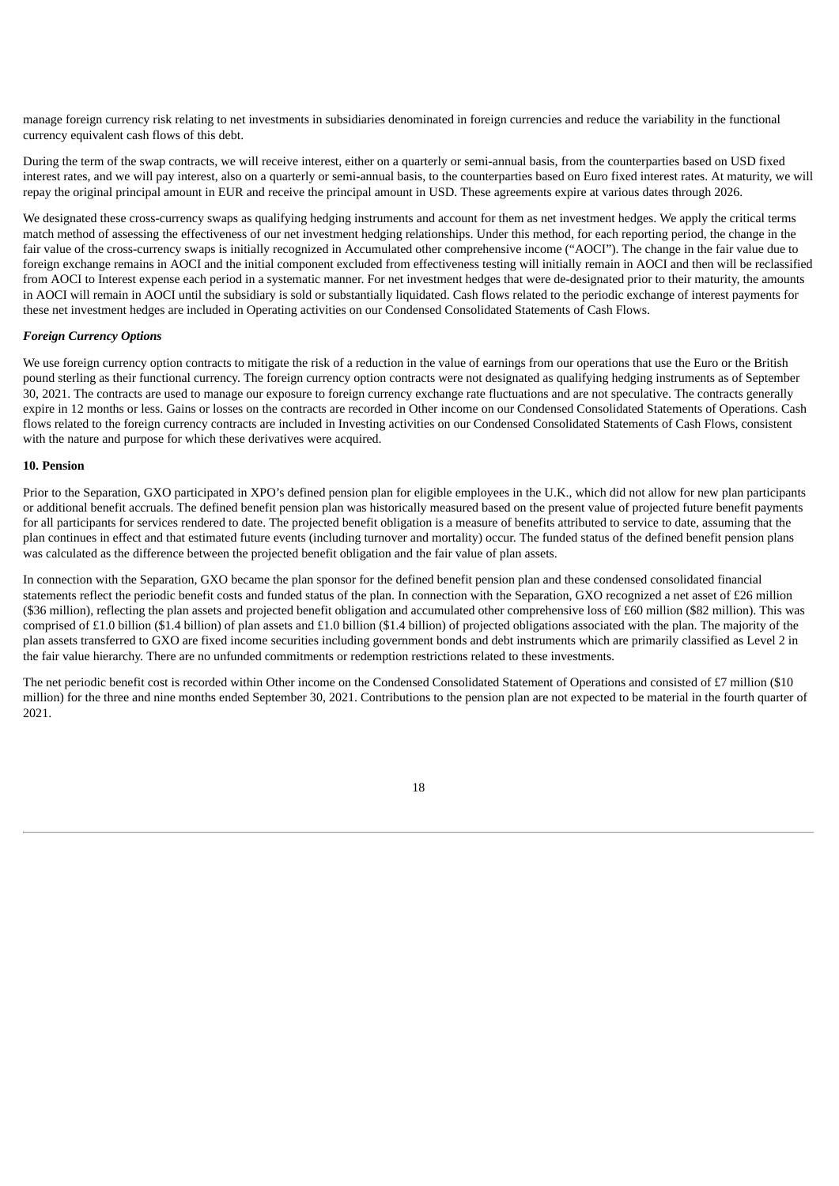manage foreign currency risk relating to net investments in subsidiaries denominated in foreign currencies and reduce the variability in the functional currency equivalent cash flows of this debt.

During the term of the swap contracts, we will receive interest, either on a quarterly or semi-annual basis, from the counterparties based on USD fixed interest rates, and we will pay interest, also on a quarterly or semi-annual basis, to the counterparties based on Euro fixed interest rates. At maturity, we will repay the original principal amount in EUR and receive the principal amount in USD. These agreements expire at various dates through 2026.

We designated these cross-currency swaps as qualifying hedging instruments and account for them as net investment hedges. We apply the critical terms match method of assessing the effectiveness of our net investment hedging relationships. Under this method, for each reporting period, the change in the fair value of the cross-currency swaps is initially recognized in Accumulated other comprehensive income ("AOCI"). The change in the fair value due to foreign exchange remains in AOCI and the initial component excluded from effectiveness testing will initially remain in AOCI and then will be reclassified from AOCI to Interest expense each period in a systematic manner. For net investment hedges that were de-designated prior to their maturity, the amounts in AOCI will remain in AOCI until the subsidiary is sold or substantially liquidated. Cash flows related to the periodic exchange of interest payments for these net investment hedges are included in Operating activities on our Condensed Consolidated Statements of Cash Flows.

### *Foreign Currency Options*

We use foreign currency option contracts to mitigate the risk of a reduction in the value of earnings from our operations that use the Euro or the British pound sterling as their functional currency. The foreign currency option contracts were not designated as qualifying hedging instruments as of September 30, 2021. The contracts are used to manage our exposure to foreign currency exchange rate fluctuations and are not speculative. The contracts generally expire in 12 months or less. Gains or losses on the contracts are recorded in Other income on our Condensed Consolidated Statements of Operations. Cash flows related to the foreign currency contracts are included in Investing activities on our Condensed Consolidated Statements of Cash Flows, consistent with the nature and purpose for which these derivatives were acquired.

#### **10. Pension**

Prior to the Separation, GXO participated in XPO's defined pension plan for eligible employees in the U.K., which did not allow for new plan participants or additional benefit accruals. The defined benefit pension plan was historically measured based on the present value of projected future benefit payments for all participants for services rendered to date. The projected benefit obligation is a measure of benefits attributed to service to date, assuming that the plan continues in effect and that estimated future events (including turnover and mortality) occur. The funded status of the defined benefit pension plans was calculated as the difference between the projected benefit obligation and the fair value of plan assets.

In connection with the Separation, GXO became the plan sponsor for the defined benefit pension plan and these condensed consolidated financial statements reflect the periodic benefit costs and funded status of the plan. In connection with the Separation, GXO recognized a net asset of £26 million (\$36 million), reflecting the plan assets and projected benefit obligation and accumulated other comprehensive loss of £60 million (\$82 million). This was comprised of £1.0 billion (\$1.4 billion) of plan assets and £1.0 billion (\$1.4 billion) of projected obligations associated with the plan. The majority of the plan assets transferred to GXO are fixed income securities including government bonds and debt instruments which are primarily classified as Level 2 in the fair value hierarchy. There are no unfunded commitments or redemption restrictions related to these investments.

The net periodic benefit cost is recorded within Other income on the Condensed Consolidated Statement of Operations and consisted of £7 million (\$10 million) for the three and nine months ended September 30, 2021. Contributions to the pension plan are not expected to be material in the fourth quarter of 2021.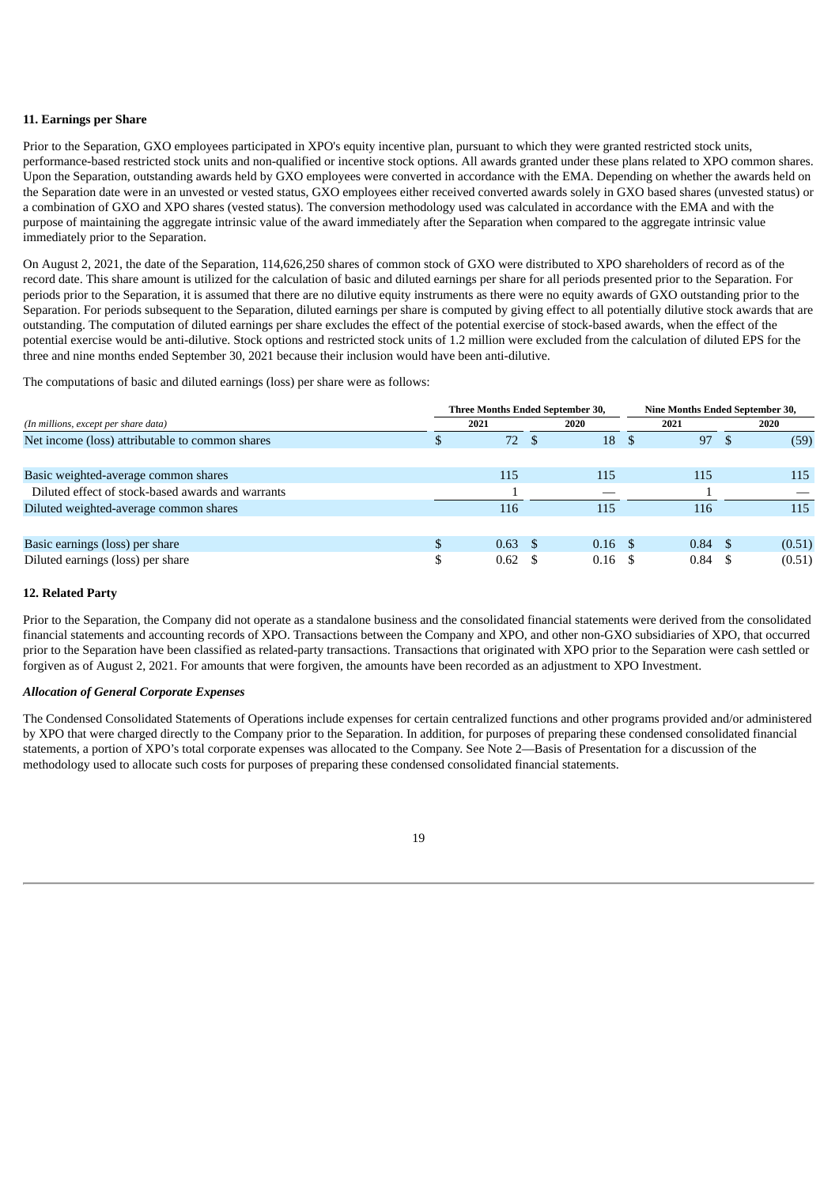#### **11. Earnings per Share**

Prior to the Separation, GXO employees participated in XPO's equity incentive plan, pursuant to which they were granted restricted stock units, performance-based restricted stock units and non-qualified or incentive stock options. All awards granted under these plans related to XPO common shares. Upon the Separation, outstanding awards held by GXO employees were converted in accordance with the EMA. Depending on whether the awards held on the Separation date were in an unvested or vested status, GXO employees either received converted awards solely in GXO based shares (unvested status) or a combination of GXO and XPO shares (vested status). The conversion methodology used was calculated in accordance with the EMA and with the purpose of maintaining the aggregate intrinsic value of the award immediately after the Separation when compared to the aggregate intrinsic value immediately prior to the Separation.

On August 2, 2021, the date of the Separation, 114,626,250 shares of common stock of GXO were distributed to XPO shareholders of record as of the record date. This share amount is utilized for the calculation of basic and diluted earnings per share for all periods presented prior to the Separation. For periods prior to the Separation, it is assumed that there are no dilutive equity instruments as there were no equity awards of GXO outstanding prior to the Separation. For periods subsequent to the Separation, diluted earnings per share is computed by giving effect to all potentially dilutive stock awards that are outstanding. The computation of diluted earnings per share excludes the effect of the potential exercise of stock-based awards, when the effect of the potential exercise would be anti-dilutive. Stock options and restricted stock units of 1.2 million were excluded from the calculation of diluted EPS for the three and nine months ended September 30, 2021 because their inclusion would have been anti-dilutive.

The computations of basic and diluted earnings (loss) per share were as follows:

| Three Months Ended September 30,                  |      |                 |      |           | <b>Nine Months Ended September 30,</b> |                |      |        |  |
|---------------------------------------------------|------|-----------------|------|-----------|----------------------------------------|----------------|------|--------|--|
| (In millions, except per share data)              | 2021 |                 | 2020 |           |                                        | 2021           | 2020 |        |  |
| Net income (loss) attributable to common shares   |      | 72              | -S   | 18        | -S                                     | 97             |      | (59)   |  |
|                                                   |      |                 |      |           |                                        |                |      |        |  |
| Basic weighted-average common shares              |      | 115             |      | 115       |                                        | 115            |      | 115    |  |
| Diluted effect of stock-based awards and warrants |      |                 |      |           |                                        |                |      |        |  |
| Diluted weighted-average common shares            |      | 116             |      | 115       |                                        | 116            |      | 115    |  |
|                                                   |      |                 |      |           |                                        |                |      |        |  |
| Basic earnings (loss) per share                   |      | $0.63 \quad$ \$ |      | $0.16$ \$ |                                        | $0.84 \quad $$ |      | (0.51) |  |
| Diluted earnings (loss) per share                 |      | 0.62            |      | 0.16      |                                        | 0.84           |      | (0.51) |  |

### **12. Related Party**

Prior to the Separation, the Company did not operate as a standalone business and the consolidated financial statements were derived from the consolidated financial statements and accounting records of XPO. Transactions between the Company and XPO, and other non-GXO subsidiaries of XPO, that occurred prior to the Separation have been classified as related-party transactions. Transactions that originated with XPO prior to the Separation were cash settled or forgiven as of August 2, 2021. For amounts that were forgiven, the amounts have been recorded as an adjustment to XPO Investment.

### *Allocation of General Corporate Expenses*

The Condensed Consolidated Statements of Operations include expenses for certain centralized functions and other programs provided and/or administered by XPO that were charged directly to the Company prior to the Separation. In addition, for purposes of preparing these condensed consolidated financial statements, a portion of XPO's total corporate expenses was allocated to the Company. See Note 2—Basis of Presentation for a discussion of the methodology used to allocate such costs for purposes of preparing these condensed consolidated financial statements.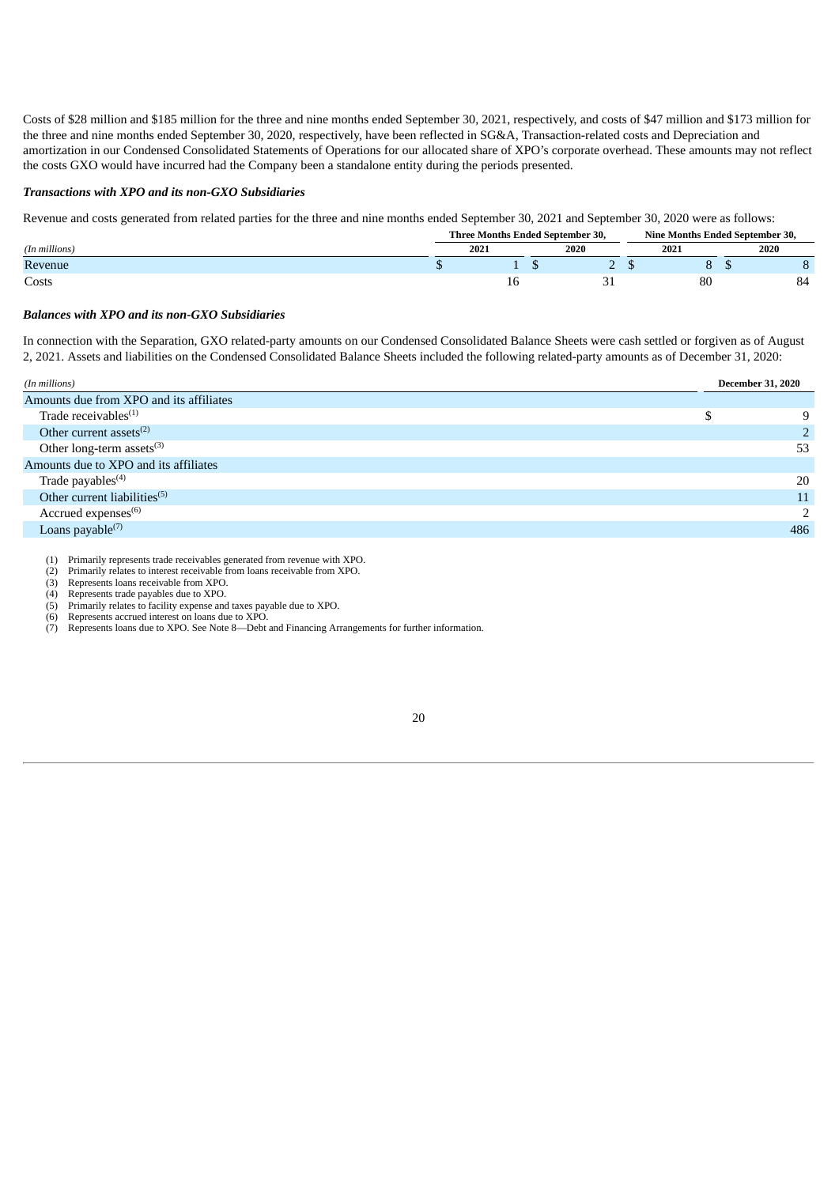Costs of \$28 million and \$185 million for the three and nine months ended September 30, 2021, respectively, and costs of \$47 million and \$173 million for the three and nine months ended September 30, 2020, respectively, have been reflected in SG&A, Transaction-related costs and Depreciation and amortization in our Condensed Consolidated Statements of Operations for our allocated share of XPO's corporate overhead. These amounts may not reflect the costs GXO would have incurred had the Company been a standalone entity during the periods presented.

#### *Transactions with XPO and its non-GXO Subsidiaries*

Revenue and costs generated from related parties for the three and nine months ended September 30, 2021 and September 30, 2020 were as follows:

|               | Three Months Ended September 30, |    |  | Nine Months Ended September 30. |  |      |  |      |
|---------------|----------------------------------|----|--|---------------------------------|--|------|--|------|
| (In millions) | 2021                             |    |  | 2020                            |  | 2021 |  | 2020 |
| Revenue       |                                  |    |  |                                 |  |      |  |      |
| Costs         |                                  | τu |  | ັ                               |  | 80   |  | 84   |

#### *Balances with XPO and its non-GXO Subsidiaries*

In connection with the Separation, GXO related-party amounts on our Condensed Consolidated Balance Sheets were cash settled or forgiven as of August 2, 2021. Assets and liabilities on the Condensed Consolidated Balance Sheets included the following related-party amounts as of December 31, 2020:

| (In millions)                                    |  | <b>December 31, 2020</b> |  |
|--------------------------------------------------|--|--------------------------|--|
| Amounts due from XPO and its affiliates          |  |                          |  |
| Trade receivables $^{(1)}$                       |  | 9                        |  |
| Other current assets <sup><math>(2)</math></sup> |  |                          |  |
| Other long-term assets $^{(3)}$                  |  |                          |  |
| Amounts due to XPO and its affiliates            |  |                          |  |
| Trade payables $(4)$                             |  | 20                       |  |
| Other current liabilities <sup>(5)</sup>         |  | 11                       |  |
| Accrued expenses <sup>(6)</sup>                  |  |                          |  |
| Loans payable $(7)$                              |  | 486                      |  |
|                                                  |  |                          |  |

(1) Primarily represents trade receivables generated from revenue with XPO.

(2) Primarily relates to interest receivable from loans receivable from XPO.

Represents loans receivable from XPO.

(4) Represents trade payables due to XPO.

(5) Primarily relates to facility expense and taxes payable due to XPO.

(6) Represents accrued interest on loans due to XPO. Represents loans due to XPO. See Note 8—Debt and Financing Arrangements for further information.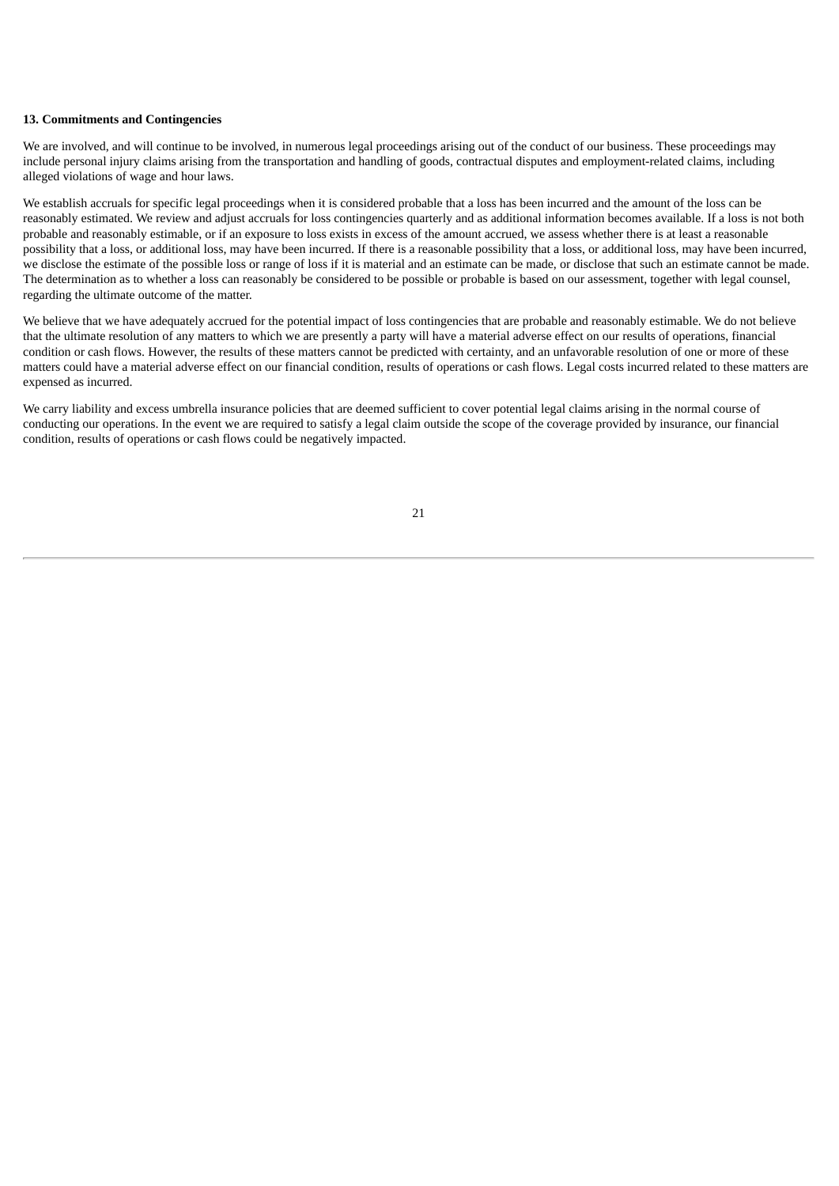#### **13. Commitments and Contingencies**

We are involved, and will continue to be involved, in numerous legal proceedings arising out of the conduct of our business. These proceedings may include personal injury claims arising from the transportation and handling of goods, contractual disputes and employment-related claims, including alleged violations of wage and hour laws.

We establish accruals for specific legal proceedings when it is considered probable that a loss has been incurred and the amount of the loss can be reasonably estimated. We review and adjust accruals for loss contingencies quarterly and as additional information becomes available. If a loss is not both probable and reasonably estimable, or if an exposure to loss exists in excess of the amount accrued, we assess whether there is at least a reasonable possibility that a loss, or additional loss, may have been incurred. If there is a reasonable possibility that a loss, or additional loss, may have been incurred, we disclose the estimate of the possible loss or range of loss if it is material and an estimate can be made, or disclose that such an estimate cannot be made. The determination as to whether a loss can reasonably be considered to be possible or probable is based on our assessment, together with legal counsel, regarding the ultimate outcome of the matter.

We believe that we have adequately accrued for the potential impact of loss contingencies that are probable and reasonably estimable. We do not believe that the ultimate resolution of any matters to which we are presently a party will have a material adverse effect on our results of operations, financial condition or cash flows. However, the results of these matters cannot be predicted with certainty, and an unfavorable resolution of one or more of these matters could have a material adverse effect on our financial condition, results of operations or cash flows. Legal costs incurred related to these matters are expensed as incurred.

<span id="page-21-0"></span>We carry liability and excess umbrella insurance policies that are deemed sufficient to cover potential legal claims arising in the normal course of conducting our operations. In the event we are required to satisfy a legal claim outside the scope of the coverage provided by insurance, our financial condition, results of operations or cash flows could be negatively impacted.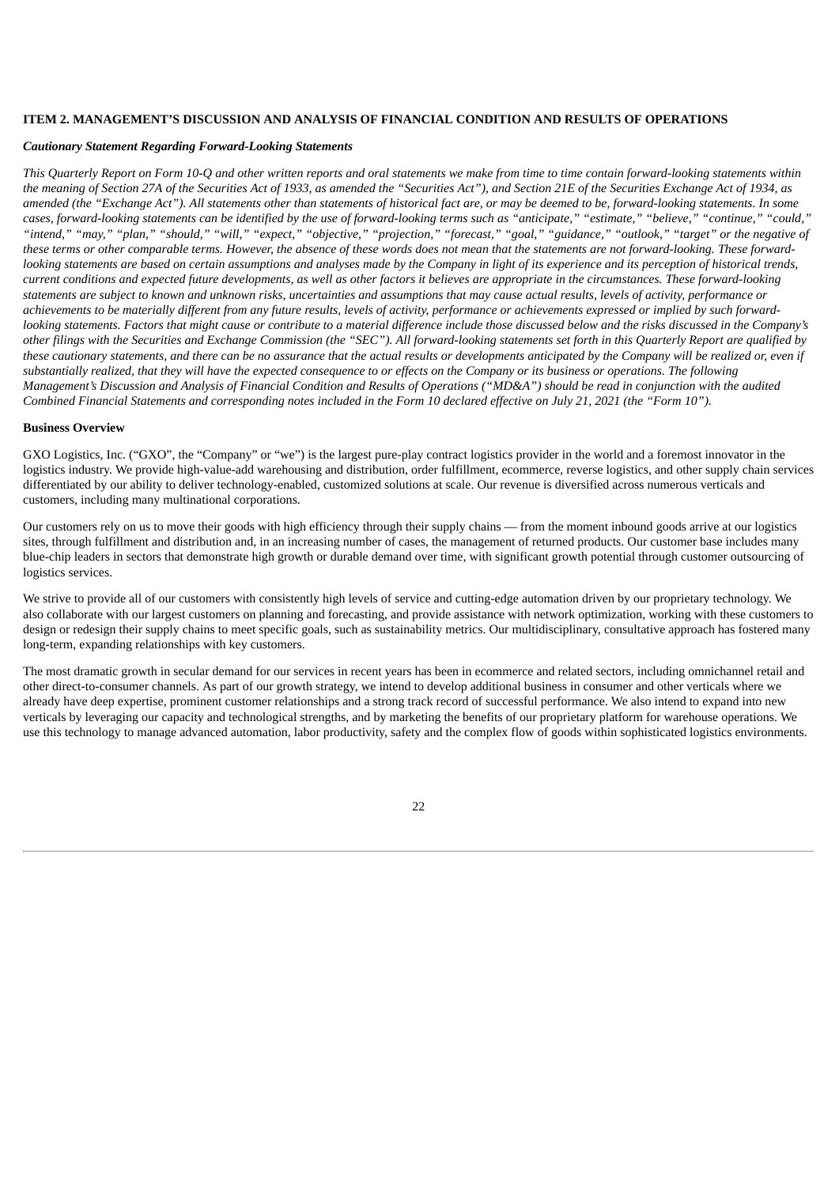### **ITEM 2. MANAGEMENT'S DISCUSSION AND ANALYSIS OF FINANCIAL CONDITION AND RESULTS OF OPERATIONS**

#### *Cautionary Statement Regarding Forward-Looking Statements*

This Quarterly Report on Form 10-Q and other written reports and oral statements we make from time to time contain forward-looking statements within the meaning of Section 27A of the Securities Act of 1933, as amended the "Securities Act"), and Section 21E of the Securities Exchange Act of 1934, as amended (the "Exchange Act"). All statements other than statements of historical fact are, or may be deemed to be, forward-looking statements. In some cases, forward-looking statements can be identified by the use of forward-looking terms such as "anticipate," "estimate," "believe," "continue," "could," "intend," "may," "plan," "should," "will," "expect," "objective," "projection," "forecast," "goal," "guidance," "outlook," "target" or the negative of these terms or other comparable terms. However, the absence of these words does not mean that the statements are not forward-looking. These forwardlooking statements are based on certain assumptions and analyses made by the Company in light of its experience and its perception of historical trends, current conditions and expected future developments, as well as other factors it believes are appropriate in the circumstances. These forward-looking statements are subject to known and unknown risks, uncertainties and assumptions that may cause actual results, levels of activity, performance or achievements to be materially different from any future results, levels of activity, performance or achievements expressed or implied by such forwardlooking statements. Factors that might cause or contribute to a material difference include those discussed below and the risks discussed in the Company's other filings with the Securities and Exchange Commission (the "SEC"). All forward-looking statements set forth in this Quarterly Report are qualified by these cautionary statements, and there can be no assurance that the actual results or developments anticipated by the Company will be realized or, even if substantially realized, that they will have the expected consequence to or effects on the Company or its business or operations. The following Management's Discussion and Analysis of Financial Condition and Results of Operations ("MD&A") should be read in conjunction with the audited Combined Financial Statements and corresponding notes included in the Form 10 declared effective on July 21, 2021 (the "Form 10").

#### **Business Overview**

GXO Logistics, Inc. ("GXO", the "Company" or "we") is the largest pure-play contract logistics provider in the world and a foremost innovator in the logistics industry. We provide high-value-add warehousing and distribution, order fulfillment, ecommerce, reverse logistics, and other supply chain services differentiated by our ability to deliver technology-enabled, customized solutions at scale. Our revenue is diversified across numerous verticals and customers, including many multinational corporations.

Our customers rely on us to move their goods with high efficiency through their supply chains — from the moment inbound goods arrive at our logistics sites, through fulfillment and distribution and, in an increasing number of cases, the management of returned products. Our customer base includes many blue-chip leaders in sectors that demonstrate high growth or durable demand over time, with significant growth potential through customer outsourcing of logistics services.

We strive to provide all of our customers with consistently high levels of service and cutting-edge automation driven by our proprietary technology. We also collaborate with our largest customers on planning and forecasting, and provide assistance with network optimization, working with these customers to design or redesign their supply chains to meet specific goals, such as sustainability metrics. Our multidisciplinary, consultative approach has fostered many long-term, expanding relationships with key customers.

The most dramatic growth in secular demand for our services in recent years has been in ecommerce and related sectors, including omnichannel retail and other direct-to-consumer channels. As part of our growth strategy, we intend to develop additional business in consumer and other verticals where we already have deep expertise, prominent customer relationships and a strong track record of successful performance. We also intend to expand into new verticals by leveraging our capacity and technological strengths, and by marketing the benefits of our proprietary platform for warehouse operations. We use this technology to manage advanced automation, labor productivity, safety and the complex flow of goods within sophisticated logistics environments.

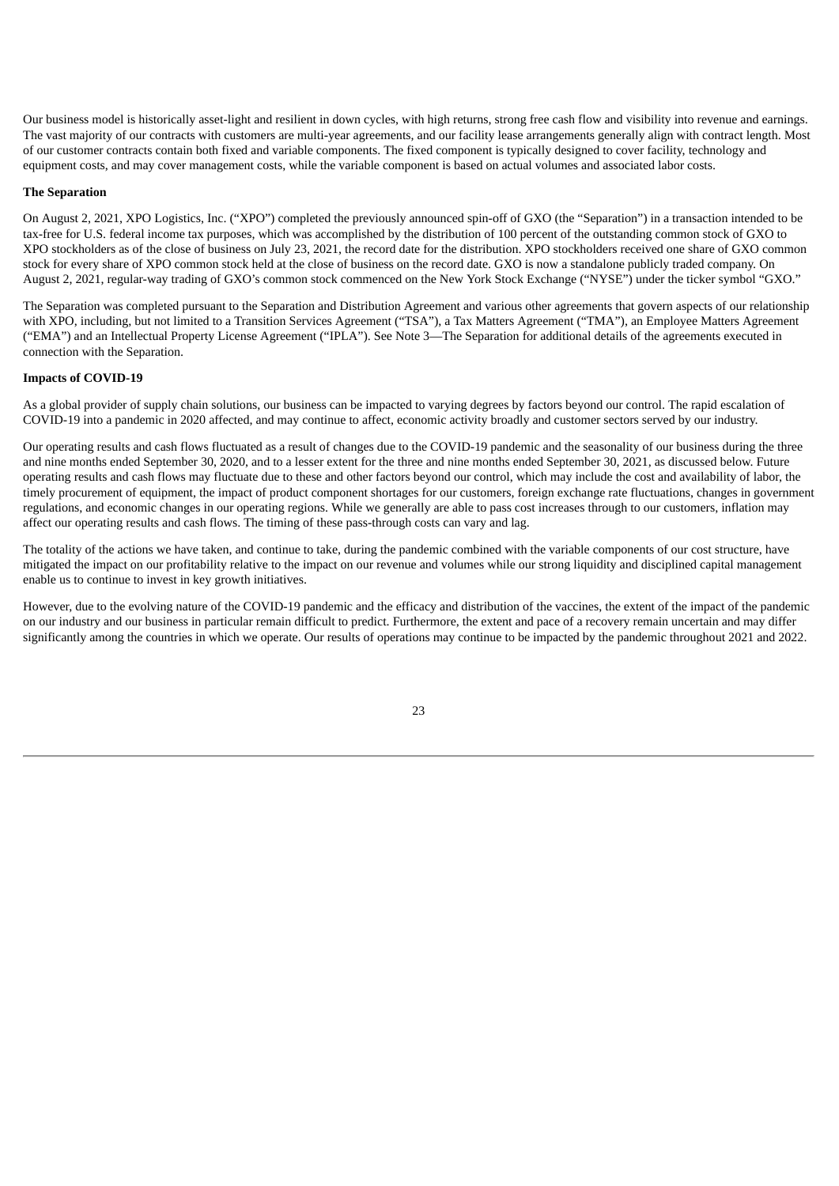Our business model is historically asset-light and resilient in down cycles, with high returns, strong free cash flow and visibility into revenue and earnings. The vast majority of our contracts with customers are multi-year agreements, and our facility lease arrangements generally align with contract length. Most of our customer contracts contain both fixed and variable components. The fixed component is typically designed to cover facility, technology and equipment costs, and may cover management costs, while the variable component is based on actual volumes and associated labor costs.

#### **The Separation**

On August 2, 2021, XPO Logistics, Inc. ("XPO") completed the previously announced spin-off of GXO (the "Separation") in a transaction intended to be tax-free for U.S. federal income tax purposes, which was accomplished by the distribution of 100 percent of the outstanding common stock of GXO to XPO stockholders as of the close of business on July 23, 2021, the record date for the distribution. XPO stockholders received one share of GXO common stock for every share of XPO common stock held at the close of business on the record date. GXO is now a standalone publicly traded company. On August 2, 2021, regular-way trading of GXO's common stock commenced on the New York Stock Exchange ("NYSE") under the ticker symbol "GXO."

The Separation was completed pursuant to the Separation and Distribution Agreement and various other agreements that govern aspects of our relationship with XPO, including, but not limited to a Transition Services Agreement ("TSA"), a Tax Matters Agreement ("TMA"), an Employee Matters Agreement ("EMA") and an Intellectual Property License Agreement ("IPLA"). See Note 3—The Separation for additional details of the agreements executed in connection with the Separation.

#### **Impacts of COVID-19**

As a global provider of supply chain solutions, our business can be impacted to varying degrees by factors beyond our control. The rapid escalation of COVID-19 into a pandemic in 2020 affected, and may continue to affect, economic activity broadly and customer sectors served by our industry.

Our operating results and cash flows fluctuated as a result of changes due to the COVID-19 pandemic and the seasonality of our business during the three and nine months ended September 30, 2020, and to a lesser extent for the three and nine months ended September 30, 2021, as discussed below. Future operating results and cash flows may fluctuate due to these and other factors beyond our control, which may include the cost and availability of labor, the timely procurement of equipment, the impact of product component shortages for our customers, foreign exchange rate fluctuations, changes in government regulations, and economic changes in our operating regions. While we generally are able to pass cost increases through to our customers, inflation may affect our operating results and cash flows. The timing of these pass-through costs can vary and lag.

The totality of the actions we have taken, and continue to take, during the pandemic combined with the variable components of our cost structure, have mitigated the impact on our profitability relative to the impact on our revenue and volumes while our strong liquidity and disciplined capital management enable us to continue to invest in key growth initiatives.

However, due to the evolving nature of the COVID-19 pandemic and the efficacy and distribution of the vaccines, the extent of the impact of the pandemic on our industry and our business in particular remain difficult to predict. Furthermore, the extent and pace of a recovery remain uncertain and may differ significantly among the countries in which we operate. Our results of operations may continue to be impacted by the pandemic throughout 2021 and 2022.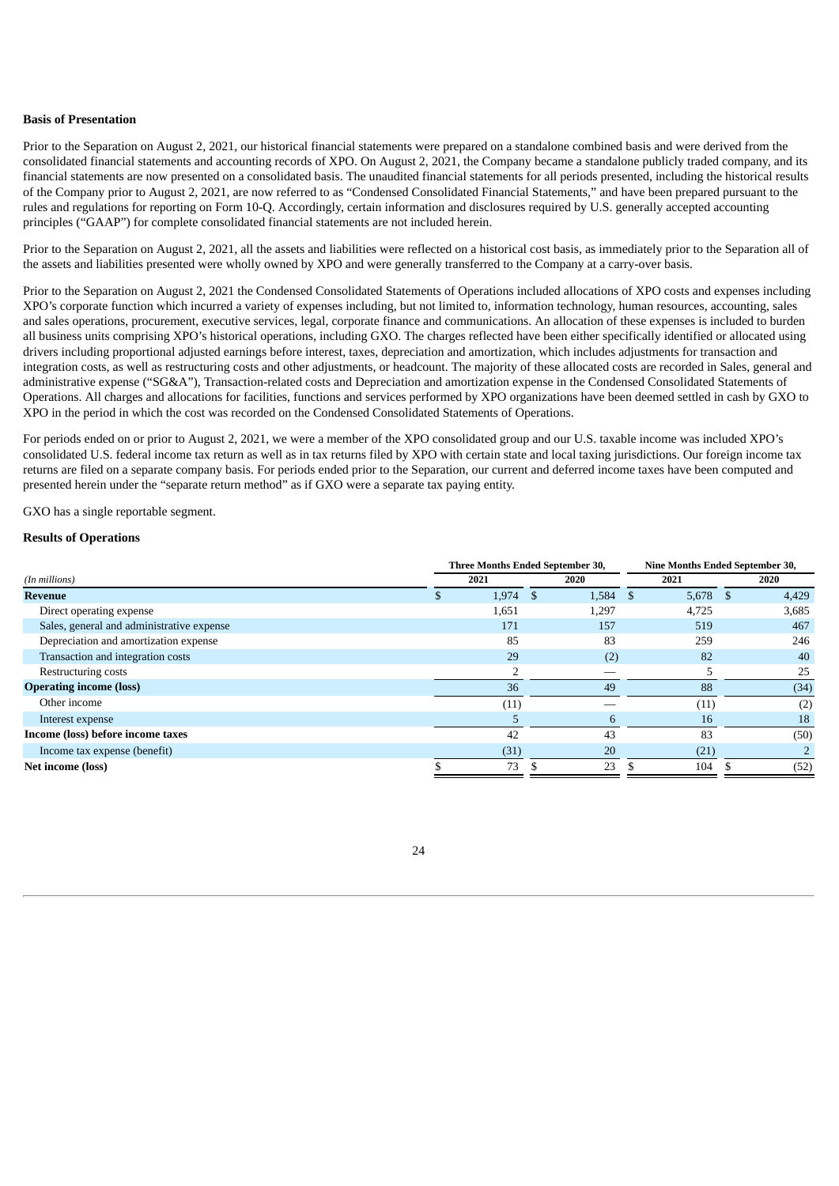#### **Basis of Presentation**

Prior to the Separation on August 2, 2021, our historical financial statements were prepared on a standalone combined basis and were derived from the consolidated financial statements and accounting records of XPO. On August 2, 2021, the Company became a standalone publicly traded company, and its financial statements are now presented on a consolidated basis. The unaudited financial statements for all periods presented, including the historical results of the Company prior to August 2, 2021, are now referred to as "Condensed Consolidated Financial Statements," and have been prepared pursuant to the rules and regulations for reporting on Form 10-Q. Accordingly, certain information and disclosures required by U.S. generally accepted accounting principles ("GAAP") for complete consolidated financial statements are not included herein.

Prior to the Separation on August 2, 2021, all the assets and liabilities were reflected on a historical cost basis, as immediately prior to the Separation all of the assets and liabilities presented were wholly owned by XPO and were generally transferred to the Company at a carry-over basis.

Prior to the Separation on August 2, 2021 the Condensed Consolidated Statements of Operations included allocations of XPO costs and expenses including XPO's corporate function which incurred a variety of expenses including, but not limited to, information technology, human resources, accounting, sales and sales operations, procurement, executive services, legal, corporate finance and communications. An allocation of these expenses is included to burden all business units comprising XPO's historical operations, including GXO. The charges reflected have been either specifically identified or allocated using drivers including proportional adjusted earnings before interest, taxes, depreciation and amortization, which includes adjustments for transaction and integration costs, as well as restructuring costs and other adjustments, or headcount. The majority of these allocated costs are recorded in Sales, general and administrative expense ("SG&A"), Transaction-related costs and Depreciation and amortization expense in the Condensed Consolidated Statements of Operations. All charges and allocations for facilities, functions and services performed by XPO organizations have been deemed settled in cash by GXO to XPO in the period in which the cost was recorded on the Condensed Consolidated Statements of Operations.

For periods ended on or prior to August 2, 2021, we were a member of the XPO consolidated group and our U.S. taxable income was included XPO's consolidated U.S. federal income tax return as well as in tax returns filed by XPO with certain state and local taxing jurisdictions. Our foreign income tax returns are filed on a separate company basis. For periods ended prior to the Separation, our current and deferred income taxes have been computed and presented herein under the "separate return method" as if GXO were a separate tax paying entity.

GXO has a single reportable segment.

#### **Results of Operations**

|                                           | Three Months Ended September 30, |       |      | Nine Months Ended September 30, |      |            |      |       |
|-------------------------------------------|----------------------------------|-------|------|---------------------------------|------|------------|------|-------|
| (In millions)                             | 2021                             |       | 2020 |                                 | 2021 |            | 2020 |       |
| <b>Revenue</b>                            |                                  | 1,974 | - \$ | 1,584                           | - \$ | $5,678$ \$ |      | 4,429 |
| Direct operating expense                  |                                  | 1,651 |      | 1,297                           |      | 4,725      |      | 3,685 |
| Sales, general and administrative expense |                                  | 171   |      | 157                             |      | 519        |      | 467   |
| Depreciation and amortization expense     |                                  | 85    |      | 83                              |      | 259        |      | 246   |
| Transaction and integration costs         |                                  | 29    |      | (2)                             |      | 82         |      | 40    |
| Restructuring costs                       |                                  |       |      |                                 |      |            |      | 25    |
| <b>Operating income (loss)</b>            |                                  | 36    |      | 49                              |      | 88         |      | (34)  |
| Other income                              |                                  | (11)  |      |                                 |      | (11)       |      | (2)   |
| Interest expense                          |                                  |       |      | 6                               |      | 16         |      | 18    |
| Income (loss) before income taxes         |                                  | 42    |      | 43                              |      | 83         |      | (50)  |
| Income tax expense (benefit)              |                                  | (31)  |      | 20                              |      | (21)       |      |       |
| Net income (loss)                         |                                  | 73    |      | 23                              |      | 104        |      | (52)  |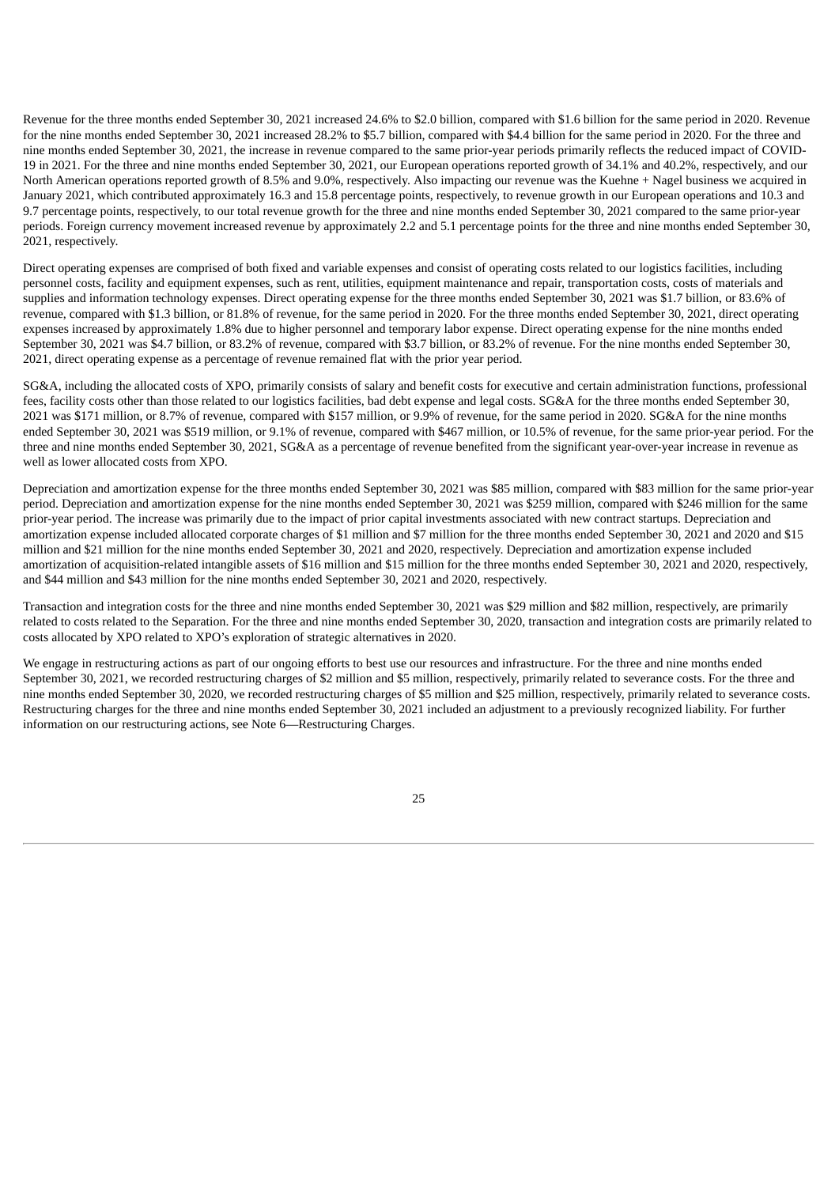Revenue for the three months ended September 30, 2021 increased 24.6% to \$2.0 billion, compared with \$1.6 billion for the same period in 2020. Revenue for the nine months ended September 30, 2021 increased 28.2% to \$5.7 billion, compared with \$4.4 billion for the same period in 2020. For the three and nine months ended September 30, 2021, the increase in revenue compared to the same prior-year periods primarily reflects the reduced impact of COVID-19 in 2021. For the three and nine months ended September 30, 2021, our European operations reported growth of 34.1% and 40.2%, respectively, and our North American operations reported growth of 8.5% and 9.0%, respectively. Also impacting our revenue was the Kuehne + Nagel business we acquired in January 2021, which contributed approximately 16.3 and 15.8 percentage points, respectively, to revenue growth in our European operations and 10.3 and 9.7 percentage points, respectively, to our total revenue growth for the three and nine months ended September 30, 2021 compared to the same prior-year periods. Foreign currency movement increased revenue by approximately 2.2 and 5.1 percentage points for the three and nine months ended September 30, 2021, respectively.

Direct operating expenses are comprised of both fixed and variable expenses and consist of operating costs related to our logistics facilities, including personnel costs, facility and equipment expenses, such as rent, utilities, equipment maintenance and repair, transportation costs, costs of materials and supplies and information technology expenses. Direct operating expense for the three months ended September 30, 2021 was \$1.7 billion, or 83.6% of revenue, compared with \$1.3 billion, or 81.8% of revenue, for the same period in 2020. For the three months ended September 30, 2021, direct operating expenses increased by approximately 1.8% due to higher personnel and temporary labor expense. Direct operating expense for the nine months ended September 30, 2021 was \$4.7 billion, or 83.2% of revenue, compared with \$3.7 billion, or 83.2% of revenue. For the nine months ended September 30, 2021, direct operating expense as a percentage of revenue remained flat with the prior year period.

SG&A, including the allocated costs of XPO, primarily consists of salary and benefit costs for executive and certain administration functions, professional fees, facility costs other than those related to our logistics facilities, bad debt expense and legal costs. SG&A for the three months ended September 30, 2021 was \$171 million, or 8.7% of revenue, compared with \$157 million, or 9.9% of revenue, for the same period in 2020. SG&A for the nine months ended September 30, 2021 was \$519 million, or 9.1% of revenue, compared with \$467 million, or 10.5% of revenue, for the same prior-year period. For the three and nine months ended September 30, 2021, SG&A as a percentage of revenue benefited from the significant year-over-year increase in revenue as well as lower allocated costs from XPO.

Depreciation and amortization expense for the three months ended September 30, 2021 was \$85 million, compared with \$83 million for the same prior-year period. Depreciation and amortization expense for the nine months ended September 30, 2021 was \$259 million, compared with \$246 million for the same prior-year period. The increase was primarily due to the impact of prior capital investments associated with new contract startups. Depreciation and amortization expense included allocated corporate charges of \$1 million and \$7 million for the three months ended September 30, 2021 and 2020 and \$15 million and \$21 million for the nine months ended September 30, 2021 and 2020, respectively. Depreciation and amortization expense included amortization of acquisition-related intangible assets of \$16 million and \$15 million for the three months ended September 30, 2021 and 2020, respectively, and \$44 million and \$43 million for the nine months ended September 30, 2021 and 2020, respectively.

Transaction and integration costs for the three and nine months ended September 30, 2021 was \$29 million and \$82 million, respectively, are primarily related to costs related to the Separation. For the three and nine months ended September 30, 2020, transaction and integration costs are primarily related to costs allocated by XPO related to XPO's exploration of strategic alternatives in 2020.

We engage in restructuring actions as part of our ongoing efforts to best use our resources and infrastructure. For the three and nine months ended September 30, 2021, we recorded restructuring charges of \$2 million and \$5 million, respectively, primarily related to severance costs. For the three and nine months ended September 30, 2020, we recorded restructuring charges of \$5 million and \$25 million, respectively, primarily related to severance costs. Restructuring charges for the three and nine months ended September 30, 2021 included an adjustment to a previously recognized liability. For further information on our restructuring actions, see Note 6—Restructuring Charges.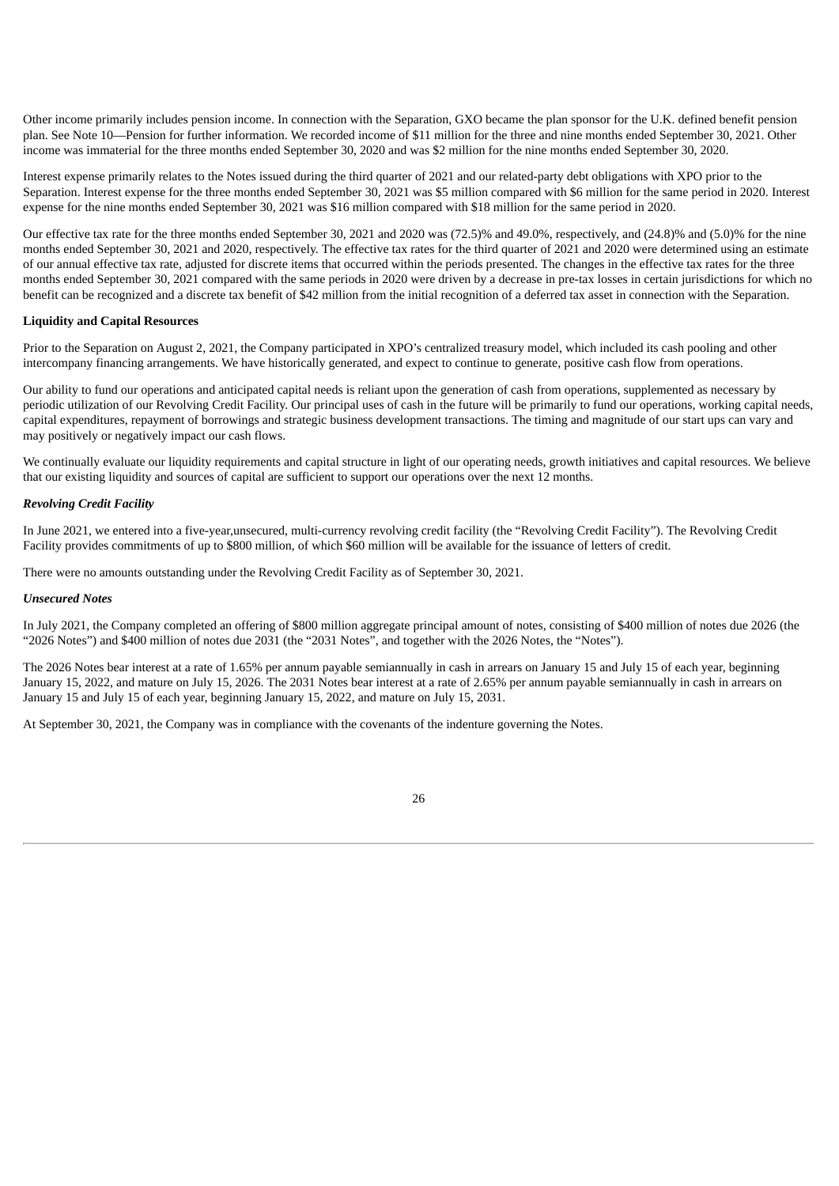Other income primarily includes pension income. In connection with the Separation, GXO became the plan sponsor for the U.K. defined benefit pension plan. See Note 10—Pension for further information. We recorded income of \$11 million for the three and nine months ended September 30, 2021. Other income was immaterial for the three months ended September 30, 2020 and was \$2 million for the nine months ended September 30, 2020.

Interest expense primarily relates to the Notes issued during the third quarter of 2021 and our related-party debt obligations with XPO prior to the Separation. Interest expense for the three months ended September 30, 2021 was \$5 million compared with \$6 million for the same period in 2020. Interest expense for the nine months ended September 30, 2021 was \$16 million compared with \$18 million for the same period in 2020.

Our effective tax rate for the three months ended September 30, 2021 and 2020 was (72.5)% and 49.0%, respectively, and (24.8)% and (5.0)% for the nine months ended September 30, 2021 and 2020, respectively. The effective tax rates for the third quarter of 2021 and 2020 were determined using an estimate of our annual effective tax rate, adjusted for discrete items that occurred within the periods presented. The changes in the effective tax rates for the three months ended September 30, 2021 compared with the same periods in 2020 were driven by a decrease in pre-tax losses in certain jurisdictions for which no benefit can be recognized and a discrete tax benefit of \$42 million from the initial recognition of a deferred tax asset in connection with the Separation.

#### **Liquidity and Capital Resources**

Prior to the Separation on August 2, 2021, the Company participated in XPO's centralized treasury model, which included its cash pooling and other intercompany financing arrangements. We have historically generated, and expect to continue to generate, positive cash flow from operations.

Our ability to fund our operations and anticipated capital needs is reliant upon the generation of cash from operations, supplemented as necessary by periodic utilization of our Revolving Credit Facility. Our principal uses of cash in the future will be primarily to fund our operations, working capital needs, capital expenditures, repayment of borrowings and strategic business development transactions. The timing and magnitude of our start ups can vary and may positively or negatively impact our cash flows.

We continually evaluate our liquidity requirements and capital structure in light of our operating needs, growth initiatives and capital resources. We believe that our existing liquidity and sources of capital are sufficient to support our operations over the next 12 months.

#### *Revolving Credit Facility*

In June 2021, we entered into a five-year,unsecured, multi-currency revolving credit facility (the "Revolving Credit Facility"). The Revolving Credit Facility provides commitments of up to \$800 million, of which \$60 million will be available for the issuance of letters of credit.

There were no amounts outstanding under the Revolving Credit Facility as of September 30, 2021.

#### *Unsecured Notes*

In July 2021, the Company completed an offering of \$800 million aggregate principal amount of notes, consisting of \$400 million of notes due 2026 (the "2026 Notes") and \$400 million of notes due 2031 (the "2031 Notes", and together with the 2026 Notes, the "Notes").

The 2026 Notes bear interest at a rate of 1.65% per annum payable semiannually in cash in arrears on January 15 and July 15 of each year, beginning January 15, 2022, and mature on July 15, 2026. The 2031 Notes bear interest at a rate of 2.65% per annum payable semiannually in cash in arrears on January 15 and July 15 of each year, beginning January 15, 2022, and mature on July 15, 2031.

At September 30, 2021, the Company was in compliance with the covenants of the indenture governing the Notes.

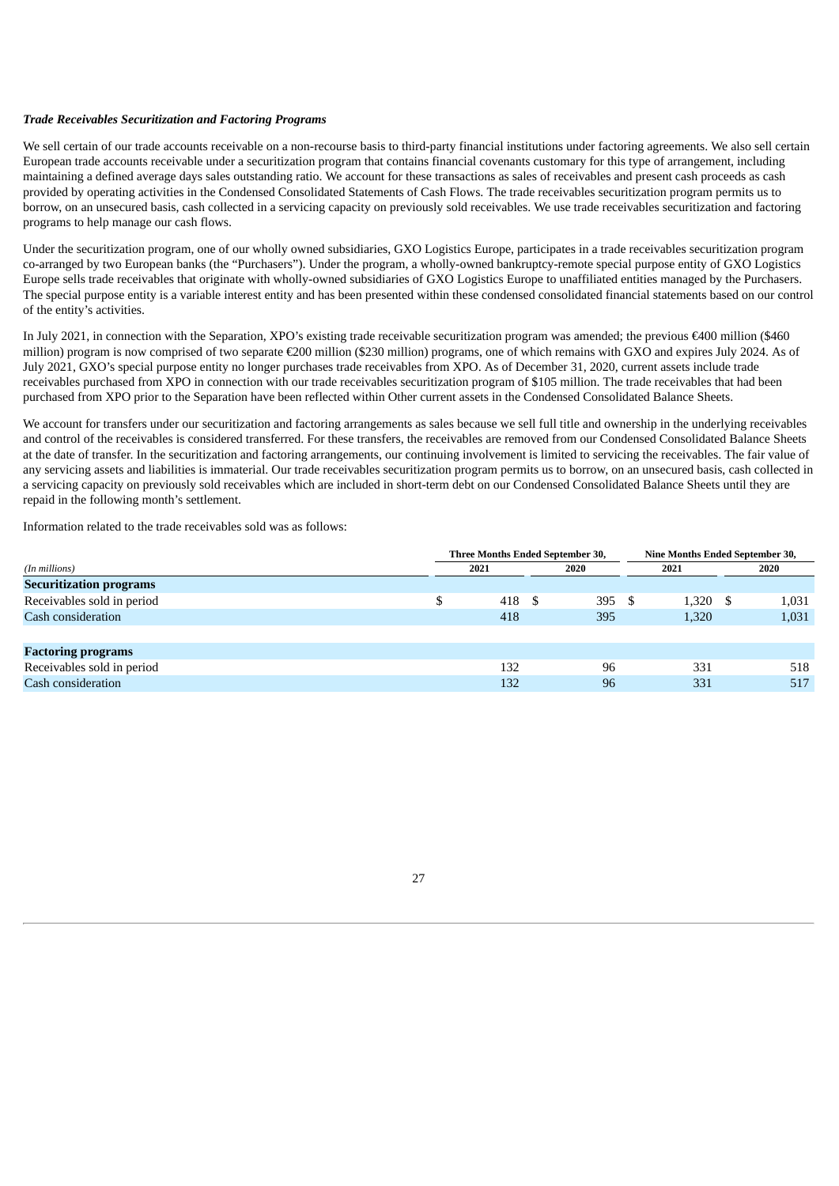#### *Trade Receivables Securitization and Factoring Programs*

We sell certain of our trade accounts receivable on a non-recourse basis to third-party financial institutions under factoring agreements. We also sell certain European trade accounts receivable under a securitization program that contains financial covenants customary for this type of arrangement, including maintaining a defined average days sales outstanding ratio. We account for these transactions as sales of receivables and present cash proceeds as cash provided by operating activities in the Condensed Consolidated Statements of Cash Flows. The trade receivables securitization program permits us to borrow, on an unsecured basis, cash collected in a servicing capacity on previously sold receivables. We use trade receivables securitization and factoring programs to help manage our cash flows.

Under the securitization program, one of our wholly owned subsidiaries, GXO Logistics Europe, participates in a trade receivables securitization program co-arranged by two European banks (the "Purchasers"). Under the program, a wholly-owned bankruptcy-remote special purpose entity of GXO Logistics Europe sells trade receivables that originate with wholly-owned subsidiaries of GXO Logistics Europe to unaffiliated entities managed by the Purchasers. The special purpose entity is a variable interest entity and has been presented within these condensed consolidated financial statements based on our control of the entity's activities.

In July 2021, in connection with the Separation, XPO's existing trade receivable securitization program was amended; the previous €400 million (\$460 million) program is now comprised of two separate €200 million (\$230 million) programs, one of which remains with GXO and expires July 2024. As of July 2021, GXO's special purpose entity no longer purchases trade receivables from XPO. As of December 31, 2020, current assets include trade receivables purchased from XPO in connection with our trade receivables securitization program of \$105 million. The trade receivables that had been purchased from XPO prior to the Separation have been reflected within Other current assets in the Condensed Consolidated Balance Sheets.

We account for transfers under our securitization and factoring arrangements as sales because we sell full title and ownership in the underlying receivables and control of the receivables is considered transferred. For these transfers, the receivables are removed from our Condensed Consolidated Balance Sheets at the date of transfer. In the securitization and factoring arrangements, our continuing involvement is limited to servicing the receivables. The fair value of any servicing assets and liabilities is immaterial. Our trade receivables securitization program permits us to borrow, on an unsecured basis, cash collected in a servicing capacity on previously sold receivables which are included in short-term debt on our Condensed Consolidated Balance Sheets until they are repaid in the following month's settlement.

Information related to the trade receivables sold was as follows:

|                                | <b>Three Months Ended September 30,</b> |        |  |      | Nine Months Ended September 30, |            |  |       |
|--------------------------------|-----------------------------------------|--------|--|------|---------------------------------|------------|--|-------|
| (In millions)                  | 2021                                    |        |  | 2020 |                                 | 2021       |  | 2020  |
| <b>Securitization programs</b> |                                         |        |  |      |                                 |            |  |       |
| Receivables sold in period     |                                         | 418 \$ |  | 395  | - \$                            | $1,320$ \$ |  | 1,031 |
| Cash consideration             |                                         | 418    |  | 395  |                                 | 1,320      |  | 1,031 |
|                                |                                         |        |  |      |                                 |            |  |       |
| <b>Factoring programs</b>      |                                         |        |  |      |                                 |            |  |       |
| Receivables sold in period     |                                         | 132    |  | 96   |                                 | 331        |  | 518   |
| Cash consideration             |                                         | 132    |  | 96   |                                 | 331        |  | 517   |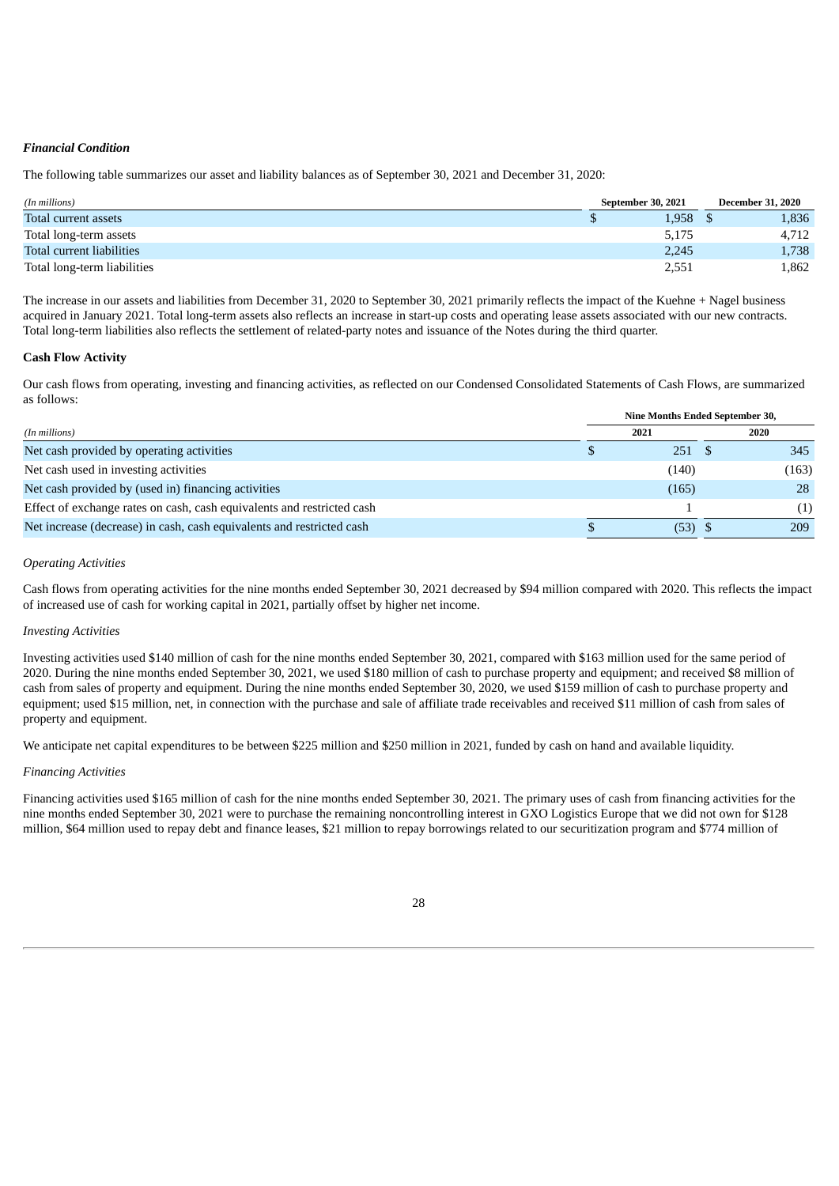### *Financial Condition*

The following table summarizes our asset and liability balances as of September 30, 2021 and December 31, 2020:

| (In millions)               | September 30, 2021 | <b>December 31, 2020</b> |
|-----------------------------|--------------------|--------------------------|
| Total current assets        | 1,958              | 1,836                    |
| Total long-term assets      | 5,175              | 4.712                    |
| Total current liabilities   | 2,245              | 1,738                    |
| Total long-term liabilities | 2,551              | 1,862                    |

The increase in our assets and liabilities from December 31, 2020 to September 30, 2021 primarily reflects the impact of the Kuehne + Nagel business acquired in January 2021. Total long-term assets also reflects an increase in start-up costs and operating lease assets associated with our new contracts. Total long-term liabilities also reflects the settlement of related-party notes and issuance of the Notes during the third quarter.

### **Cash Flow Activity**

Our cash flows from operating, investing and financing activities, as reflected on our Condensed Consolidated Statements of Cash Flows, are summarized as follows:

|                                                                        | Nine Months Ended September 30, |           |  |       |  |  |
|------------------------------------------------------------------------|---------------------------------|-----------|--|-------|--|--|
| (In millions)                                                          |                                 | 2021      |  | 2020  |  |  |
| Net cash provided by operating activities                              |                                 | 251S      |  | 345   |  |  |
| Net cash used in investing activities                                  |                                 | (140)     |  | (163) |  |  |
| Net cash provided by (used in) financing activities                    |                                 | (165)     |  | 28    |  |  |
| Effect of exchange rates on cash, cash equivalents and restricted cash |                                 |           |  | (1)   |  |  |
| Net increase (decrease) in cash, cash equivalents and restricted cash  |                                 | $(53)$ \$ |  | 209   |  |  |

### *Operating Activities*

Cash flows from operating activities for the nine months ended September 30, 2021 decreased by \$94 million compared with 2020. This reflects the impact of increased use of cash for working capital in 2021, partially offset by higher net income.

#### *Investing Activities*

Investing activities used \$140 million of cash for the nine months ended September 30, 2021, compared with \$163 million used for the same period of 2020. During the nine months ended September 30, 2021, we used \$180 million of cash to purchase property and equipment; and received \$8 million of cash from sales of property and equipment. During the nine months ended September 30, 2020, we used \$159 million of cash to purchase property and equipment; used \$15 million, net, in connection with the purchase and sale of affiliate trade receivables and received \$11 million of cash from sales of property and equipment.

We anticipate net capital expenditures to be between \$225 million and \$250 million in 2021, funded by cash on hand and available liquidity.

### *Financing Activities*

Financing activities used \$165 million of cash for the nine months ended September 30, 2021. The primary uses of cash from financing activities for the nine months ended September 30, 2021 were to purchase the remaining noncontrolling interest in GXO Logistics Europe that we did not own for \$128 million, \$64 million used to repay debt and finance leases, \$21 million to repay borrowings related to our securitization program and \$774 million of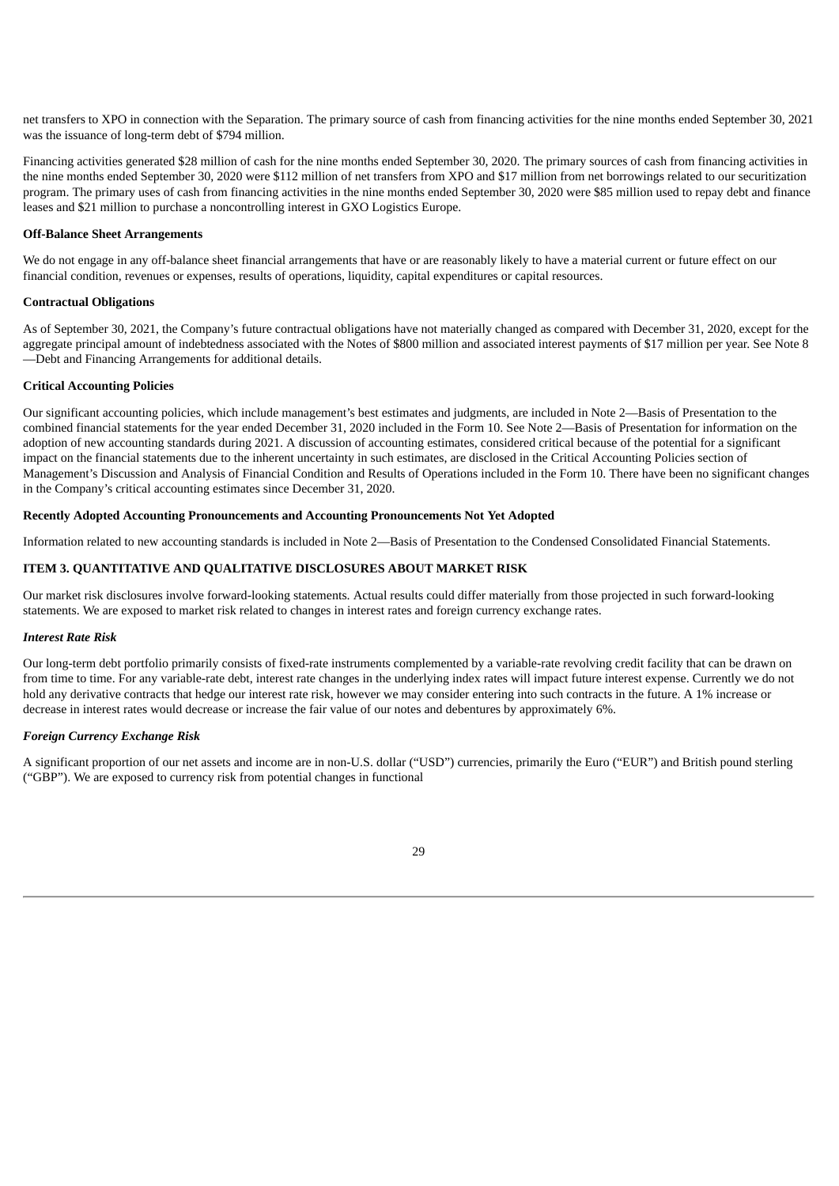net transfers to XPO in connection with the Separation. The primary source of cash from financing activities for the nine months ended September 30, 2021 was the issuance of long-term debt of \$794 million.

Financing activities generated \$28 million of cash for the nine months ended September 30, 2020. The primary sources of cash from financing activities in the nine months ended September 30, 2020 were \$112 million of net transfers from XPO and \$17 million from net borrowings related to our securitization program. The primary uses of cash from financing activities in the nine months ended September 30, 2020 were \$85 million used to repay debt and finance leases and \$21 million to purchase a noncontrolling interest in GXO Logistics Europe.

#### **Off-Balance Sheet Arrangements**

We do not engage in any off-balance sheet financial arrangements that have or are reasonably likely to have a material current or future effect on our financial condition, revenues or expenses, results of operations, liquidity, capital expenditures or capital resources.

### **Contractual Obligations**

As of September 30, 2021, the Company's future contractual obligations have not materially changed as compared with December 31, 2020, except for the aggregate principal amount of indebtedness associated with the Notes of \$800 million and associated interest payments of \$17 million per year. See Note 8 —Debt and Financing Arrangements for additional details.

### **Critical Accounting Policies**

Our significant accounting policies, which include management's best estimates and judgments, are included in Note 2—Basis of Presentation to the combined financial statements for the year ended December 31, 2020 included in the Form 10. See Note 2—Basis of Presentation for information on the adoption of new accounting standards during 2021. A discussion of accounting estimates, considered critical because of the potential for a significant impact on the financial statements due to the inherent uncertainty in such estimates, are disclosed in the Critical Accounting Policies section of Management's Discussion and Analysis of Financial Condition and Results of Operations included in the Form 10. There have been no significant changes in the Company's critical accounting estimates since December 31, 2020.

### **Recently Adopted Accounting Pronouncements and Accounting Pronouncements Not Yet Adopted**

Information related to new accounting standards is included in Note 2—Basis of Presentation to the Condensed Consolidated Financial Statements.

### <span id="page-29-0"></span>**ITEM 3. QUANTITATIVE AND QUALITATIVE DISCLOSURES ABOUT MARKET RISK**

Our market risk disclosures involve forward-looking statements. Actual results could differ materially from those projected in such forward-looking statements. We are exposed to market risk related to changes in interest rates and foreign currency exchange rates.

#### *Interest Rate Risk*

Our long-term debt portfolio primarily consists of fixed-rate instruments complemented by a variable-rate revolving credit facility that can be drawn on from time to time. For any variable-rate debt, interest rate changes in the underlying index rates will impact future interest expense. Currently we do not hold any derivative contracts that hedge our interest rate risk, however we may consider entering into such contracts in the future. A 1% increase or decrease in interest rates would decrease or increase the fair value of our notes and debentures by approximately 6%.

### *Foreign Currency Exchange Risk*

A significant proportion of our net assets and income are in non-U.S. dollar ("USD") currencies, primarily the Euro ("EUR") and British pound sterling ("GBP"). We are exposed to currency risk from potential changes in functional

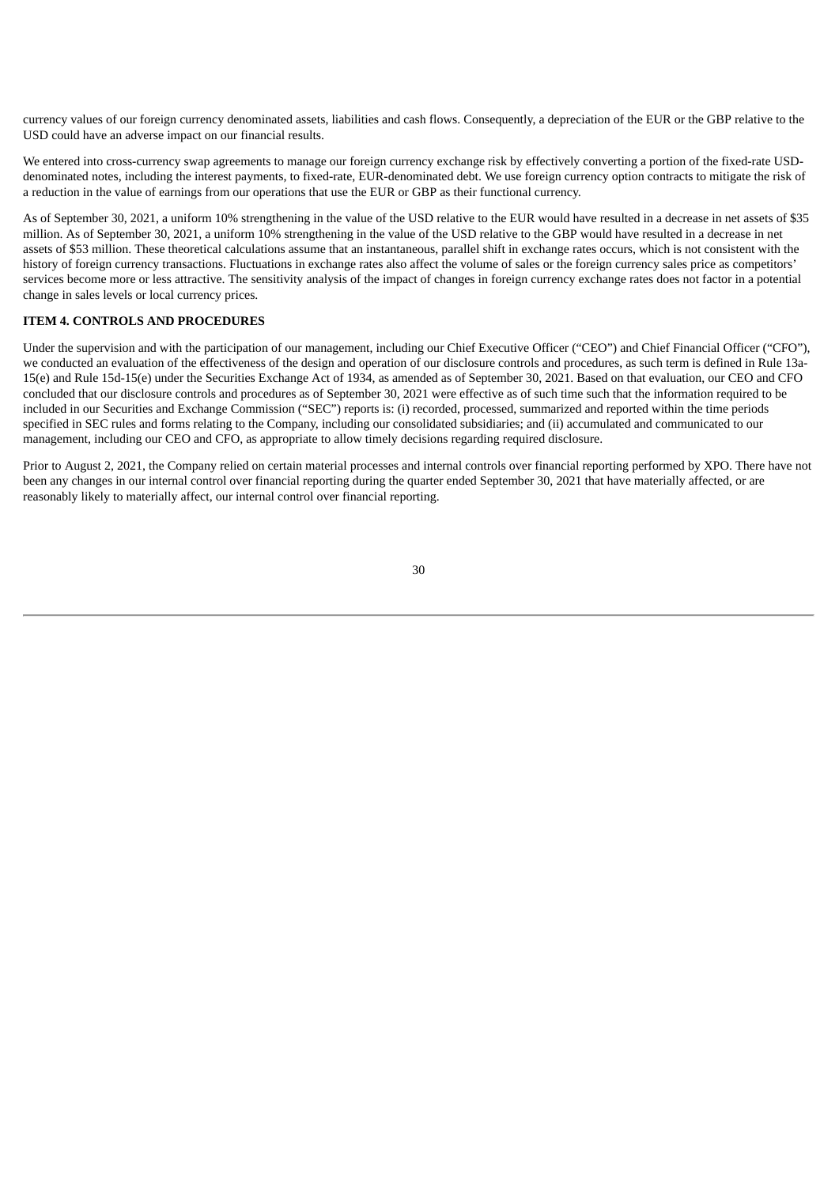currency values of our foreign currency denominated assets, liabilities and cash flows. Consequently, a depreciation of the EUR or the GBP relative to the USD could have an adverse impact on our financial results.

We entered into cross-currency swap agreements to manage our foreign currency exchange risk by effectively converting a portion of the fixed-rate USDdenominated notes, including the interest payments, to fixed-rate, EUR-denominated debt. We use foreign currency option contracts to mitigate the risk of a reduction in the value of earnings from our operations that use the EUR or GBP as their functional currency.

As of September 30, 2021, a uniform 10% strengthening in the value of the USD relative to the EUR would have resulted in a decrease in net assets of \$35 million. As of September 30, 2021, a uniform 10% strengthening in the value of the USD relative to the GBP would have resulted in a decrease in net assets of \$53 million. These theoretical calculations assume that an instantaneous, parallel shift in exchange rates occurs, which is not consistent with the history of foreign currency transactions. Fluctuations in exchange rates also affect the volume of sales or the foreign currency sales price as competitors' services become more or less attractive. The sensitivity analysis of the impact of changes in foreign currency exchange rates does not factor in a potential change in sales levels or local currency prices.

### <span id="page-30-0"></span>**ITEM 4. CONTROLS AND PROCEDURES**

Under the supervision and with the participation of our management, including our Chief Executive Officer ("CEO") and Chief Financial Officer ("CFO"), we conducted an evaluation of the effectiveness of the design and operation of our disclosure controls and procedures, as such term is defined in Rule 13a-15(e) and Rule 15d-15(e) under the Securities Exchange Act of 1934, as amended as of September 30, 2021. Based on that evaluation, our CEO and CFO concluded that our disclosure controls and procedures as of September 30, 2021 were effective as of such time such that the information required to be included in our Securities and Exchange Commission ("SEC") reports is: (i) recorded, processed, summarized and reported within the time periods specified in SEC rules and forms relating to the Company, including our consolidated subsidiaries; and (ii) accumulated and communicated to our management, including our CEO and CFO, as appropriate to allow timely decisions regarding required disclosure.

<span id="page-30-1"></span>Prior to August 2, 2021, the Company relied on certain material processes and internal controls over financial reporting performed by XPO. There have not been any changes in our internal control over financial reporting during the quarter ended September 30, 2021 that have materially affected, or are reasonably likely to materially affect, our internal control over financial reporting.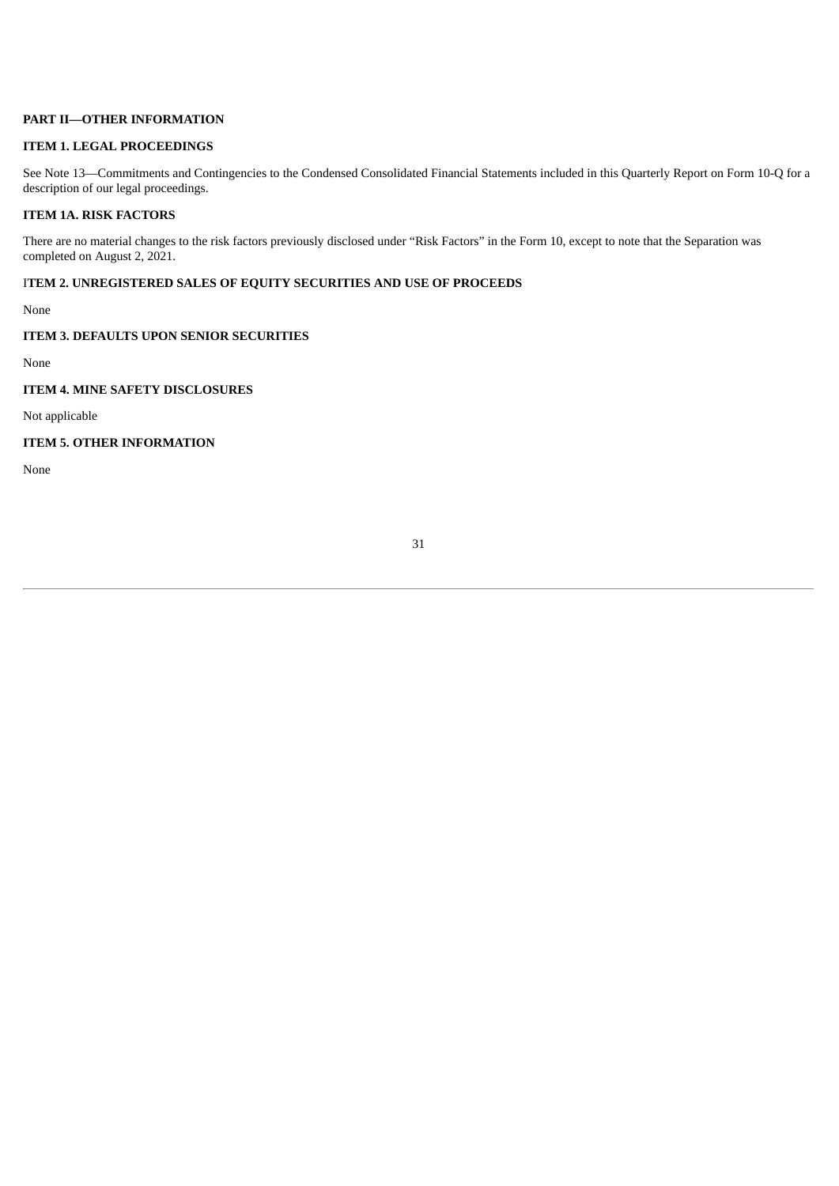### **PART II—OTHER INFORMATION**

### <span id="page-31-0"></span>**ITEM 1. LEGAL PROCEEDINGS**

See Note 13—Commitments and Contingencies to the Condensed Consolidated Financial Statements included in this Quarterly Report on Form 10-Q for a description of our legal proceedings.

# <span id="page-31-1"></span>**ITEM 1A. RISK FACTORS**

There are no material changes to the risk factors previously disclosed under "Risk Factors" in the Form 10, except to note that the Separation was completed on August 2, 2021.

# <span id="page-31-2"></span>I**TEM 2. UNREGISTERED SALES OF EQUITY SECURITIES AND USE OF PROCEEDS**

None

### <span id="page-31-3"></span>**ITEM 3. DEFAULTS UPON SENIOR SECURITIES**

None

### <span id="page-31-4"></span>**ITEM 4. MINE SAFETY DISCLOSURES**

Not applicable

# <span id="page-31-5"></span>**ITEM 5. OTHER INFORMATION**

<span id="page-31-6"></span>None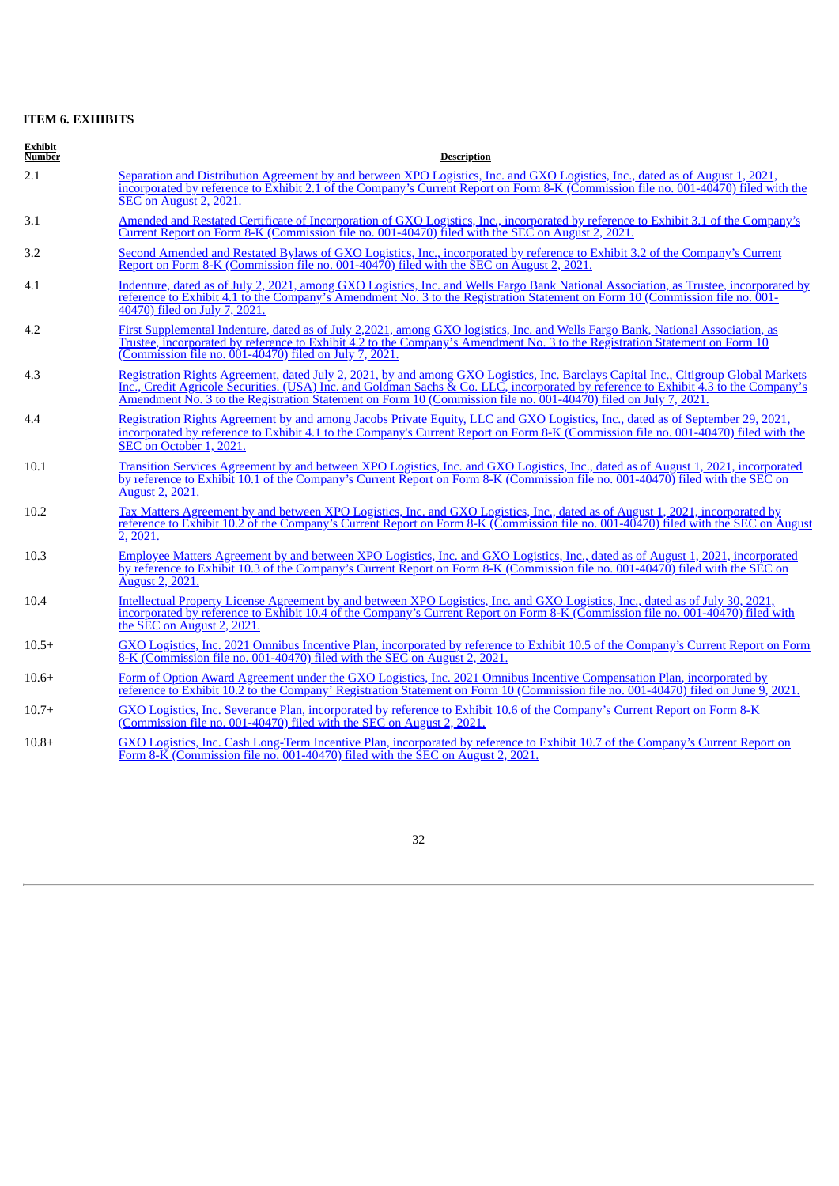### **ITEM 6. EXHIBITS**

| <b>Exhibit</b><br><b>Number</b> | <b>Description</b>                                                                                                                                                                                                                                                                                                                                                                            |
|---------------------------------|-----------------------------------------------------------------------------------------------------------------------------------------------------------------------------------------------------------------------------------------------------------------------------------------------------------------------------------------------------------------------------------------------|
| 2.1                             | Separation and Distribution Agreement by and between XPO Logistics, Inc. and GXO Logistics, Inc., dated as of August 1, 2021,<br>incorporated by reference to Exhibit 2.1 of the Company's Current Report on Form 8-K (Commission file no. 001-40470) filed with the<br>SEC on August 2, 2021.                                                                                                |
| 3.1                             | Amended and Restated Certificate of Incorporation of GXO Logistics, Inc., incorporated by reference to Exhibit 3.1 of the Company's<br>Current Report on Form 8-K (Commission file no. 001-40470) filed with the SEC on August 2, 2021.                                                                                                                                                       |
| 3.2                             | Second Amended and Restated Bylaws of GXO Logistics, Inc., incorporated by reference to Exhibit 3.2 of the Company's Current<br>Report on Form 8-K (Commission file no. $001-404\overline{70}$ ) filed with the SEC on August 2, 2021.                                                                                                                                                        |
| 4.1                             | Indenture, dated as of July 2, 2021, among GXO Logistics, Inc. and Wells Fargo Bank National Association, as Trustee, incorporated by<br>reference to Exhibit 4.1 to the Company's Amendment No. 3 to the Registration Statement on Form 10 (Commission file no. 001-<br>40470) filed on July 7, 2021.                                                                                        |
| 4.2                             | First Supplemental Indenture, dated as of July 2,2021, among GXO logistics, Inc. and Wells Fargo Bank, National Association, as<br>Trustee, incorporated by reference to Exhibit 4.2 to the Company's Amendment No. 3 to the Registration Statement on Form 10<br>(Commission file no. 001-40470) filed on July 7, 2021.                                                                      |
| 4.3                             | Registration Rights Agreement, dated July 2, 2021, by and among GXO Logistics, Inc. Barclays Capital Inc., Citigroup Global Markets<br>Inc., Credit Agricole Securities. (USA) Inc. and Goldman Sachs & Co. LLC, incorporated by reference to Exhibit 4.3 to the Company's<br>Amendment No. 3 to the Registration Statement on Form 10 (Commission file no. 001-40470) filed on July 7, 2021. |
| 4.4                             | Registration Rights Agreement by and among Jacobs Private Equity, LLC and GXO Logistics, Inc., dated as of September 29, 2021,<br>incorporated by reference to Exhibit 4.1 to the Company's Current Report on Form 8-K (Commission file no. 001-40470) filed with the<br>SEC on October 1, 2021.                                                                                              |
| 10.1                            | Transition Services Agreement by and between XPO Logistics, Inc. and GXO Logistics, Inc., dated as of August 1, 2021, incorporated<br>by reference to Exhibit 10.1 of the Company's Current Report on Form 8-K (Commission file no. 001-40470) filed with the SEC on<br><b>August 2, 2021.</b>                                                                                                |
| 10.2                            | Tax Matters Agreement by and between XPO Logistics, Inc. and GXO Logistics, Inc., dated as of August 1, 2021, incorporated by<br>reference to Exhibit 10.2 of the Company's Current Report on Form 8-K (Commission file no. 001-40470) filed with the SEC on August<br>2, 2021.                                                                                                               |
| 10.3                            | Employee Matters Agreement by and between XPO Logistics, Inc. and GXO Logistics, Inc., dated as of August 1, 2021, incorporated<br>by reference to Exhibit 10.3 of the Company's Current Report on Form 8-K (Commission file no. 001-40470) filed with the SEC on<br><u>August 2, 2021.</u>                                                                                                   |
| 10.4                            | Intellectual Property License Agreement by and between XPO Logistics, Inc. and GXO Logistics, Inc., dated as of July 30, 2021,<br>incorporated by reference to Exhibit 10.4 of the Company's Current Report on Form 8-K (Commission file no. 001-40470) filed with<br>the SEC on August 2, 2021.                                                                                              |
| $10.5+$                         | GXO Logistics, Inc. 2021 Omnibus Incentive Plan, incorporated by reference to Exhibit 10.5 of the Company's Current Report on Form<br>8-K (Commission file no. 001-40470) filed with the SEC on August 2, 2021.                                                                                                                                                                               |
| $10.6+$                         | Form of Option Award Agreement under the GXO Logistics, Inc. 2021 Omnibus Incentive Compensation Plan, incorporated by<br>reference to Exhibit 10.2 to the Company' Registration Statement on Form 10 (Commission file no. 001-40470) filed on June 9, 2021.                                                                                                                                  |
| $10.7+$                         | GXO Logistics, Inc. Severance Plan, incorporated by reference to Exhibit 10.6 of the Company's Current Report on Form 8-K<br>(Commission file no. 001-40470) filed with the SEC on August 2, 2021.                                                                                                                                                                                            |
| $10.8+$                         | GXO Logistics, Inc. Cash Long-Term Incentive Plan, incorporated by reference to Exhibit 10.7 of the Company's Current Report on<br>Form 8-K (Commission file no. 001-40470) filed with the SEC on August 2, 2021.                                                                                                                                                                             |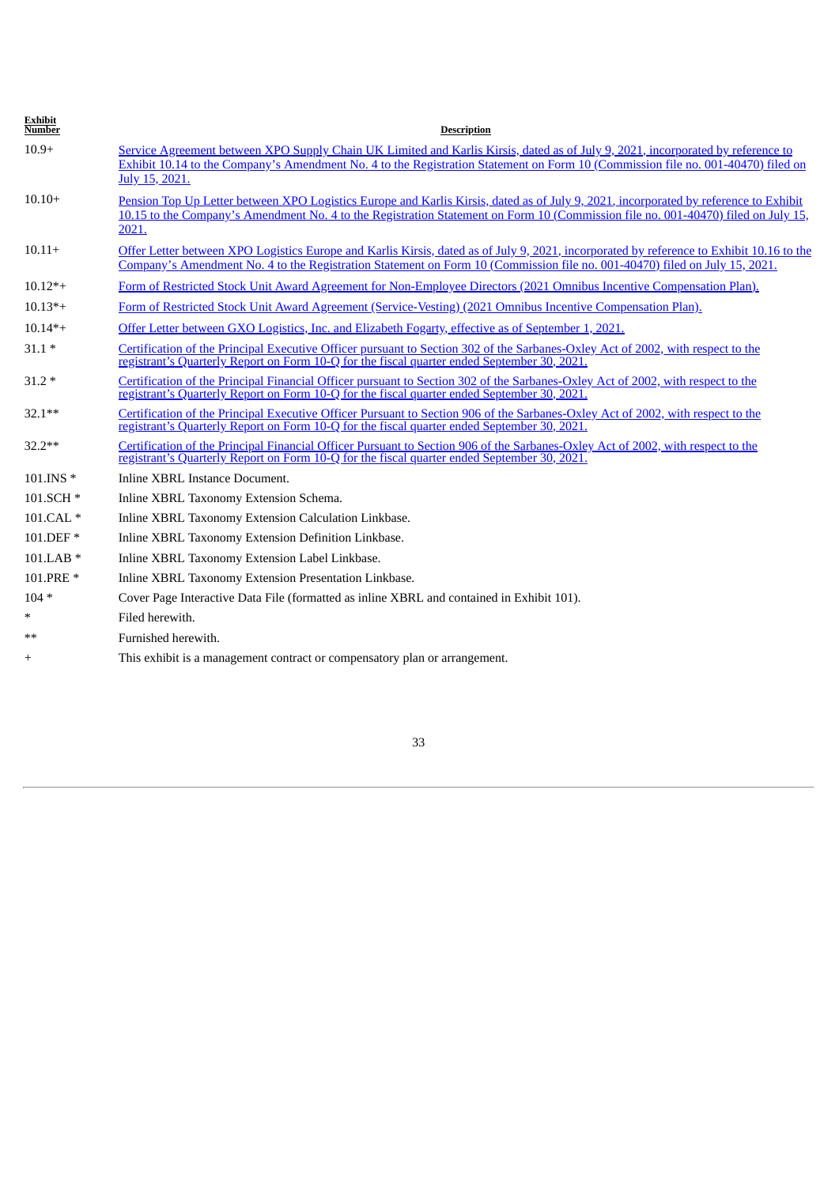<span id="page-33-0"></span>

| <b>Exhibit</b><br><b>Number</b> | <b>Description</b>                                                                                                                                                                                                                                                                    |
|---------------------------------|---------------------------------------------------------------------------------------------------------------------------------------------------------------------------------------------------------------------------------------------------------------------------------------|
| $10.9+$                         | Service Agreement between XPO Supply Chain UK Limited and Karlis Kirsis, dated as of July 9, 2021, incorporated by reference to<br>Exhibit 10.14 to the Company's Amendment No. 4 to the Registration Statement on Form 10 (Commission file no. 001-40470) filed on<br>July 15, 2021. |
| $10.10+$                        | Pension Top Up Letter between XPO Logistics Europe and Karlis Kirsis, dated as of July 9, 2021, incorporated by reference to Exhibit<br>10.15 to the Company's Amendment No. 4 to the Registration Statement on Form 10 (Commission file no. 001-40470) filed on July 15,<br>2021.    |
| $10.11+$                        | Offer Letter between XPO Logistics Europe and Karlis Kirsis, dated as of July 9, 2021, incorporated by reference to Exhibit 10.16 to the<br>Company's Amendment No. 4 to the Registration Statement on Form 10 (Commission file no. 001-40470) filed on July 15, 2021.                |
| $10.12*+$                       | Form of Restricted Stock Unit Award Agreement for Non-Employee Directors (2021 Omnibus Incentive Compensation Plan).                                                                                                                                                                  |
| $10.13*+$                       | Form of Restricted Stock Unit Award Agreement (Service-Vesting) (2021 Omnibus Incentive Compensation Plan).                                                                                                                                                                           |
| $10.14*+$                       | Offer Letter between GXO Logistics, Inc. and Elizabeth Fogarty, effective as of September 1, 2021.                                                                                                                                                                                    |
| $31.1*$                         | Certification of the Principal Executive Officer pursuant to Section 302 of the Sarbanes-Oxley Act of 2002, with respect to the<br>registrant's Quarterly Report on Form 10-Q for the fiscal quarter ended September 30, 2021.                                                        |
| $31.2*$                         | Certification of the Principal Financial Officer pursuant to Section 302 of the Sarbanes-Oxley Act of 2002, with respect to the<br>registrant's Quarterly Report on Form 10-Q for the fiscal quarter ended September 30, 2021.                                                        |
| $32.1**$                        | Certification of the Principal Executive Officer Pursuant to Section 906 of the Sarbanes-Oxley Act of 2002, with respect to the<br>registrant's Quarterly Report on Form 10-Q for the fiscal quarter ended September 30, 2021.                                                        |
| $32.2**$                        | Certification of the Principal Financial Officer Pursuant to Section 906 of the Sarbanes-Oxley Act of 2002, with respect to the<br>registrant's Quarterly Report on Form 10-Q for the fiscal quarter ended September 30, 2021.                                                        |
| $101$ . INS $*$                 | Inline XBRL Instance Document.                                                                                                                                                                                                                                                        |
| 101.SCH *                       | Inline XBRL Taxonomy Extension Schema.                                                                                                                                                                                                                                                |
| 101.CAL *                       | Inline XBRL Taxonomy Extension Calculation Linkbase.                                                                                                                                                                                                                                  |
| 101.DEF*                        | Inline XBRL Taxonomy Extension Definition Linkbase.                                                                                                                                                                                                                                   |
| $101.LAB*$                      | Inline XBRL Taxonomy Extension Label Linkbase.                                                                                                                                                                                                                                        |
| 101.PRE *                       | Inline XBRL Taxonomy Extension Presentation Linkbase.                                                                                                                                                                                                                                 |
| $104 *$                         | Cover Page Interactive Data File (formatted as inline XBRL and contained in Exhibit 101).                                                                                                                                                                                             |
| $\ast$                          | Filed herewith.                                                                                                                                                                                                                                                                       |
| $***$                           | Furnished herewith.                                                                                                                                                                                                                                                                   |
| $^{+}$                          | This exhibit is a management contract or compensatory plan or arrangement.                                                                                                                                                                                                            |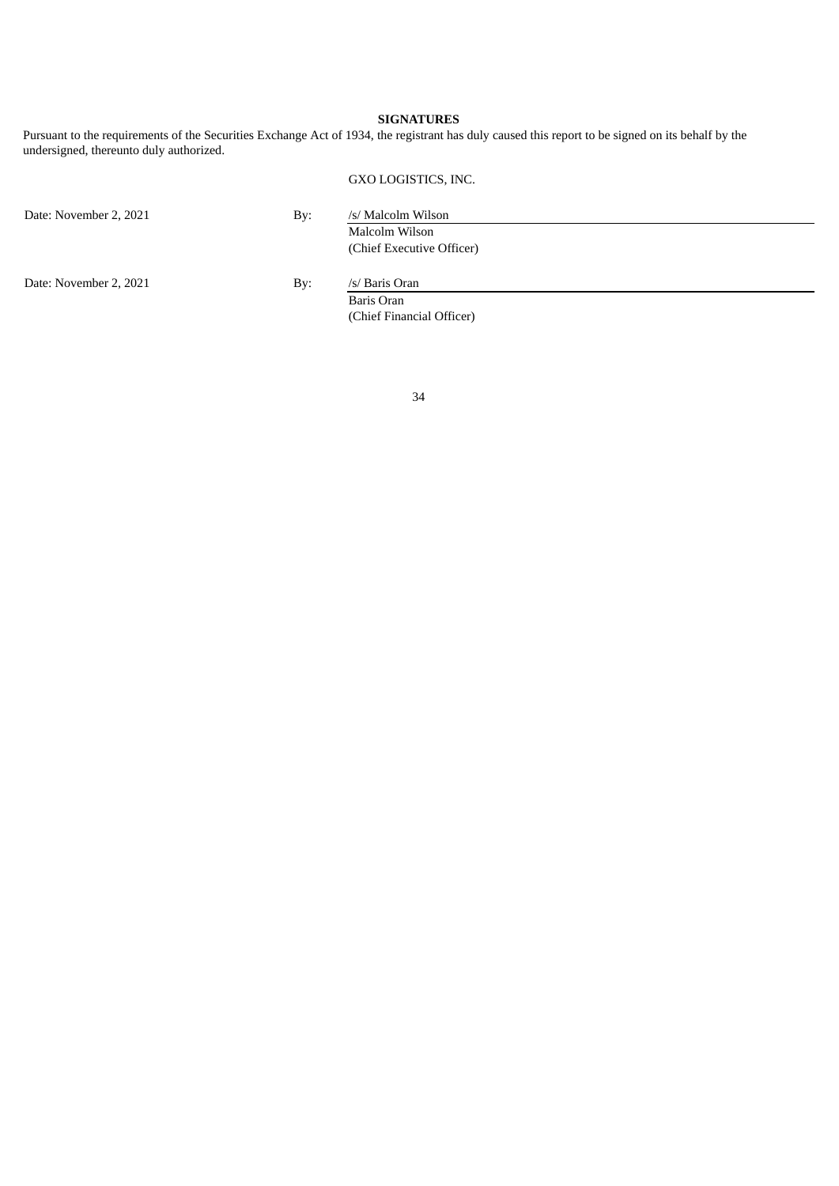#### **SIGNATURES**

Pursuant to the requirements of the Securities Exchange Act of 1934, the registrant has duly caused this report to be signed on its behalf by the undersigned, thereunto duly authorized.

# GXO LOGISTICS, INC.

Date: November 2, 2021 By: *Is/ Malcolm Wilson* Malcolm Wilson (Chief Executive Officer)

Date: November 2, 2021 By: *Is/ Baris Oran* 

Baris Oran (Chief Financial Officer)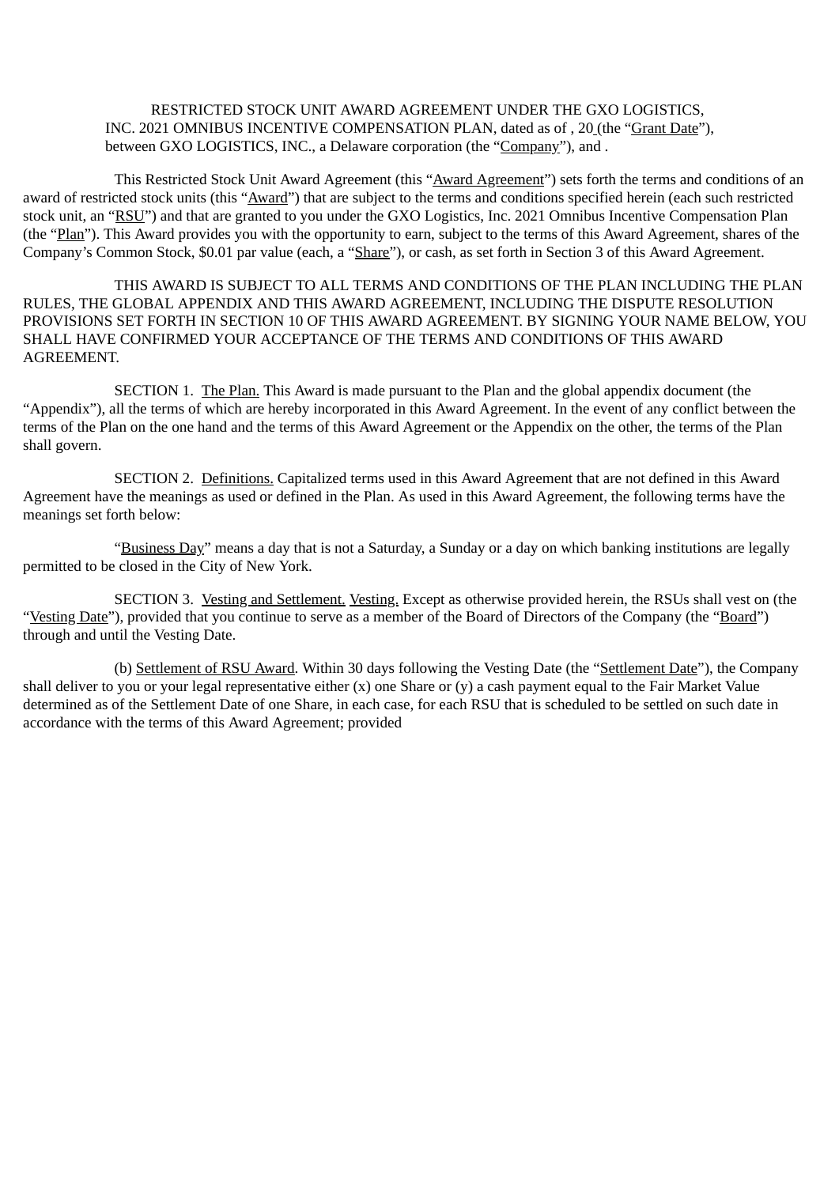# <span id="page-35-0"></span>RESTRICTED STOCK UNIT AWARD AGREEMENT UNDER THE GXO LOGISTICS, INC. 2021 OMNIBUS INCENTIVE COMPENSATION PLAN, dated as of , 20 (the "Grant Date"), between GXO LOGISTICS, INC., a Delaware corporation (the "Company"), and .

This Restricted Stock Unit Award Agreement (this "Award Agreement") sets forth the terms and conditions of an award of restricted stock units (this "Award") that are subject to the terms and conditions specified herein (each such restricted stock unit, an "RSU") and that are granted to you under the GXO Logistics, Inc. 2021 Omnibus Incentive Compensation Plan (the "Plan"). This Award provides you with the opportunity to earn, subject to the terms of this Award Agreement, shares of the Company's Common Stock, \$0.01 par value (each, a "Share"), or cash, as set forth in Section 3 of this Award Agreement.

THIS AWARD IS SUBJECT TO ALL TERMS AND CONDITIONS OF THE PLAN INCLUDING THE PLAN RULES, THE GLOBAL APPENDIX AND THIS AWARD AGREEMENT, INCLUDING THE DISPUTE RESOLUTION PROVISIONS SET FORTH IN SECTION 10 OF THIS AWARD AGREEMENT. BY SIGNING YOUR NAME BELOW, YOU SHALL HAVE CONFIRMED YOUR ACCEPTANCE OF THE TERMS AND CONDITIONS OF THIS AWARD AGREEMENT.

SECTION 1. The Plan. This Award is made pursuant to the Plan and the global appendix document (the "Appendix"), all the terms of which are hereby incorporated in this Award Agreement. In the event of any conflict between the terms of the Plan on the one hand and the terms of this Award Agreement or the Appendix on the other, the terms of the Plan shall govern.

SECTION 2. Definitions. Capitalized terms used in this Award Agreement that are not defined in this Award Agreement have the meanings as used or defined in the Plan. As used in this Award Agreement, the following terms have the meanings set forth below:

"Business Day" means a day that is not a Saturday, a Sunday or a day on which banking institutions are legally permitted to be closed in the City of New York.

SECTION 3. Vesting and Settlement. Vesting. Except as otherwise provided herein, the RSUs shall vest on (the "Vesting Date"), provided that you continue to serve as a member of the Board of Directors of the Company (the "Board") through and until the Vesting Date.

(b) Settlement of RSU Award. Within 30 days following the Vesting Date (the "Settlement Date"), the Company shall deliver to you or your legal representative either  $(x)$  one Share or  $(y)$  a cash payment equal to the Fair Market Value determined as of the Settlement Date of one Share, in each case, for each RSU that is scheduled to be settled on such date in accordance with the terms of this Award Agreement; provided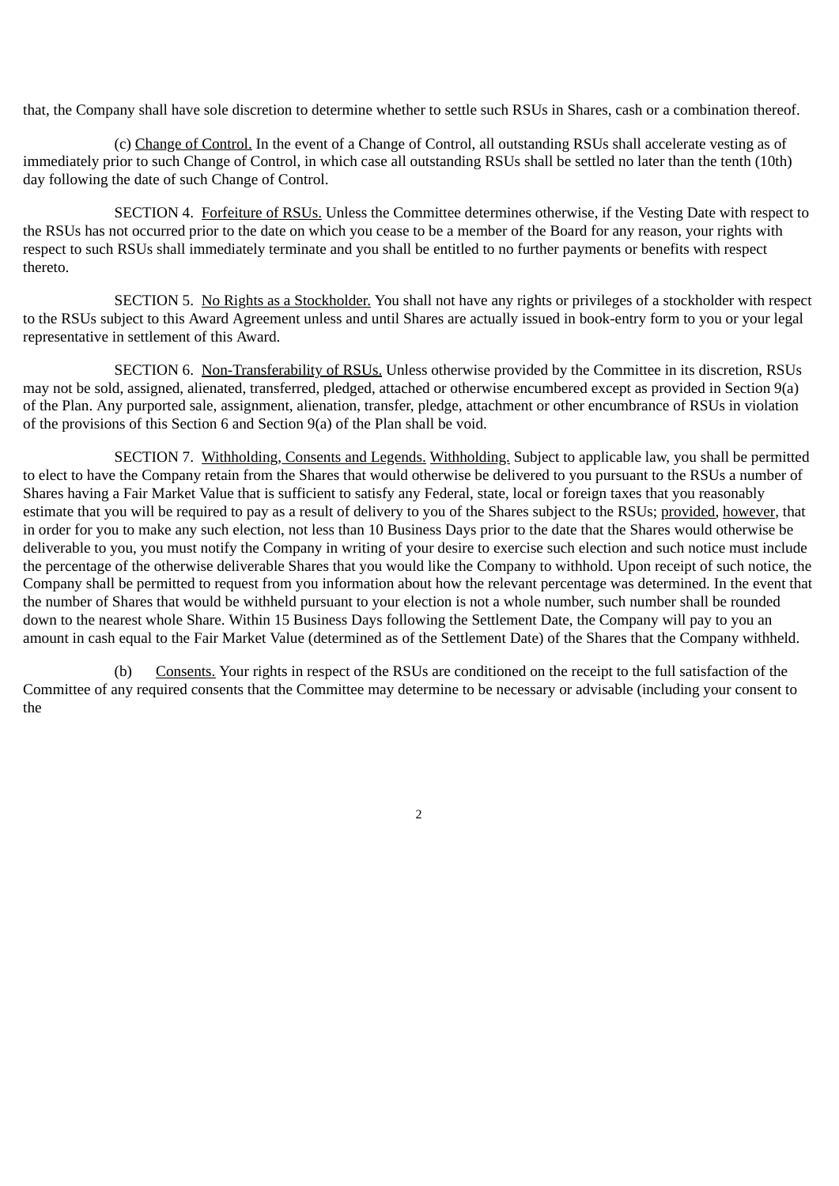that, the Company shall have sole discretion to determine whether to settle such RSUs in Shares, cash or a combination thereof.

(c) Change of Control. In the event of a Change of Control, all outstanding RSUs shall accelerate vesting as of immediately prior to such Change of Control, in which case all outstanding RSUs shall be settled no later than the tenth (10th) day following the date of such Change of Control.

SECTION 4. Forfeiture of RSUs. Unless the Committee determines otherwise, if the Vesting Date with respect to the RSUs has not occurred prior to the date on which you cease to be a member of the Board for any reason, your rights with respect to such RSUs shall immediately terminate and you shall be entitled to no further payments or benefits with respect thereto.

SECTION 5. No Rights as a Stockholder. You shall not have any rights or privileges of a stockholder with respect to the RSUs subject to this Award Agreement unless and until Shares are actually issued in book-entry form to you or your legal representative in settlement of this Award.

SECTION 6. Non-Transferability of RSUs. Unless otherwise provided by the Committee in its discretion, RSUs may not be sold, assigned, alienated, transferred, pledged, attached or otherwise encumbered except as provided in Section 9(a) of the Plan. Any purported sale, assignment, alienation, transfer, pledge, attachment or other encumbrance of RSUs in violation of the provisions of this Section 6 and Section 9(a) of the Plan shall be void.

SECTION 7. Withholding, Consents and Legends. Withholding. Subject to applicable law, you shall be permitted to elect to have the Company retain from the Shares that would otherwise be delivered to you pursuant to the RSUs a number of Shares having a Fair Market Value that is sufficient to satisfy any Federal, state, local or foreign taxes that you reasonably estimate that you will be required to pay as a result of delivery to you of the Shares subject to the RSUs; provided, however, that in order for you to make any such election, not less than 10 Business Days prior to the date that the Shares would otherwise be deliverable to you, you must notify the Company in writing of your desire to exercise such election and such notice must include the percentage of the otherwise deliverable Shares that you would like the Company to withhold. Upon receipt of such notice, the Company shall be permitted to request from you information about how the relevant percentage was determined. In the event that the number of Shares that would be withheld pursuant to your election is not a whole number, such number shall be rounded down to the nearest whole Share. Within 15 Business Days following the Settlement Date, the Company will pay to you an amount in cash equal to the Fair Market Value (determined as of the Settlement Date) of the Shares that the Company withheld.

(b) Consents. Your rights in respect of the RSUs are conditioned on the receipt to the full satisfaction of the Committee of any required consents that the Committee may determine to be necessary or advisable (including your consent to the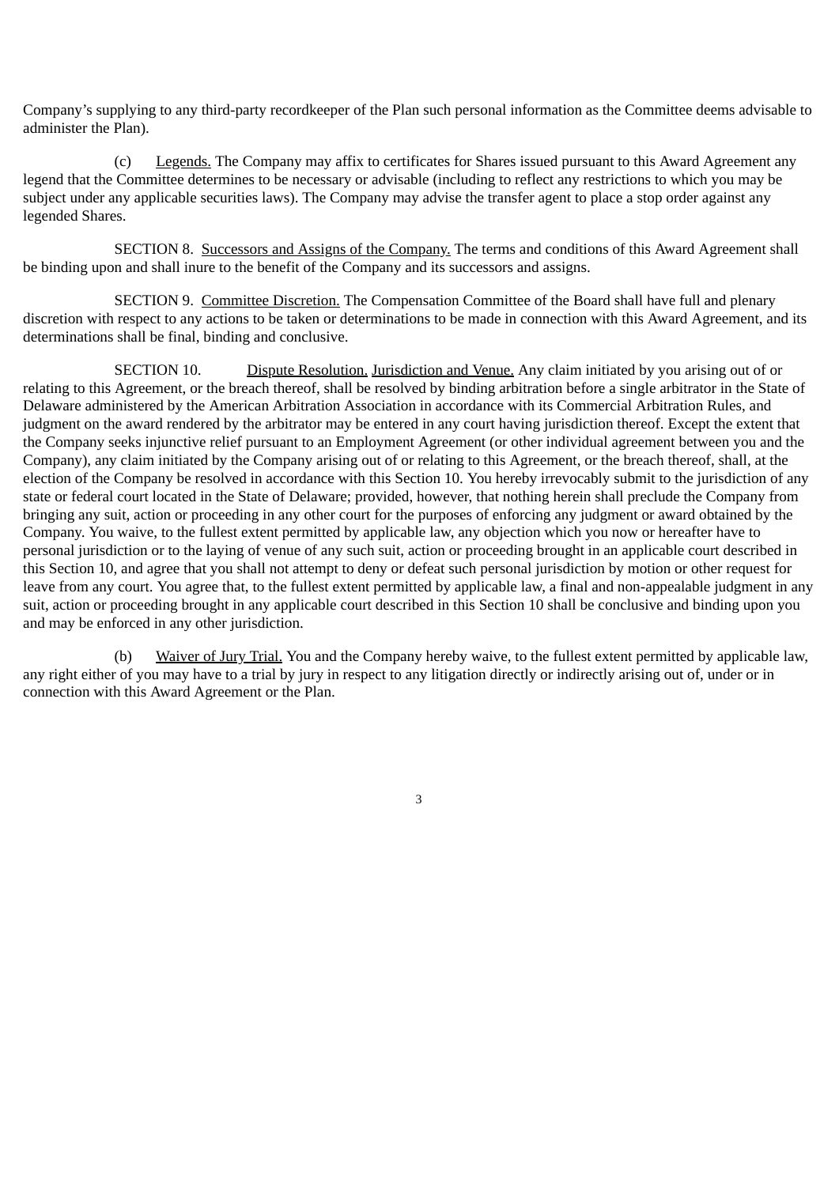Company's supplying to any third-party recordkeeper of the Plan such personal information as the Committee deems advisable to administer the Plan).

(c) Legends. The Company may affix to certificates for Shares issued pursuant to this Award Agreement any legend that the Committee determines to be necessary or advisable (including to reflect any restrictions to which you may be subject under any applicable securities laws). The Company may advise the transfer agent to place a stop order against any legended Shares.

SECTION 8. Successors and Assigns of the Company. The terms and conditions of this Award Agreement shall be binding upon and shall inure to the benefit of the Company and its successors and assigns.

SECTION 9. Committee Discretion. The Compensation Committee of the Board shall have full and plenary discretion with respect to any actions to be taken or determinations to be made in connection with this Award Agreement, and its determinations shall be final, binding and conclusive.

SECTION 10. Dispute Resolution. Jurisdiction and Venue. Any claim initiated by you arising out of or relating to this Agreement, or the breach thereof, shall be resolved by binding arbitration before a single arbitrator in the State of Delaware administered by the American Arbitration Association in accordance with its Commercial Arbitration Rules, and judgment on the award rendered by the arbitrator may be entered in any court having jurisdiction thereof. Except the extent that the Company seeks injunctive relief pursuant to an Employment Agreement (or other individual agreement between you and the Company), any claim initiated by the Company arising out of or relating to this Agreement, or the breach thereof, shall, at the election of the Company be resolved in accordance with this Section 10. You hereby irrevocably submit to the jurisdiction of any state or federal court located in the State of Delaware; provided, however, that nothing herein shall preclude the Company from bringing any suit, action or proceeding in any other court for the purposes of enforcing any judgment or award obtained by the Company. You waive, to the fullest extent permitted by applicable law, any objection which you now or hereafter have to personal jurisdiction or to the laying of venue of any such suit, action or proceeding brought in an applicable court described in this Section 10, and agree that you shall not attempt to deny or defeat such personal jurisdiction by motion or other request for leave from any court. You agree that, to the fullest extent permitted by applicable law, a final and non-appealable judgment in any suit, action or proceeding brought in any applicable court described in this Section 10 shall be conclusive and binding upon you and may be enforced in any other jurisdiction.

(b) Waiver of Jury Trial. You and the Company hereby waive, to the fullest extent permitted by applicable law, any right either of you may have to a trial by jury in respect to any litigation directly or indirectly arising out of, under or in connection with this Award Agreement or the Plan.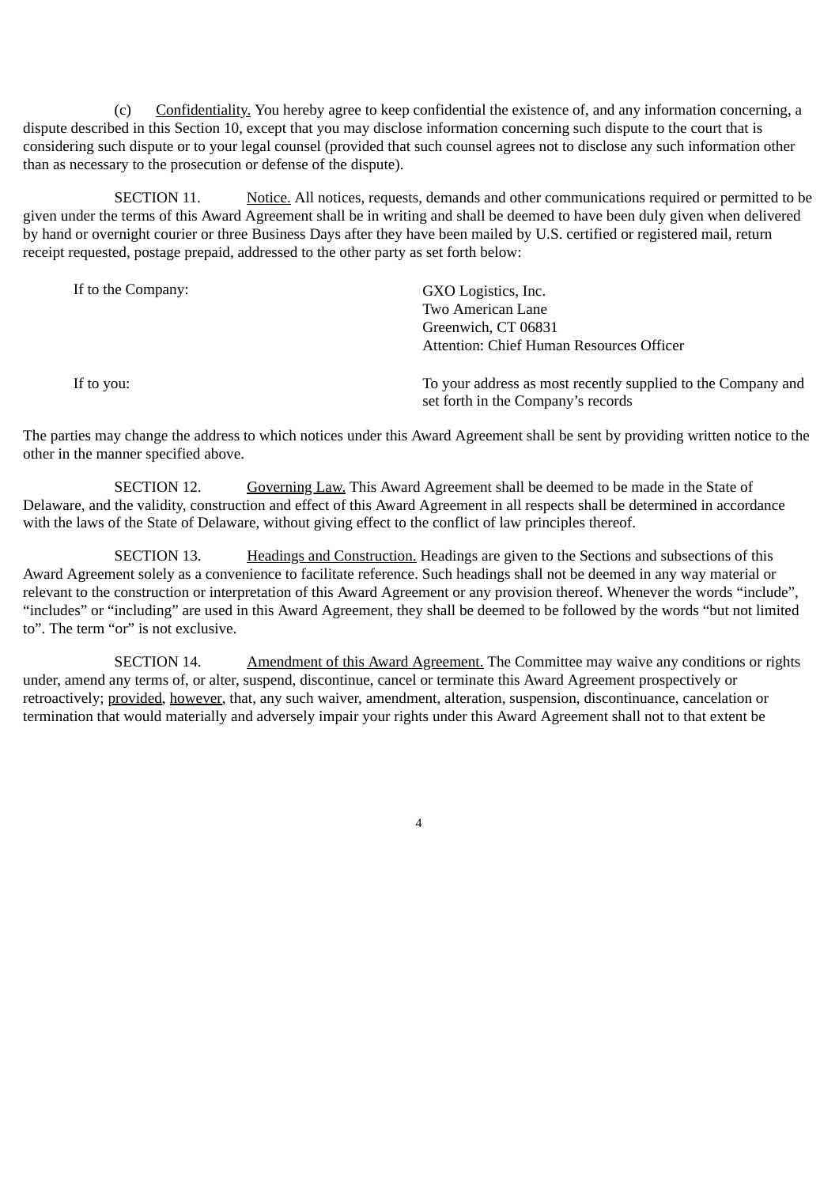(c) Confidentiality. You hereby agree to keep confidential the existence of, and any information concerning, a dispute described in this Section 10, except that you may disclose information concerning such dispute to the court that is considering such dispute or to your legal counsel (provided that such counsel agrees not to disclose any such information other than as necessary to the prosecution or defense of the dispute).

SECTION 11. Notice. All notices, requests, demands and other communications required or permitted to be given under the terms of this Award Agreement shall be in writing and shall be deemed to have been duly given when delivered by hand or overnight courier or three Business Days after they have been mailed by U.S. certified or registered mail, return receipt requested, postage prepaid, addressed to the other party as set forth below:

| If to the Company: | GXO Logistics, Inc.                                          |
|--------------------|--------------------------------------------------------------|
|                    | Two American Lane                                            |
|                    | Greenwich, CT 06831                                          |
|                    | Attention: Chief Human Resources Officer                     |
| If to you:         | To your address as most recently supplied to the Company and |
|                    | set forth in the Company's records                           |

The parties may change the address to which notices under this Award Agreement shall be sent by providing written notice to the other in the manner specified above.

SECTION 12. Governing Law. This Award Agreement shall be deemed to be made in the State of Delaware, and the validity, construction and effect of this Award Agreement in all respects shall be determined in accordance with the laws of the State of Delaware, without giving effect to the conflict of law principles thereof.

SECTION 13. Headings and Construction. Headings are given to the Sections and subsections of this Award Agreement solely as a convenience to facilitate reference. Such headings shall not be deemed in any way material or relevant to the construction or interpretation of this Award Agreement or any provision thereof. Whenever the words "include", "includes" or "including" are used in this Award Agreement, they shall be deemed to be followed by the words "but not limited to". The term "or" is not exclusive.

SECTION 14. Amendment of this Award Agreement. The Committee may waive any conditions or rights under, amend any terms of, or alter, suspend, discontinue, cancel or terminate this Award Agreement prospectively or retroactively; provided, however, that, any such waiver, amendment, alteration, suspension, discontinuance, cancelation or termination that would materially and adversely impair your rights under this Award Agreement shall not to that extent be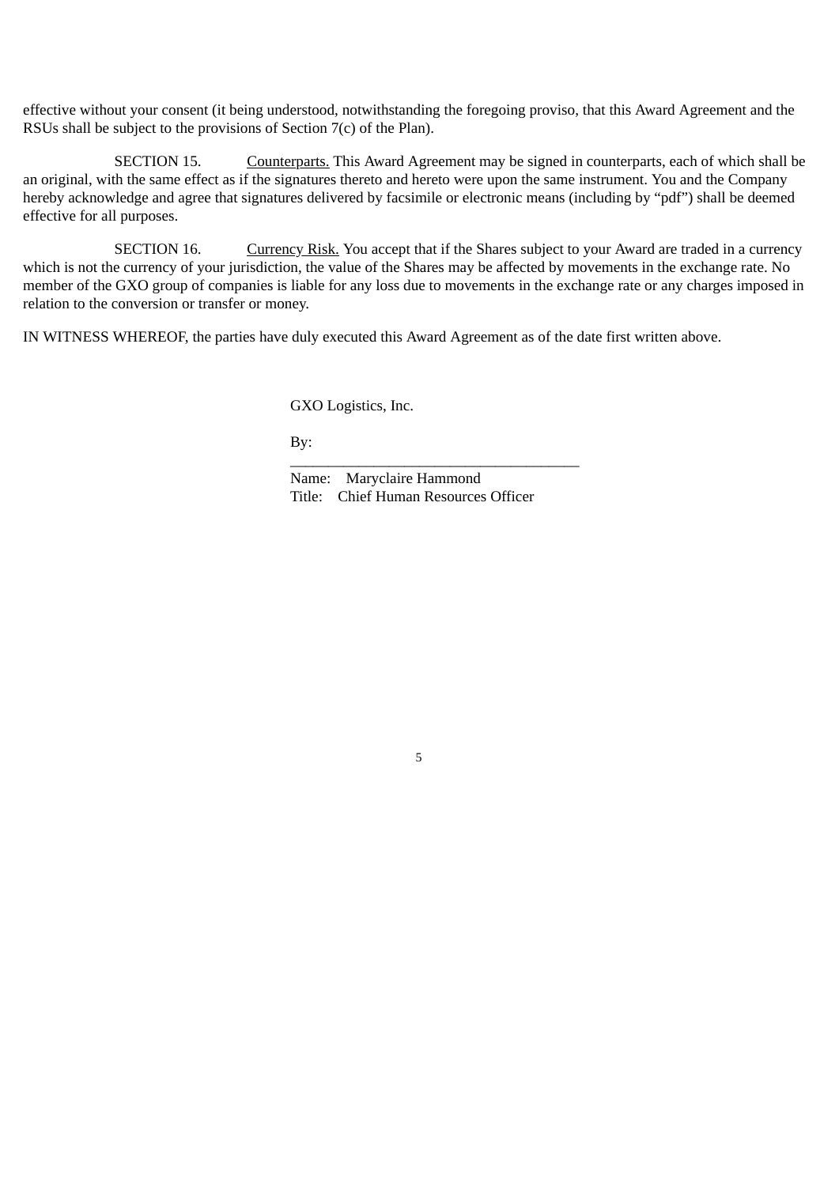effective without your consent (it being understood, notwithstanding the foregoing proviso, that this Award Agreement and the RSUs shall be subject to the provisions of Section 7(c) of the Plan).

SECTION 15. Counterparts. This Award Agreement may be signed in counterparts, each of which shall be an original, with the same effect as if the signatures thereto and hereto were upon the same instrument. You and the Company hereby acknowledge and agree that signatures delivered by facsimile or electronic means (including by "pdf") shall be deemed effective for all purposes.

SECTION 16. Currency Risk. You accept that if the Shares subject to your Award are traded in a currency which is not the currency of your jurisdiction, the value of the Shares may be affected by movements in the exchange rate. No member of the GXO group of companies is liable for any loss due to movements in the exchange rate or any charges imposed in relation to the conversion or transfer or money.

IN WITNESS WHEREOF, the parties have duly executed this Award Agreement as of the date first written above.

GXO Logistics, Inc.

By:

Name: Maryclaire Hammond Title: Chief Human Resources Officer

5

\_\_\_\_\_\_\_\_\_\_\_\_\_\_\_\_\_\_\_\_\_\_\_\_\_\_\_\_\_\_\_\_\_\_\_\_\_\_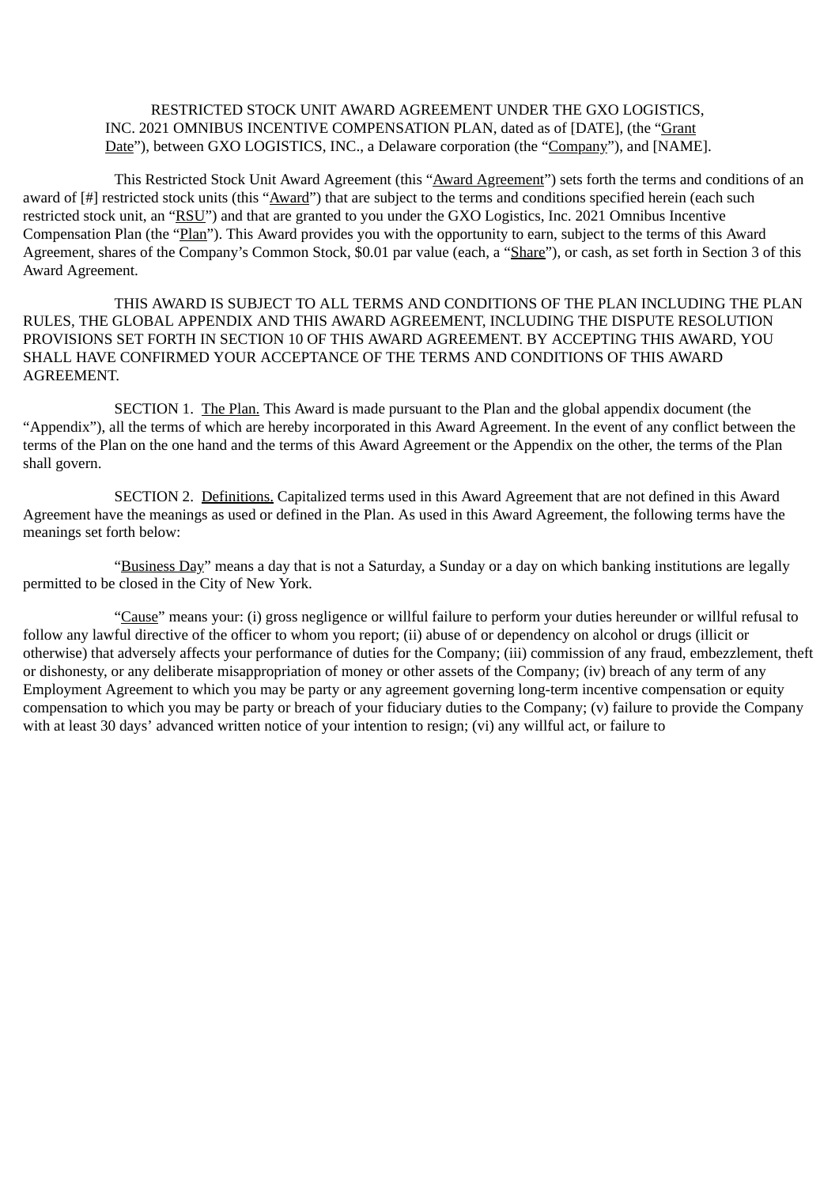# <span id="page-40-0"></span>RESTRICTED STOCK UNIT AWARD AGREEMENT UNDER THE GXO LOGISTICS, INC. 2021 OMNIBUS INCENTIVE COMPENSATION PLAN, dated as of [DATE], (the "Grant Date"), between GXO LOGISTICS, INC., a Delaware corporation (the "Company"), and [NAME].

This Restricted Stock Unit Award Agreement (this "Award Agreement") sets forth the terms and conditions of an award of [#] restricted stock units (this "Award") that are subject to the terms and conditions specified herein (each such restricted stock unit, an "RSU") and that are granted to you under the GXO Logistics, Inc. 2021 Omnibus Incentive Compensation Plan (the "Plan"). This Award provides you with the opportunity to earn, subject to the terms of this Award Agreement, shares of the Company's Common Stock, \$0.01 par value (each, a "Share"), or cash, as set forth in Section 3 of this Award Agreement.

THIS AWARD IS SUBJECT TO ALL TERMS AND CONDITIONS OF THE PLAN INCLUDING THE PLAN RULES, THE GLOBAL APPENDIX AND THIS AWARD AGREEMENT, INCLUDING THE DISPUTE RESOLUTION PROVISIONS SET FORTH IN SECTION 10 OF THIS AWARD AGREEMENT. BY ACCEPTING THIS AWARD, YOU SHALL HAVE CONFIRMED YOUR ACCEPTANCE OF THE TERMS AND CONDITIONS OF THIS AWARD AGREEMENT.

SECTION 1. The Plan. This Award is made pursuant to the Plan and the global appendix document (the "Appendix"), all the terms of which are hereby incorporated in this Award Agreement. In the event of any conflict between the terms of the Plan on the one hand and the terms of this Award Agreement or the Appendix on the other, the terms of the Plan shall govern.

SECTION 2. Definitions. Capitalized terms used in this Award Agreement that are not defined in this Award Agreement have the meanings as used or defined in the Plan. As used in this Award Agreement, the following terms have the meanings set forth below:

"Business Day" means a day that is not a Saturday, a Sunday or a day on which banking institutions are legally permitted to be closed in the City of New York.

"Cause" means your: (i) gross negligence or willful failure to perform your duties hereunder or willful refusal to follow any lawful directive of the officer to whom you report; (ii) abuse of or dependency on alcohol or drugs (illicit or otherwise) that adversely affects your performance of duties for the Company; (iii) commission of any fraud, embezzlement, theft or dishonesty, or any deliberate misappropriation of money or other assets of the Company; (iv) breach of any term of any Employment Agreement to which you may be party or any agreement governing long-term incentive compensation or equity compensation to which you may be party or breach of your fiduciary duties to the Company; (v) failure to provide the Company with at least 30 days' advanced written notice of your intention to resign; (vi) any willful act, or failure to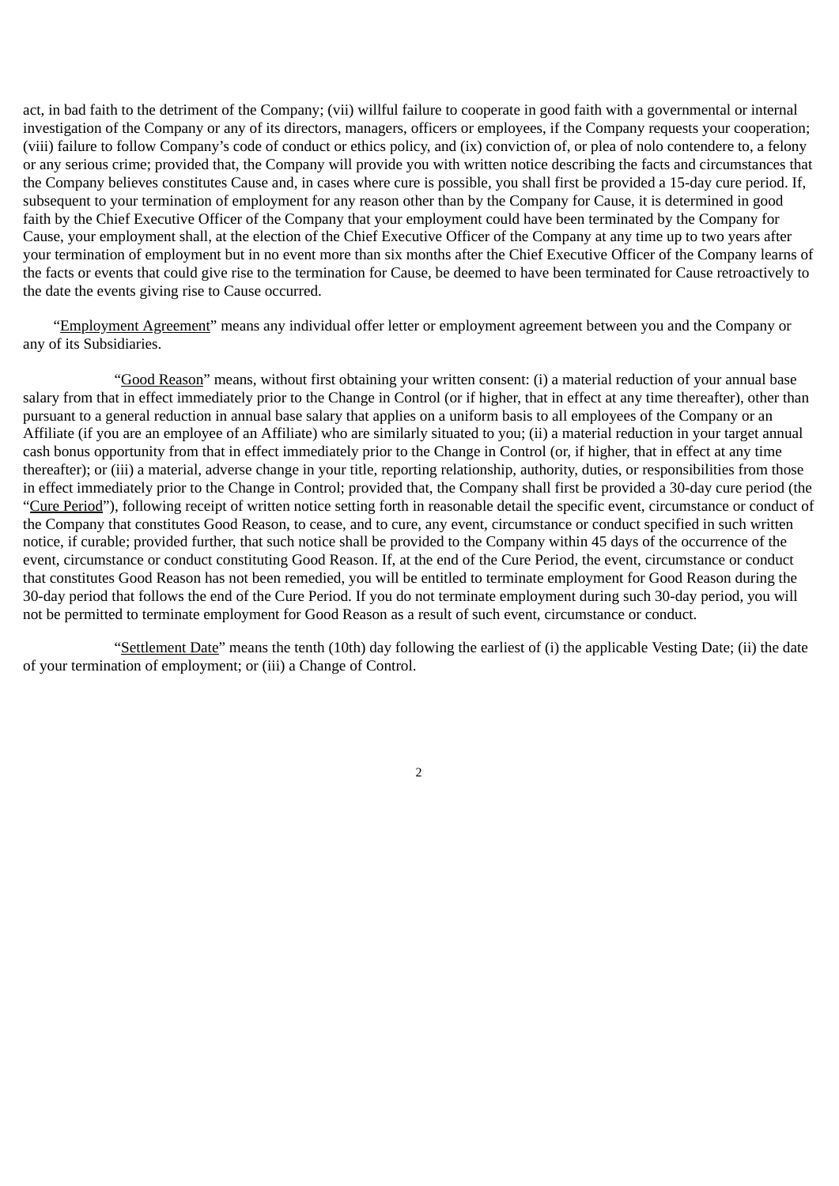act, in bad faith to the detriment of the Company; (vii) willful failure to cooperate in good faith with a governmental or internal investigation of the Company or any of its directors, managers, officers or employees, if the Company requests your cooperation; (viii) failure to follow Company's code of conduct or ethics policy, and (ix) conviction of, or plea of nolo contendere to, a felony or any serious crime; provided that, the Company will provide you with written notice describing the facts and circumstances that the Company believes constitutes Cause and, in cases where cure is possible, you shall first be provided a 15-day cure period. If, subsequent to your termination of employment for any reason other than by the Company for Cause, it is determined in good faith by the Chief Executive Officer of the Company that your employment could have been terminated by the Company for Cause, your employment shall, at the election of the Chief Executive Officer of the Company at any time up to two years after your termination of employment but in no event more than six months after the Chief Executive Officer of the Company learns of the facts or events that could give rise to the termination for Cause, be deemed to have been terminated for Cause retroactively to the date the events giving rise to Cause occurred.

"Employment Agreement" means any individual offer letter or employment agreement between you and the Company or any of its Subsidiaries.

"Good Reason" means, without first obtaining your written consent: (i) a material reduction of your annual base salary from that in effect immediately prior to the Change in Control (or if higher, that in effect at any time thereafter), other than pursuant to a general reduction in annual base salary that applies on a uniform basis to all employees of the Company or an Affiliate (if you are an employee of an Affiliate) who are similarly situated to you; (ii) a material reduction in your target annual cash bonus opportunity from that in effect immediately prior to the Change in Control (or, if higher, that in effect at any time thereafter); or (iii) a material, adverse change in your title, reporting relationship, authority, duties, or responsibilities from those in effect immediately prior to the Change in Control; provided that, the Company shall first be provided a 30-day cure period (the "Cure Period"), following receipt of written notice setting forth in reasonable detail the specific event, circumstance or conduct of the Company that constitutes Good Reason, to cease, and to cure, any event, circumstance or conduct specified in such written notice, if curable; provided further, that such notice shall be provided to the Company within 45 days of the occurrence of the event, circumstance or conduct constituting Good Reason. If, at the end of the Cure Period, the event, circumstance or conduct that constitutes Good Reason has not been remedied, you will be entitled to terminate employment for Good Reason during the 30-day period that follows the end of the Cure Period. If you do not terminate employment during such 30-day period, you will not be permitted to terminate employment for Good Reason as a result of such event, circumstance or conduct.

"Settlement Date" means the tenth (10th) day following the earliest of (i) the applicable Vesting Date; (ii) the date of your termination of employment; or (iii) a Change of Control.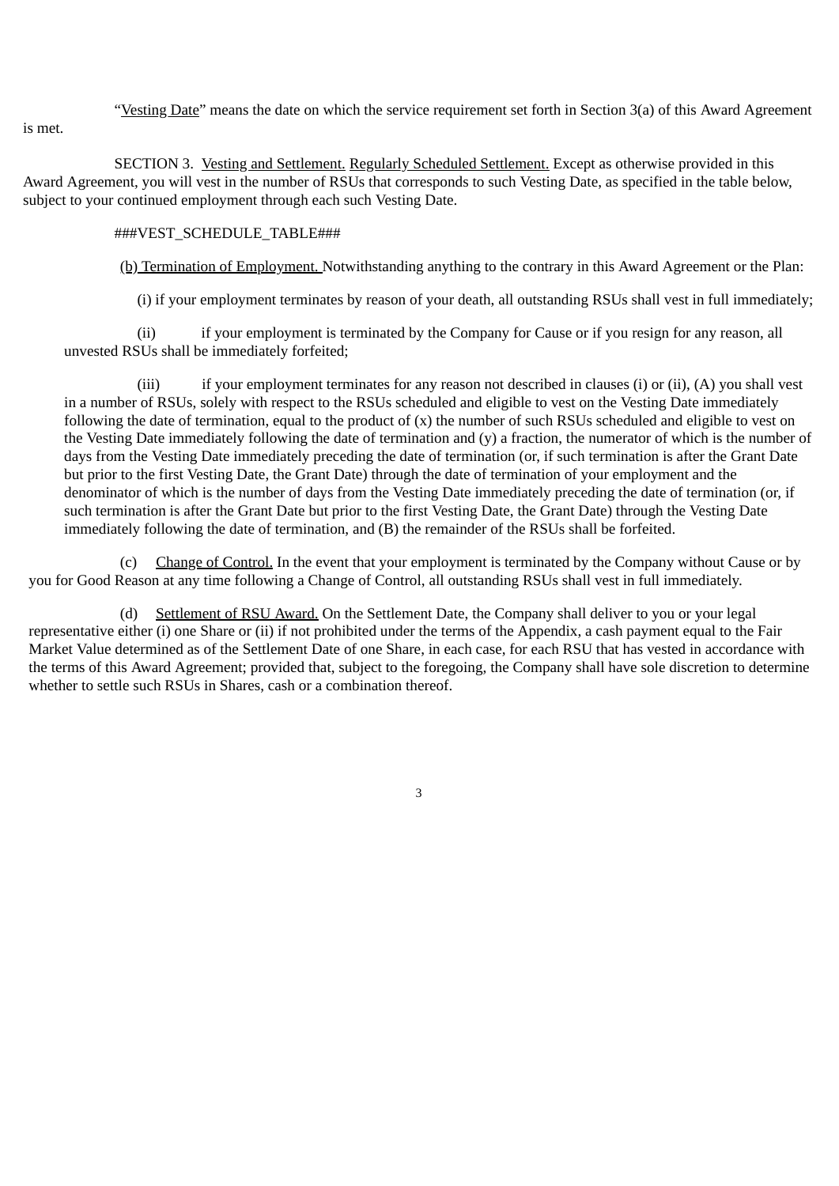"Vesting Date" means the date on which the service requirement set forth in Section 3(a) of this Award Agreement

is met.

SECTION 3. Vesting and Settlement. Regularly Scheduled Settlement. Except as otherwise provided in this Award Agreement, you will vest in the number of RSUs that corresponds to such Vesting Date, as specified in the table below, subject to your continued employment through each such Vesting Date.

# ###VEST\_SCHEDULE\_TABLE###

(b) Termination of Employment. Notwithstanding anything to the contrary in this Award Agreement or the Plan:

(i) if your employment terminates by reason of your death, all outstanding RSUs shall vest in full immediately;

(ii) if your employment is terminated by the Company for Cause or if you resign for any reason, all unvested RSUs shall be immediately forfeited;

(iii) if your employment terminates for any reason not described in clauses (i) or (ii), (A) you shall vest in a number of RSUs, solely with respect to the RSUs scheduled and eligible to vest on the Vesting Date immediately following the date of termination, equal to the product of  $(x)$  the number of such RSUs scheduled and eligible to vest on the Vesting Date immediately following the date of termination and (y) a fraction, the numerator of which is the number of days from the Vesting Date immediately preceding the date of termination (or, if such termination is after the Grant Date but prior to the first Vesting Date, the Grant Date) through the date of termination of your employment and the denominator of which is the number of days from the Vesting Date immediately preceding the date of termination (or, if such termination is after the Grant Date but prior to the first Vesting Date, the Grant Date) through the Vesting Date immediately following the date of termination, and (B) the remainder of the RSUs shall be forfeited.

(c) Change of Control. In the event that your employment is terminated by the Company without Cause or by you for Good Reason at any time following a Change of Control, all outstanding RSUs shall vest in full immediately.

(d) Settlement of RSU Award. On the Settlement Date, the Company shall deliver to you or your legal representative either (i) one Share or (ii) if not prohibited under the terms of the Appendix, a cash payment equal to the Fair Market Value determined as of the Settlement Date of one Share, in each case, for each RSU that has vested in accordance with the terms of this Award Agreement; provided that, subject to the foregoing, the Company shall have sole discretion to determine whether to settle such RSUs in Shares, cash or a combination thereof.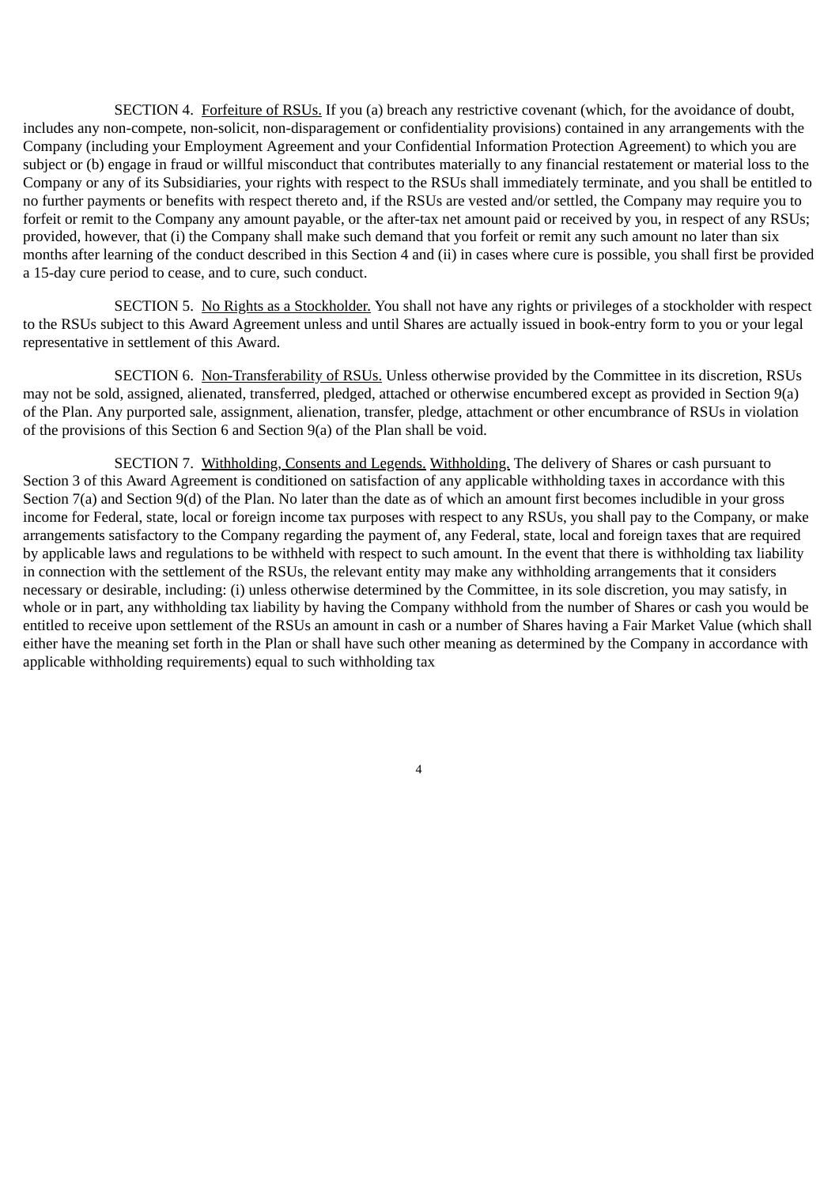SECTION 4. Forfeiture of RSUs. If you (a) breach any restrictive covenant (which, for the avoidance of doubt, includes any non-compete, non-solicit, non-disparagement or confidentiality provisions) contained in any arrangements with the Company (including your Employment Agreement and your Confidential Information Protection Agreement) to which you are subject or (b) engage in fraud or willful misconduct that contributes materially to any financial restatement or material loss to the Company or any of its Subsidiaries, your rights with respect to the RSUs shall immediately terminate, and you shall be entitled to no further payments or benefits with respect thereto and, if the RSUs are vested and/or settled, the Company may require you to forfeit or remit to the Company any amount payable, or the after-tax net amount paid or received by you, in respect of any RSUs; provided, however, that (i) the Company shall make such demand that you forfeit or remit any such amount no later than six months after learning of the conduct described in this Section 4 and (ii) in cases where cure is possible, you shall first be provided a 15-day cure period to cease, and to cure, such conduct.

SECTION 5. No Rights as a Stockholder. You shall not have any rights or privileges of a stockholder with respect to the RSUs subject to this Award Agreement unless and until Shares are actually issued in book-entry form to you or your legal representative in settlement of this Award.

SECTION 6. Non-Transferability of RSUs. Unless otherwise provided by the Committee in its discretion, RSUs may not be sold, assigned, alienated, transferred, pledged, attached or otherwise encumbered except as provided in Section 9(a) of the Plan. Any purported sale, assignment, alienation, transfer, pledge, attachment or other encumbrance of RSUs in violation of the provisions of this Section 6 and Section 9(a) of the Plan shall be void.

SECTION 7. Withholding, Consents and Legends. Withholding. The delivery of Shares or cash pursuant to Section 3 of this Award Agreement is conditioned on satisfaction of any applicable withholding taxes in accordance with this Section 7(a) and Section 9(d) of the Plan. No later than the date as of which an amount first becomes includible in your gross income for Federal, state, local or foreign income tax purposes with respect to any RSUs, you shall pay to the Company, or make arrangements satisfactory to the Company regarding the payment of, any Federal, state, local and foreign taxes that are required by applicable laws and regulations to be withheld with respect to such amount. In the event that there is withholding tax liability in connection with the settlement of the RSUs, the relevant entity may make any withholding arrangements that it considers necessary or desirable, including: (i) unless otherwise determined by the Committee, in its sole discretion, you may satisfy, in whole or in part, any withholding tax liability by having the Company withhold from the number of Shares or cash you would be entitled to receive upon settlement of the RSUs an amount in cash or a number of Shares having a Fair Market Value (which shall either have the meaning set forth in the Plan or shall have such other meaning as determined by the Company in accordance with applicable withholding requirements) equal to such withholding tax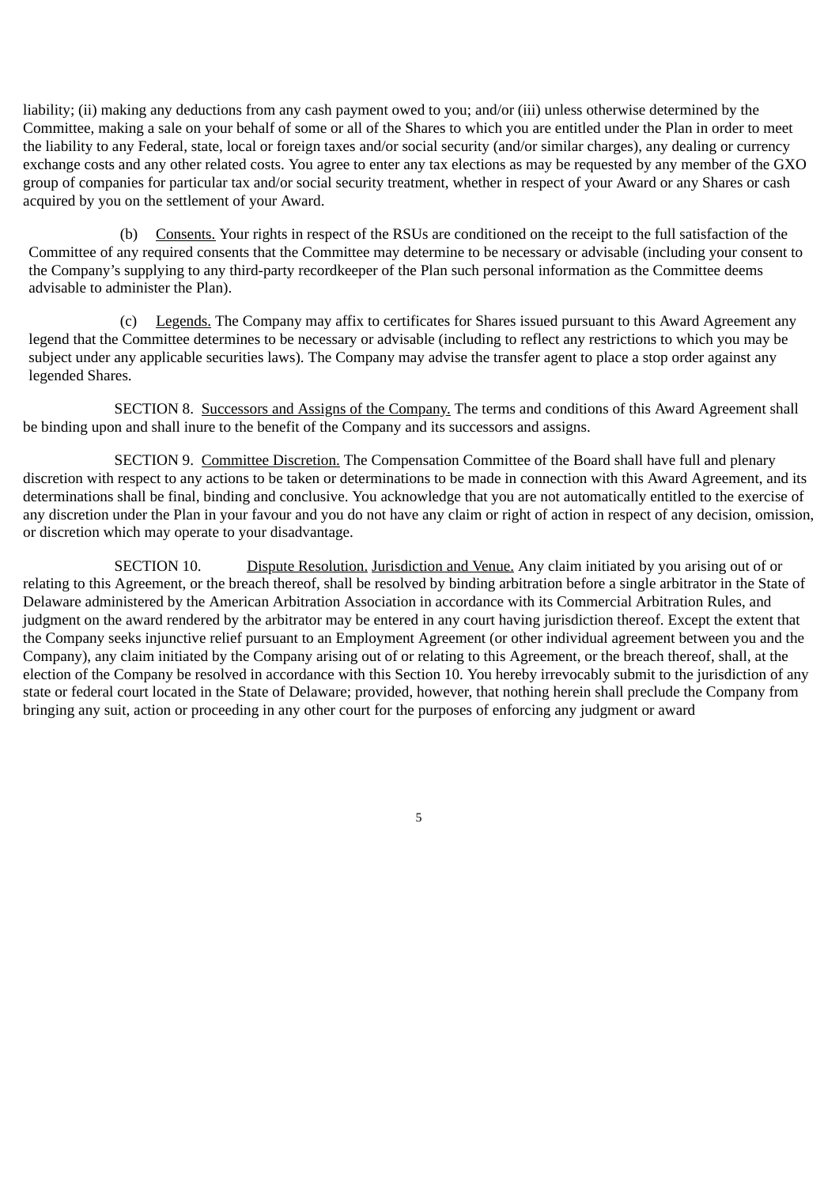liability; (ii) making any deductions from any cash payment owed to you; and/or (iii) unless otherwise determined by the Committee, making a sale on your behalf of some or all of the Shares to which you are entitled under the Plan in order to meet the liability to any Federal, state, local or foreign taxes and/or social security (and/or similar charges), any dealing or currency exchange costs and any other related costs. You agree to enter any tax elections as may be requested by any member of the GXO group of companies for particular tax and/or social security treatment, whether in respect of your Award or any Shares or cash acquired by you on the settlement of your Award.

(b) Consents. Your rights in respect of the RSUs are conditioned on the receipt to the full satisfaction of the Committee of any required consents that the Committee may determine to be necessary or advisable (including your consent to the Company's supplying to any third-party recordkeeper of the Plan such personal information as the Committee deems advisable to administer the Plan).

(c) Legends. The Company may affix to certificates for Shares issued pursuant to this Award Agreement any legend that the Committee determines to be necessary or advisable (including to reflect any restrictions to which you may be subject under any applicable securities laws). The Company may advise the transfer agent to place a stop order against any legended Shares.

SECTION 8. Successors and Assigns of the Company. The terms and conditions of this Award Agreement shall be binding upon and shall inure to the benefit of the Company and its successors and assigns.

SECTION 9. Committee Discretion. The Compensation Committee of the Board shall have full and plenary discretion with respect to any actions to be taken or determinations to be made in connection with this Award Agreement, and its determinations shall be final, binding and conclusive. You acknowledge that you are not automatically entitled to the exercise of any discretion under the Plan in your favour and you do not have any claim or right of action in respect of any decision, omission, or discretion which may operate to your disadvantage.

SECTION 10. Dispute Resolution. Jurisdiction and Venue. Any claim initiated by you arising out of or relating to this Agreement, or the breach thereof, shall be resolved by binding arbitration before a single arbitrator in the State of Delaware administered by the American Arbitration Association in accordance with its Commercial Arbitration Rules, and judgment on the award rendered by the arbitrator may be entered in any court having jurisdiction thereof. Except the extent that the Company seeks injunctive relief pursuant to an Employment Agreement (or other individual agreement between you and the Company), any claim initiated by the Company arising out of or relating to this Agreement, or the breach thereof, shall, at the election of the Company be resolved in accordance with this Section 10. You hereby irrevocably submit to the jurisdiction of any state or federal court located in the State of Delaware; provided, however, that nothing herein shall preclude the Company from bringing any suit, action or proceeding in any other court for the purposes of enforcing any judgment or award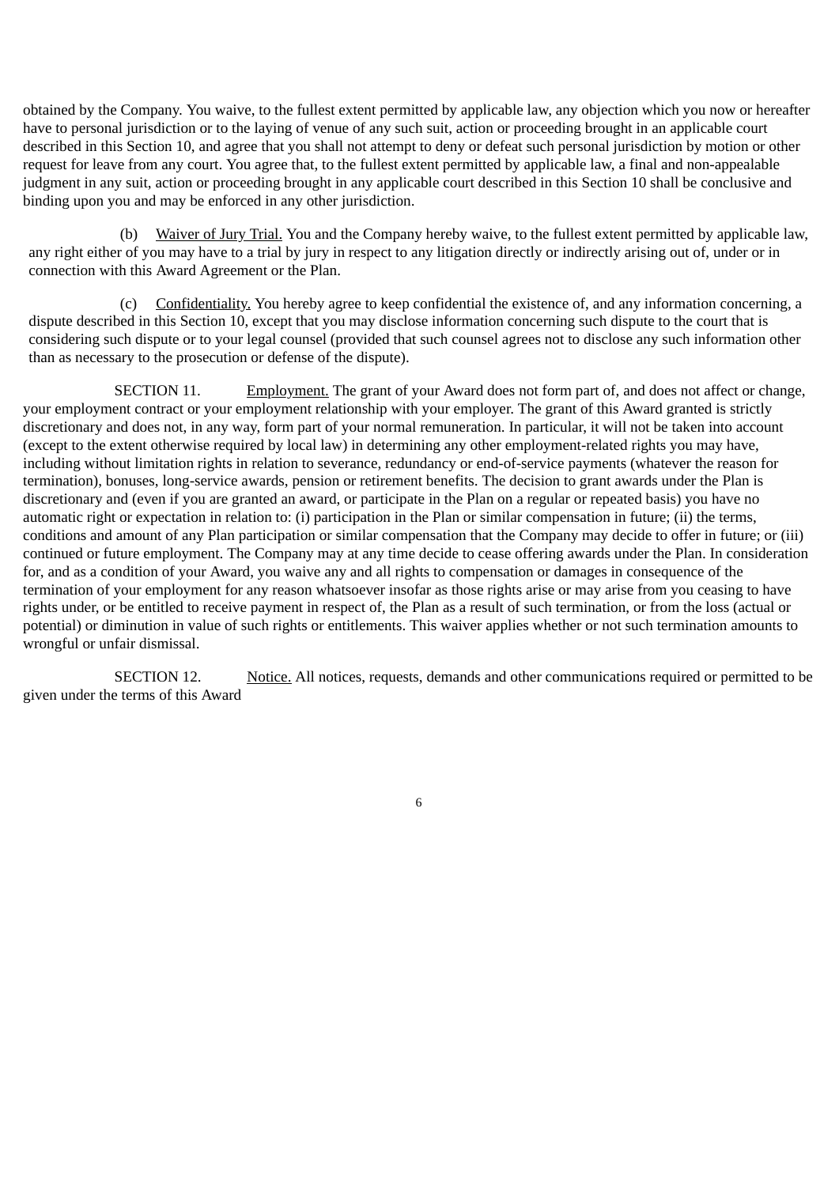obtained by the Company. You waive, to the fullest extent permitted by applicable law, any objection which you now or hereafter have to personal jurisdiction or to the laying of venue of any such suit, action or proceeding brought in an applicable court described in this Section 10, and agree that you shall not attempt to deny or defeat such personal jurisdiction by motion or other request for leave from any court. You agree that, to the fullest extent permitted by applicable law, a final and non-appealable judgment in any suit, action or proceeding brought in any applicable court described in this Section 10 shall be conclusive and binding upon you and may be enforced in any other jurisdiction.

(b) Waiver of Jury Trial. You and the Company hereby waive, to the fullest extent permitted by applicable law, any right either of you may have to a trial by jury in respect to any litigation directly or indirectly arising out of, under or in connection with this Award Agreement or the Plan.

(c) Confidentiality. You hereby agree to keep confidential the existence of, and any information concerning, a dispute described in this Section 10, except that you may disclose information concerning such dispute to the court that is considering such dispute or to your legal counsel (provided that such counsel agrees not to disclose any such information other than as necessary to the prosecution or defense of the dispute).

SECTION 11. Employment. The grant of your Award does not form part of, and does not affect or change, your employment contract or your employment relationship with your employer. The grant of this Award granted is strictly discretionary and does not, in any way, form part of your normal remuneration. In particular, it will not be taken into account (except to the extent otherwise required by local law) in determining any other employment-related rights you may have, including without limitation rights in relation to severance, redundancy or end-of-service payments (whatever the reason for termination), bonuses, long-service awards, pension or retirement benefits. The decision to grant awards under the Plan is discretionary and (even if you are granted an award, or participate in the Plan on a regular or repeated basis) you have no automatic right or expectation in relation to: (i) participation in the Plan or similar compensation in future; (ii) the terms, conditions and amount of any Plan participation or similar compensation that the Company may decide to offer in future; or (iii) continued or future employment. The Company may at any time decide to cease offering awards under the Plan. In consideration for, and as a condition of your Award, you waive any and all rights to compensation or damages in consequence of the termination of your employment for any reason whatsoever insofar as those rights arise or may arise from you ceasing to have rights under, or be entitled to receive payment in respect of, the Plan as a result of such termination, or from the loss (actual or potential) or diminution in value of such rights or entitlements. This waiver applies whether or not such termination amounts to wrongful or unfair dismissal.

SECTION 12. Notice. All notices, requests, demands and other communications required or permitted to be given under the terms of this Award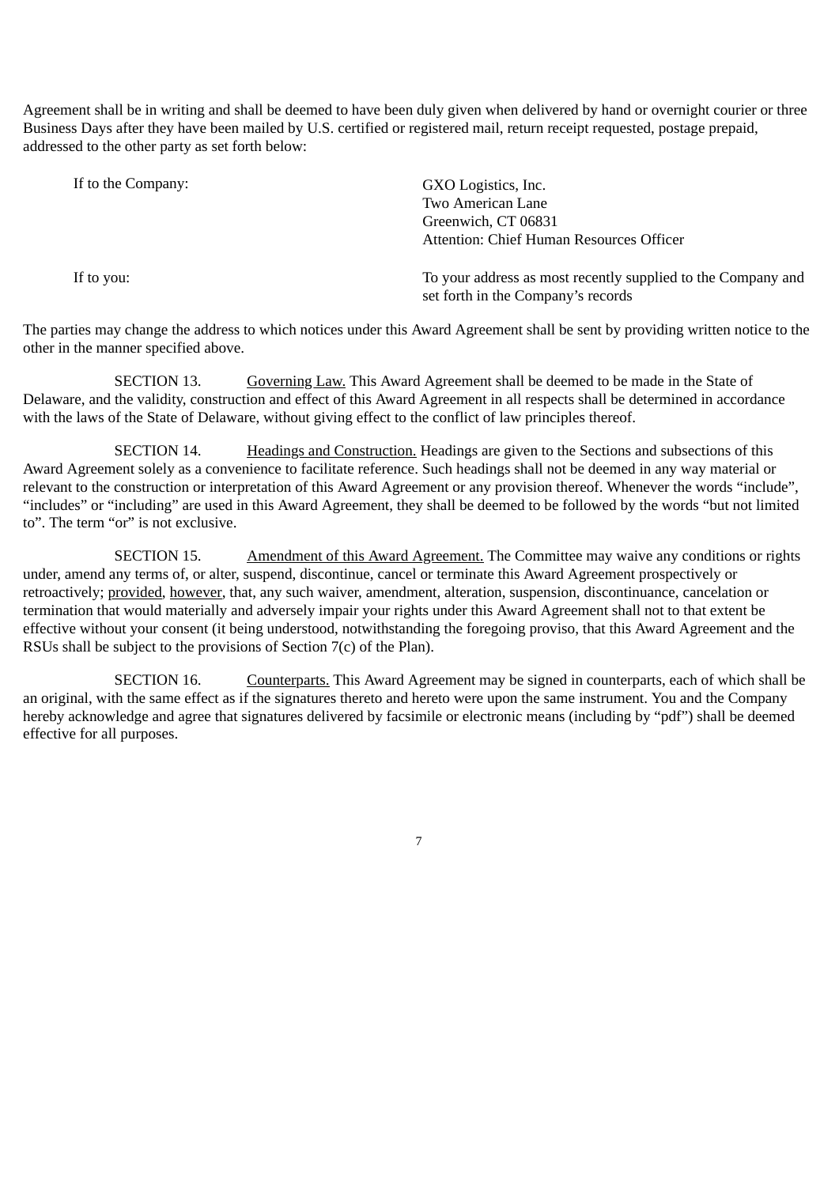Agreement shall be in writing and shall be deemed to have been duly given when delivered by hand or overnight courier or three Business Days after they have been mailed by U.S. certified or registered mail, return receipt requested, postage prepaid, addressed to the other party as set forth below:

| If to the Company: | GXO Logistics, Inc.                                                                                |
|--------------------|----------------------------------------------------------------------------------------------------|
|                    | Two American Lane                                                                                  |
|                    | Greenwich, CT 06831                                                                                |
|                    | Attention: Chief Human Resources Officer                                                           |
| If to you:         | To your address as most recently supplied to the Company and<br>set forth in the Company's records |

The parties may change the address to which notices under this Award Agreement shall be sent by providing written notice to the other in the manner specified above.

SECTION 13. Governing Law. This Award Agreement shall be deemed to be made in the State of Delaware, and the validity, construction and effect of this Award Agreement in all respects shall be determined in accordance with the laws of the State of Delaware, without giving effect to the conflict of law principles thereof.

SECTION 14. Headings and Construction. Headings are given to the Sections and subsections of this Award Agreement solely as a convenience to facilitate reference. Such headings shall not be deemed in any way material or relevant to the construction or interpretation of this Award Agreement or any provision thereof. Whenever the words "include", "includes" or "including" are used in this Award Agreement, they shall be deemed to be followed by the words "but not limited to". The term "or" is not exclusive.

SECTION 15. Amendment of this Award Agreement. The Committee may waive any conditions or rights under, amend any terms of, or alter, suspend, discontinue, cancel or terminate this Award Agreement prospectively or retroactively; provided, however, that, any such waiver, amendment, alteration, suspension, discontinuance, cancelation or termination that would materially and adversely impair your rights under this Award Agreement shall not to that extent be effective without your consent (it being understood, notwithstanding the foregoing proviso, that this Award Agreement and the RSUs shall be subject to the provisions of Section 7(c) of the Plan).

SECTION 16. Counterparts. This Award Agreement may be signed in counterparts, each of which shall be an original, with the same effect as if the signatures thereto and hereto were upon the same instrument. You and the Company hereby acknowledge and agree that signatures delivered by facsimile or electronic means (including by "pdf") shall be deemed effective for all purposes.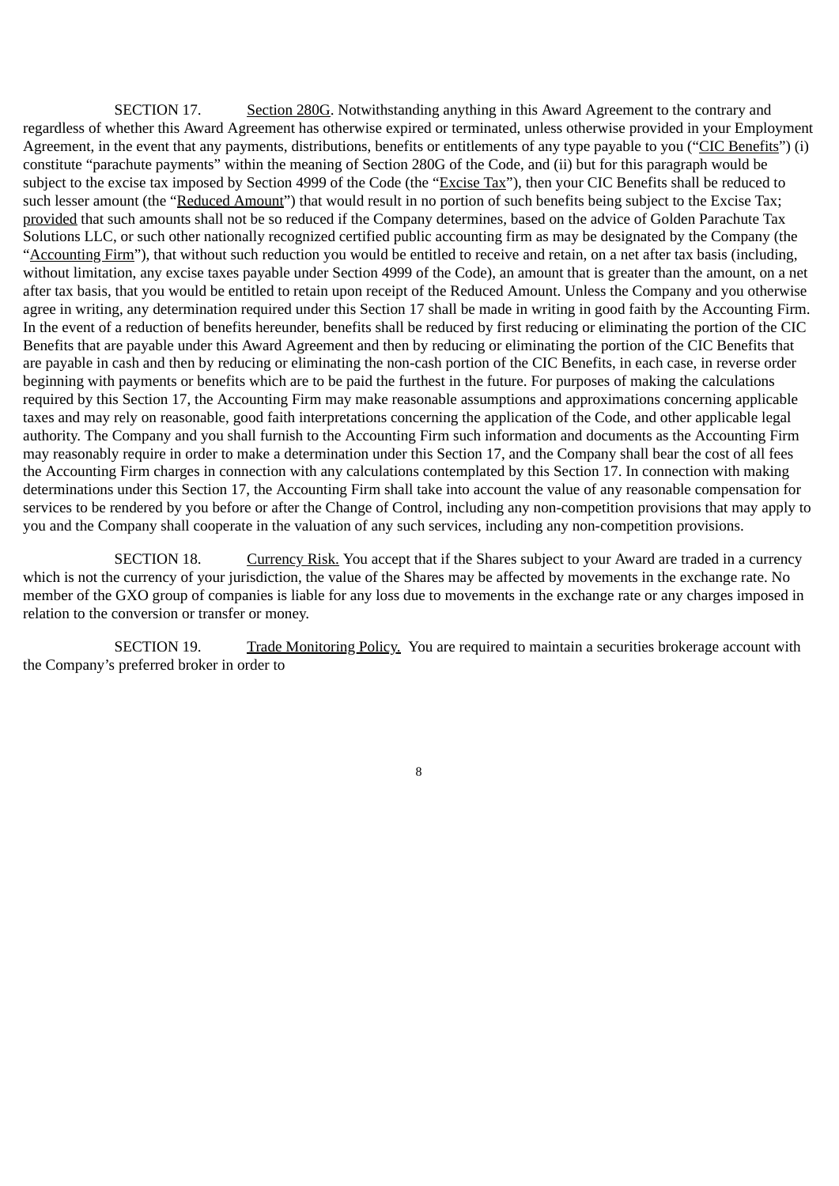SECTION 17. Section 280G. Notwithstanding anything in this Award Agreement to the contrary and regardless of whether this Award Agreement has otherwise expired or terminated, unless otherwise provided in your Employment Agreement, in the event that any payments, distributions, benefits or entitlements of any type payable to you ("CIC Benefits") (i) constitute "parachute payments" within the meaning of Section 280G of the Code, and (ii) but for this paragraph would be subject to the excise tax imposed by Section 4999 of the Code (the "Excise Tax"), then your CIC Benefits shall be reduced to such lesser amount (the "Reduced Amount") that would result in no portion of such benefits being subject to the Excise Tax; provided that such amounts shall not be so reduced if the Company determines, based on the advice of Golden Parachute Tax Solutions LLC, or such other nationally recognized certified public accounting firm as may be designated by the Company (the "Accounting Firm"), that without such reduction you would be entitled to receive and retain, on a net after tax basis (including, without limitation, any excise taxes payable under Section 4999 of the Code), an amount that is greater than the amount, on a net after tax basis, that you would be entitled to retain upon receipt of the Reduced Amount. Unless the Company and you otherwise agree in writing, any determination required under this Section 17 shall be made in writing in good faith by the Accounting Firm. In the event of a reduction of benefits hereunder, benefits shall be reduced by first reducing or eliminating the portion of the CIC Benefits that are payable under this Award Agreement and then by reducing or eliminating the portion of the CIC Benefits that are payable in cash and then by reducing or eliminating the non-cash portion of the CIC Benefits, in each case, in reverse order beginning with payments or benefits which are to be paid the furthest in the future. For purposes of making the calculations required by this Section 17, the Accounting Firm may make reasonable assumptions and approximations concerning applicable taxes and may rely on reasonable, good faith interpretations concerning the application of the Code, and other applicable legal authority. The Company and you shall furnish to the Accounting Firm such information and documents as the Accounting Firm may reasonably require in order to make a determination under this Section 17, and the Company shall bear the cost of all fees the Accounting Firm charges in connection with any calculations contemplated by this Section 17. In connection with making determinations under this Section 17, the Accounting Firm shall take into account the value of any reasonable compensation for services to be rendered by you before or after the Change of Control, including any non-competition provisions that may apply to you and the Company shall cooperate in the valuation of any such services, including any non-competition provisions.

SECTION 18. Currency Risk. You accept that if the Shares subject to your Award are traded in a currency which is not the currency of your jurisdiction, the value of the Shares may be affected by movements in the exchange rate. No member of the GXO group of companies is liable for any loss due to movements in the exchange rate or any charges imposed in relation to the conversion or transfer or money.

SECTION 19. Trade Monitoring Policy. You are required to maintain a securities brokerage account with the Company's preferred broker in order to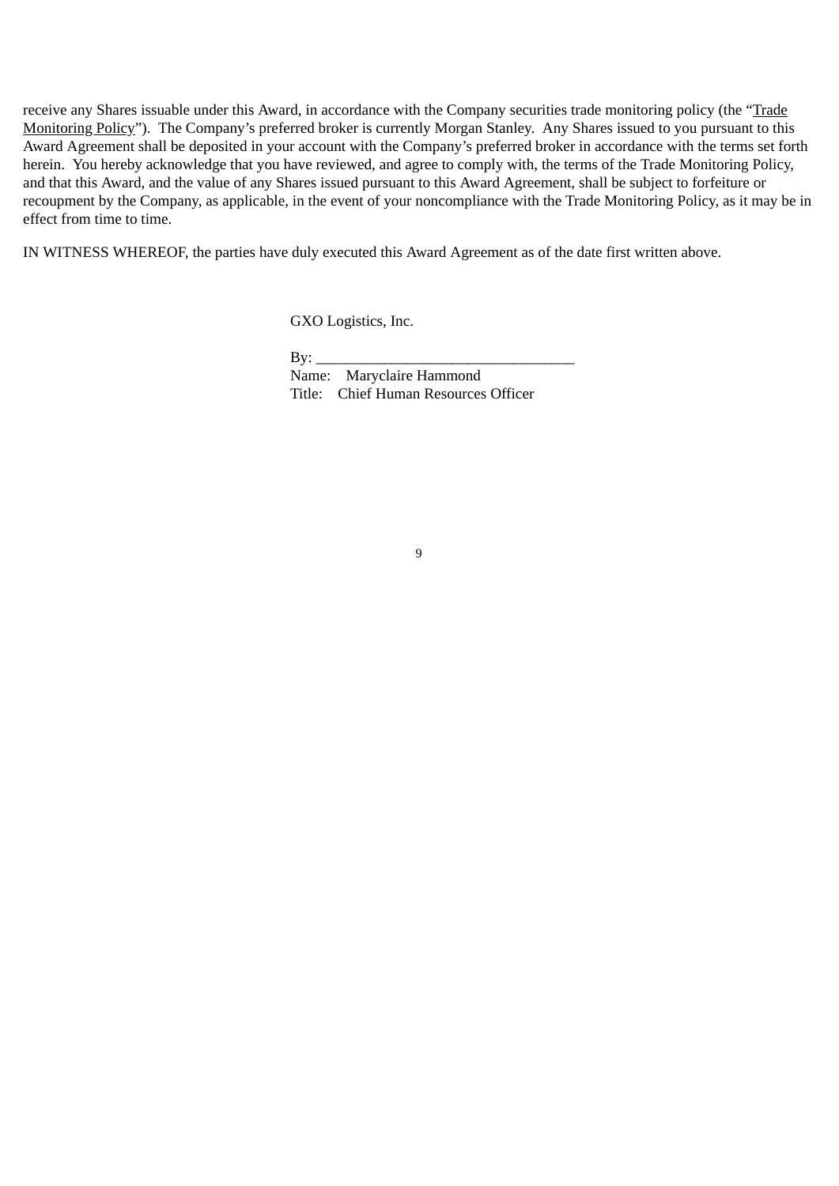receive any Shares issuable under this Award, in accordance with the Company securities trade monitoring policy (the "Trade Monitoring Policy"). The Company's preferred broker is currently Morgan Stanley. Any Shares issued to you pursuant to this Award Agreement shall be deposited in your account with the Company's preferred broker in accordance with the terms set forth herein. You hereby acknowledge that you have reviewed, and agree to comply with, the terms of the Trade Monitoring Policy, and that this Award, and the value of any Shares issued pursuant to this Award Agreement, shall be subject to forfeiture or recoupment by the Company, as applicable, in the event of your noncompliance with the Trade Monitoring Policy, as it may be in effect from time to time.

IN WITNESS WHEREOF, the parties have duly executed this Award Agreement as of the date first written above.

GXO Logistics, Inc.

 $By:$ 

Name: Maryclaire Hammond Title: Chief Human Resources Officer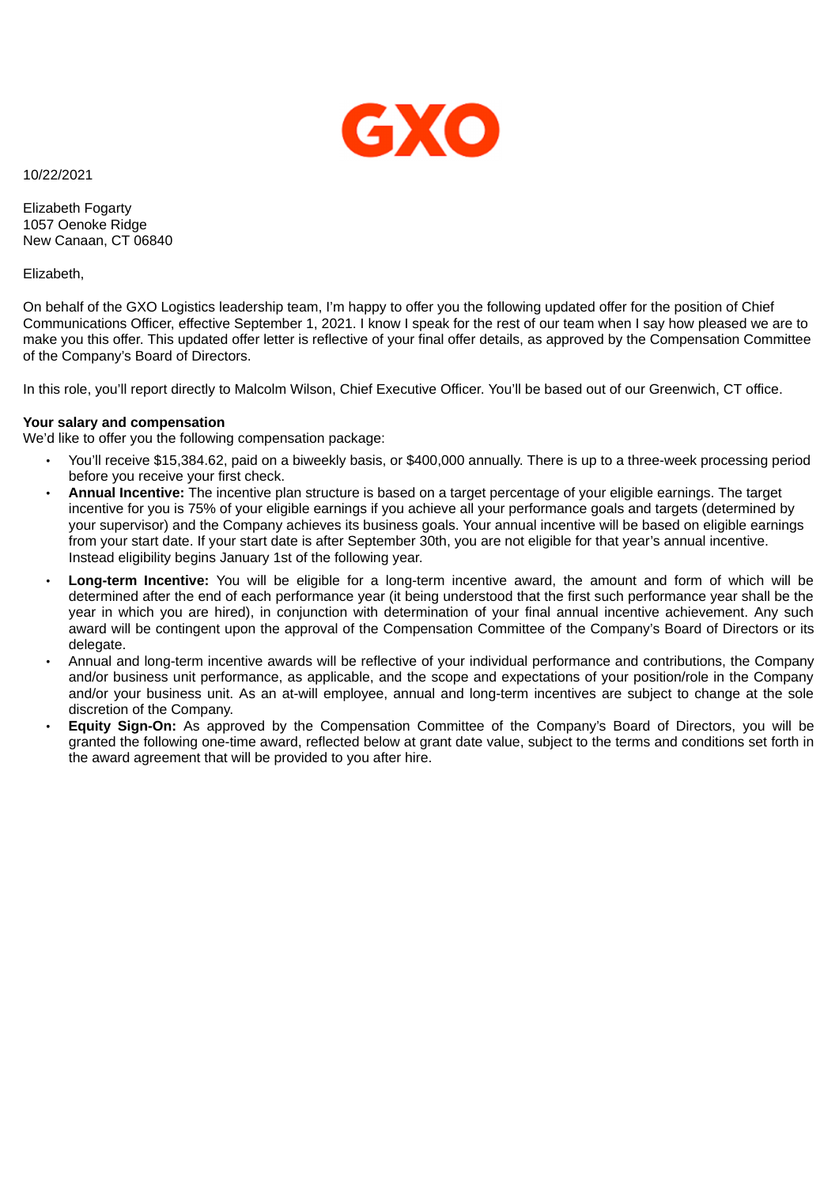

<span id="page-49-0"></span>10/22/2021

Elizabeth Fogarty 1057 Oenoke Ridge New Canaan, CT 06840

Elizabeth,

On behalf of the GXO Logistics leadership team, I'm happy to offer you the following updated offer for the position of Chief Communications Officer, effective September 1, 2021. I know I speak for the rest of our team when I say how pleased we are to make you this offer. This updated offer letter is reflective of your final offer details, as approved by the Compensation Committee of the Company's Board of Directors.

In this role, you'll report directly to Malcolm Wilson, Chief Executive Officer. You'll be based out of our Greenwich, CT office.

# **Your salary and compensation**

We'd like to offer you the following compensation package:

- You'll receive \$15,384.62, paid on a biweekly basis, or \$400,000 annually. There is up to a three-week processing period before you receive your first check.
- **Annual Incentive:** The incentive plan structure is based on a target percentage of your eligible earnings. The target incentive for you is 75% of your eligible earnings if you achieve all your performance goals and targets (determined by your supervisor) and the Company achieves its business goals. Your annual incentive will be based on eligible earnings from your start date. If your start date is after September 30th, you are not eligible for that year's annual incentive. Instead eligibility begins January 1st of the following year.
- **Long-term Incentive:** You will be eligible for a long-term incentive award, the amount and form of which will be determined after the end of each performance year (it being understood that the first such performance year shall be the year in which you are hired), in conjunction with determination of your final annual incentive achievement. Any such award will be contingent upon the approval of the Compensation Committee of the Company's Board of Directors or its delegate.
- Annual and long-term incentive awards will be reflective of your individual performance and contributions, the Company and/or business unit performance, as applicable, and the scope and expectations of your position/role in the Company and/or your business unit. As an at-will employee, annual and long-term incentives are subject to change at the sole discretion of the Company.
- **Equity Sign-On:** As approved by the Compensation Committee of the Company's Board of Directors, you will be granted the following one-time award, reflected below at grant date value, subject to the terms and conditions set forth in the award agreement that will be provided to you after hire.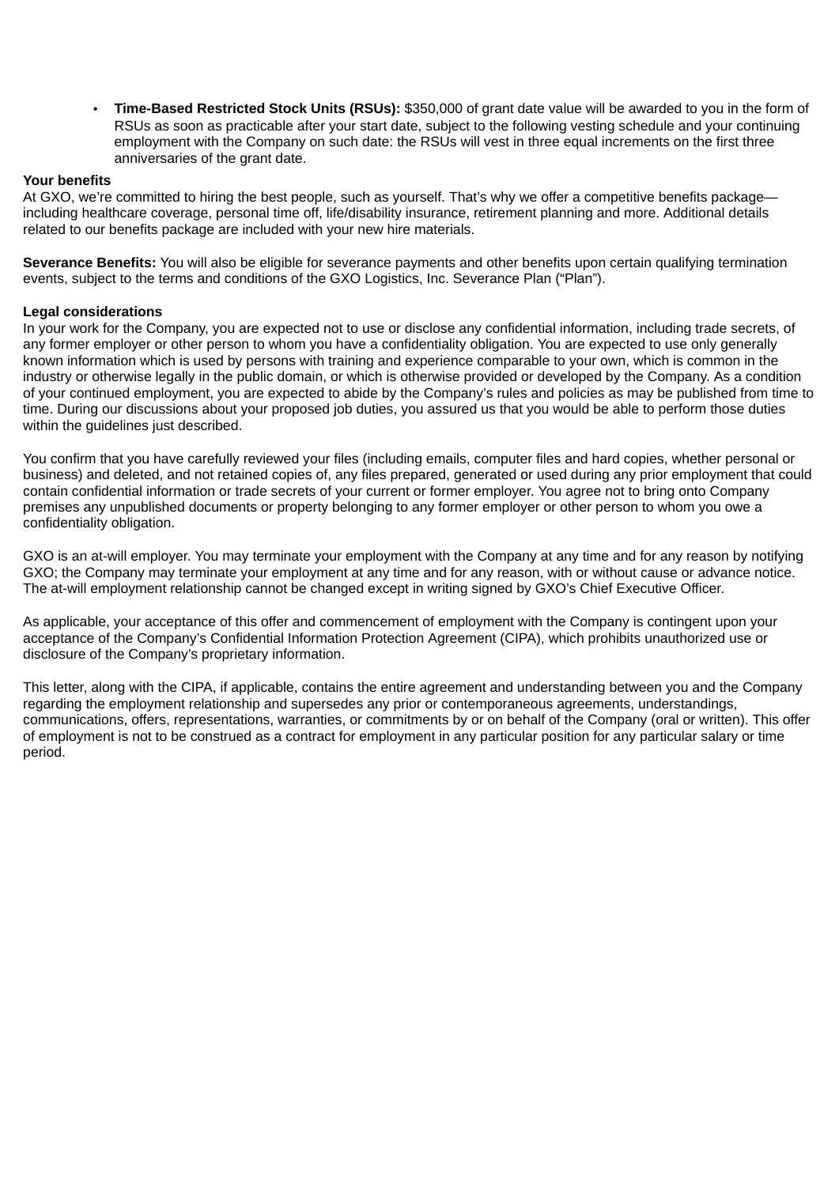• **Time-Based Restricted Stock Units (RSUs):** \$350,000 of grant date value will be awarded to you in the form of RSUs as soon as practicable after your start date, subject to the following vesting schedule and your continuing employment with the Company on such date: the RSUs will vest in three equal increments on the first three anniversaries of the grant date.

## **Your benefits**

At GXO, we're committed to hiring the best people, such as yourself. That's why we offer a competitive benefits package including healthcare coverage, personal time off, life/disability insurance, retirement planning and more. Additional details related to our benefits package are included with your new hire materials.

**Severance Benefits:** You will also be eligible for severance payments and other benefits upon certain qualifying termination events, subject to the terms and conditions of the GXO Logistics, Inc. Severance Plan ("Plan").

### **Legal considerations**

In your work for the Company, you are expected not to use or disclose any confidential information, including trade secrets, of any former employer or other person to whom you have a confidentiality obligation. You are expected to use only generally known information which is used by persons with training and experience comparable to your own, which is common in the industry or otherwise legally in the public domain, or which is otherwise provided or developed by the Company. As a condition of your continued employment, you are expected to abide by the Company's rules and policies as may be published from time to time. During our discussions about your proposed job duties, you assured us that you would be able to perform those duties within the quidelines just described.

You confirm that you have carefully reviewed your files (including emails, computer files and hard copies, whether personal or business) and deleted, and not retained copies of, any files prepared, generated or used during any prior employment that could contain confidential information or trade secrets of your current or former employer. You agree not to bring onto Company premises any unpublished documents or property belonging to any former employer or other person to whom you owe a confidentiality obligation.

GXO is an at-will employer. You may terminate your employment with the Company at any time and for any reason by notifying GXO; the Company may terminate your employment at any time and for any reason, with or without cause or advance notice. The at-will employment relationship cannot be changed except in writing signed by GXO's Chief Executive Officer.

As applicable, your acceptance of this offer and commencement of employment with the Company is contingent upon your acceptance of the Company's Confidential Information Protection Agreement (CIPA), which prohibits unauthorized use or disclosure of the Company's proprietary information.

This letter, along with the CIPA, if applicable, contains the entire agreement and understanding between you and the Company regarding the employment relationship and supersedes any prior or contemporaneous agreements, understandings, communications, offers, representations, warranties, or commitments by or on behalf of the Company (oral or written). This offer of employment is not to be construed as a contract for employment in any particular position for any particular salary or time period.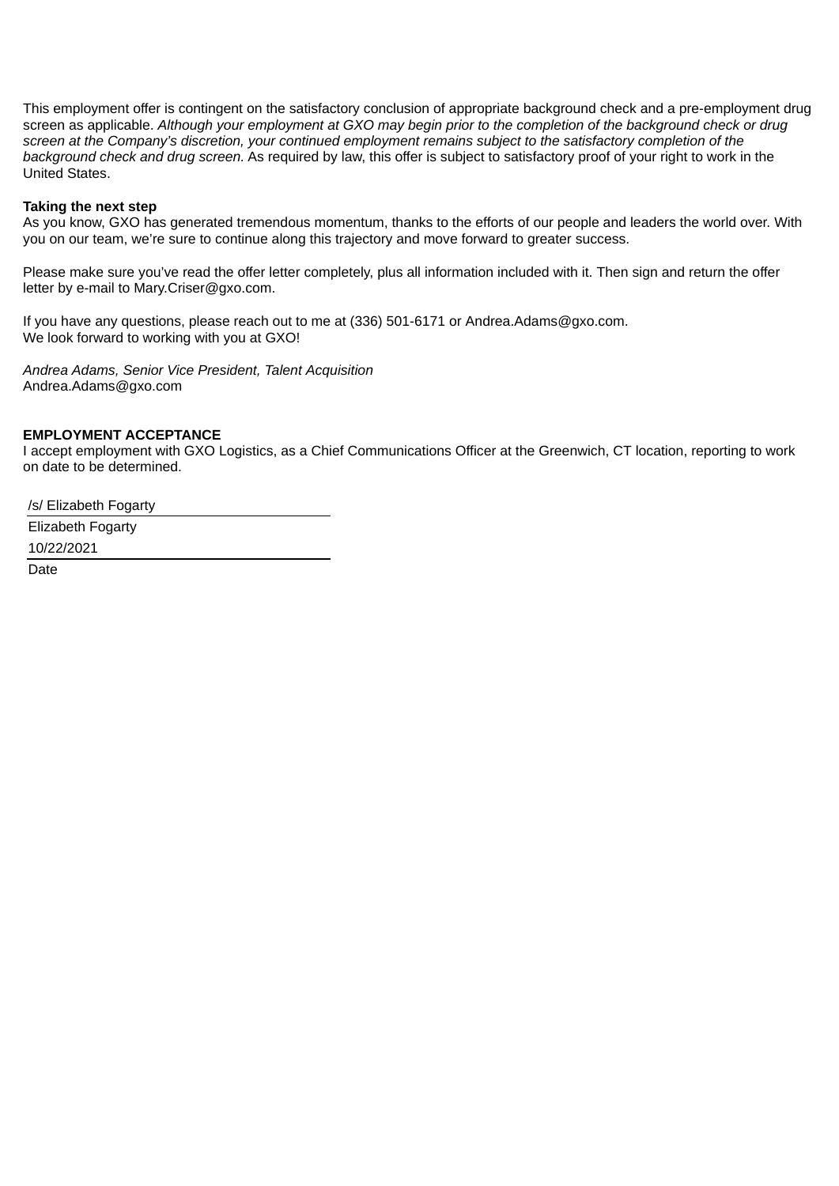This employment offer is contingent on the satisfactory conclusion of appropriate background check and a pre-employment drug screen as applicable. Although your employment at GXO may begin prior to the completion of the background check or drug screen at the Company's discretion, your continued employment remains subject to the satisfactory completion of the *background check and drug screen.* As required by law, this offer is subject to satisfactory proof of your right to work in the United States.

## **Taking the next step**

As you know, GXO has generated tremendous momentum, thanks to the efforts of our people and leaders the world over. With you on our team, we're sure to continue along this trajectory and move forward to greater success.

Please make sure you've read the offer letter completely, plus all information included with it. Then sign and return the offer letter by e-mail to Mary.Criser@gxo.com.

If you have any questions, please reach out to me at (336) 501-6171 or Andrea.Adams@gxo.com. We look forward to working with you at GXO!

*Andrea Adams, Senior Vice President, Talent Acquisition* Andrea.Adams@gxo.com

### **EMPLOYMENT ACCEPTANCE**

I accept employment with GXO Logistics, as a Chief Communications Officer at the Greenwich, CT location, reporting to work on date to be determined.

| /s/ Elizabeth Fogarty |  |
|-----------------------|--|
| Elizabeth Fogarty     |  |
| 10/22/2021            |  |
| Date                  |  |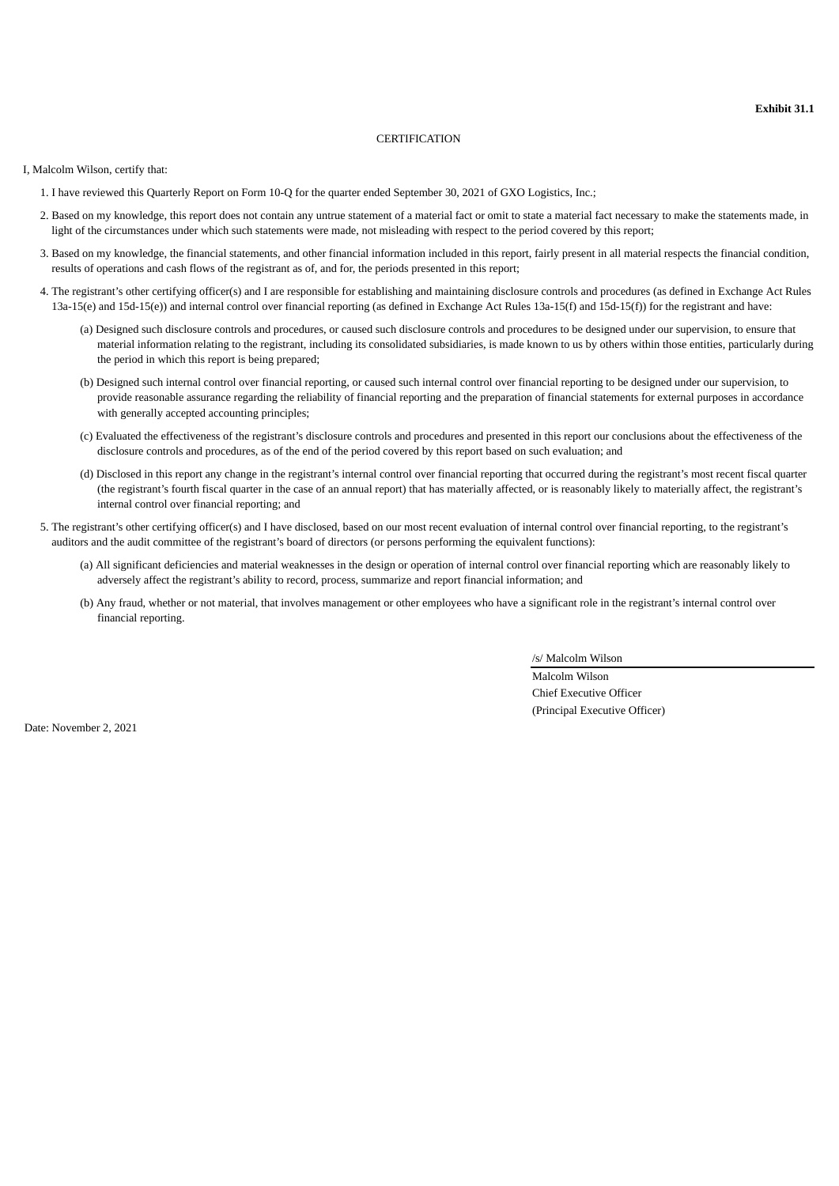#### **CERTIFICATION**

<span id="page-52-0"></span>I, Malcolm Wilson, certify that:

- 1. I have reviewed this Quarterly Report on Form 10-Q for the quarter ended September 30, 2021 of GXO Logistics, Inc.;
- 2. Based on my knowledge, this report does not contain any untrue statement of a material fact or omit to state a material fact necessary to make the statements made, in light of the circumstances under which such statements were made, not misleading with respect to the period covered by this report;
- 3. Based on my knowledge, the financial statements, and other financial information included in this report, fairly present in all material respects the financial condition, results of operations and cash flows of the registrant as of, and for, the periods presented in this report;
- 4. The registrant's other certifying officer(s) and I are responsible for establishing and maintaining disclosure controls and procedures (as defined in Exchange Act Rules 13a-15(e) and 15d-15(e)) and internal control over financial reporting (as defined in Exchange Act Rules 13a-15(f) and 15d-15(f)) for the registrant and have:
	- (a) Designed such disclosure controls and procedures, or caused such disclosure controls and procedures to be designed under our supervision, to ensure that material information relating to the registrant, including its consolidated subsidiaries, is made known to us by others within those entities, particularly during the period in which this report is being prepared;
	- (b) Designed such internal control over financial reporting, or caused such internal control over financial reporting to be designed under our supervision, to provide reasonable assurance regarding the reliability of financial reporting and the preparation of financial statements for external purposes in accordance with generally accepted accounting principles;
	- (c) Evaluated the effectiveness of the registrant's disclosure controls and procedures and presented in this report our conclusions about the effectiveness of the disclosure controls and procedures, as of the end of the period covered by this report based on such evaluation; and
	- (d) Disclosed in this report any change in the registrant's internal control over financial reporting that occurred during the registrant's most recent fiscal quarter (the registrant's fourth fiscal quarter in the case of an annual report) that has materially affected, or is reasonably likely to materially affect, the registrant's internal control over financial reporting; and
- 5. The registrant's other certifying officer(s) and I have disclosed, based on our most recent evaluation of internal control over financial reporting, to the registrant's auditors and the audit committee of the registrant's board of directors (or persons performing the equivalent functions):
	- (a) All significant deficiencies and material weaknesses in the design or operation of internal control over financial reporting which are reasonably likely to adversely affect the registrant's ability to record, process, summarize and report financial information; and
	- (b) Any fraud, whether or not material, that involves management or other employees who have a significant role in the registrant's internal control over financial reporting.

/s/ Malcolm Wilson Malcolm Wilson Chief Executive Officer (Principal Executive Officer)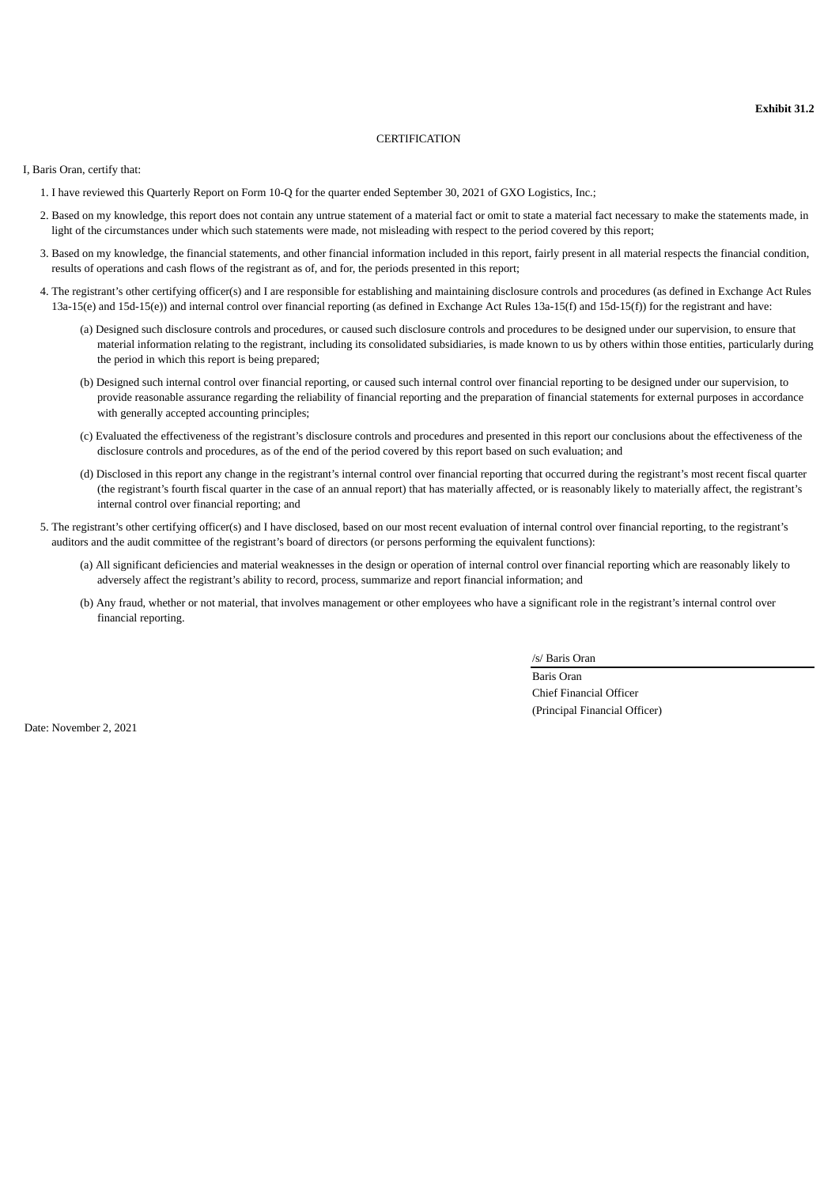#### **CERTIFICATION**

<span id="page-53-0"></span>I, Baris Oran, certify that:

- 1. I have reviewed this Quarterly Report on Form 10-Q for the quarter ended September 30, 2021 of GXO Logistics, Inc.;
- 2. Based on my knowledge, this report does not contain any untrue statement of a material fact or omit to state a material fact necessary to make the statements made, in light of the circumstances under which such statements were made, not misleading with respect to the period covered by this report;
- 3. Based on my knowledge, the financial statements, and other financial information included in this report, fairly present in all material respects the financial condition, results of operations and cash flows of the registrant as of, and for, the periods presented in this report;
- 4. The registrant's other certifying officer(s) and I are responsible for establishing and maintaining disclosure controls and procedures (as defined in Exchange Act Rules 13a-15(e) and 15d-15(e)) and internal control over financial reporting (as defined in Exchange Act Rules 13a-15(f) and 15d-15(f)) for the registrant and have:
	- (a) Designed such disclosure controls and procedures, or caused such disclosure controls and procedures to be designed under our supervision, to ensure that material information relating to the registrant, including its consolidated subsidiaries, is made known to us by others within those entities, particularly during the period in which this report is being prepared;
	- (b) Designed such internal control over financial reporting, or caused such internal control over financial reporting to be designed under our supervision, to provide reasonable assurance regarding the reliability of financial reporting and the preparation of financial statements for external purposes in accordance with generally accepted accounting principles;
	- (c) Evaluated the effectiveness of the registrant's disclosure controls and procedures and presented in this report our conclusions about the effectiveness of the disclosure controls and procedures, as of the end of the period covered by this report based on such evaluation; and
	- (d) Disclosed in this report any change in the registrant's internal control over financial reporting that occurred during the registrant's most recent fiscal quarter (the registrant's fourth fiscal quarter in the case of an annual report) that has materially affected, or is reasonably likely to materially affect, the registrant's internal control over financial reporting; and
- 5. The registrant's other certifying officer(s) and I have disclosed, based on our most recent evaluation of internal control over financial reporting, to the registrant's auditors and the audit committee of the registrant's board of directors (or persons performing the equivalent functions):
	- (a) All significant deficiencies and material weaknesses in the design or operation of internal control over financial reporting which are reasonably likely to adversely affect the registrant's ability to record, process, summarize and report financial information; and
	- (b) Any fraud, whether or not material, that involves management or other employees who have a significant role in the registrant's internal control over financial reporting.

/s/ Baris Oran Baris Oran Chief Financial Officer (Principal Financial Officer)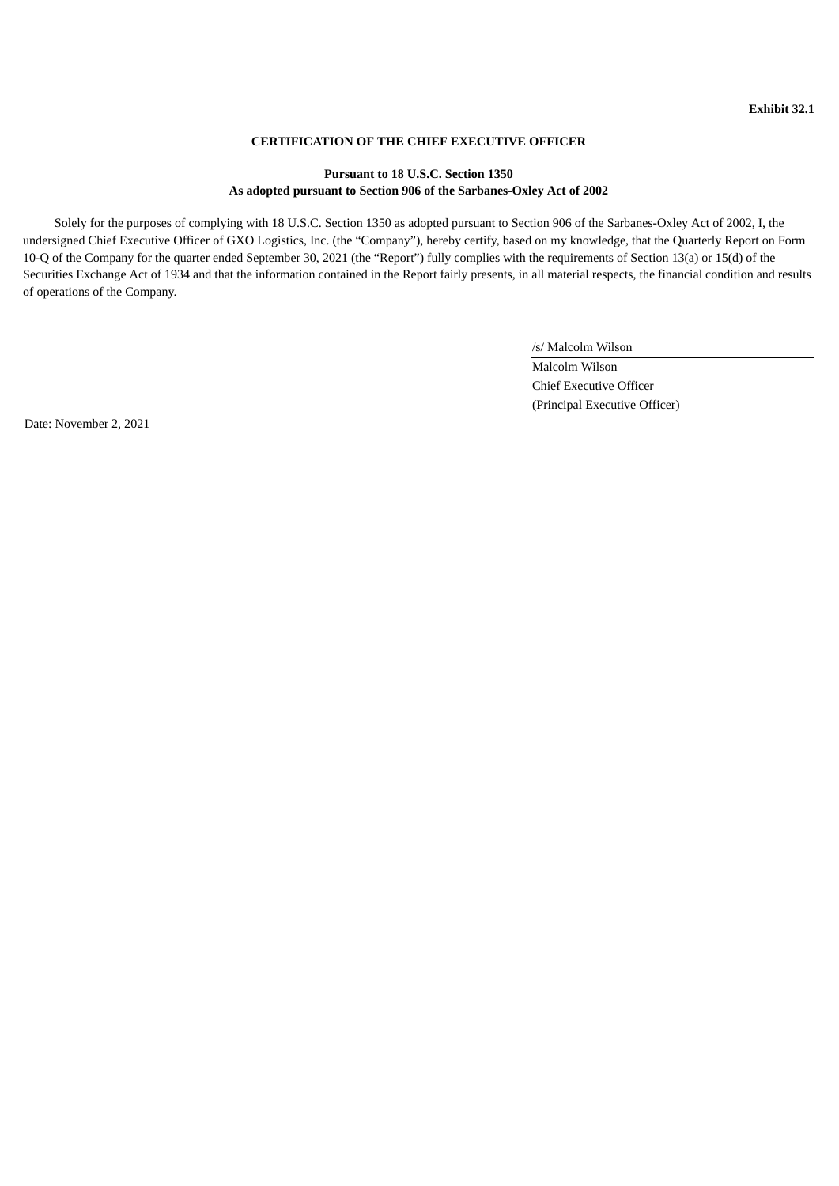### **CERTIFICATION OF THE CHIEF EXECUTIVE OFFICER**

### **Pursuant to 18 U.S.C. Section 1350 As adopted pursuant to Section 906 of the Sarbanes-Oxley Act of 2002**

<span id="page-54-0"></span>Solely for the purposes of complying with 18 U.S.C. Section 1350 as adopted pursuant to Section 906 of the Sarbanes-Oxley Act of 2002, I, the undersigned Chief Executive Officer of GXO Logistics, Inc. (the "Company"), hereby certify, based on my knowledge, that the Quarterly Report on Form 10-Q of the Company for the quarter ended September 30, 2021 (the "Report") fully complies with the requirements of Section 13(a) or 15(d) of the Securities Exchange Act of 1934 and that the information contained in the Report fairly presents, in all material respects, the financial condition and results of operations of the Company.

/s/ Malcolm Wilson

Malcolm Wilson Chief Executive Officer (Principal Executive Officer)